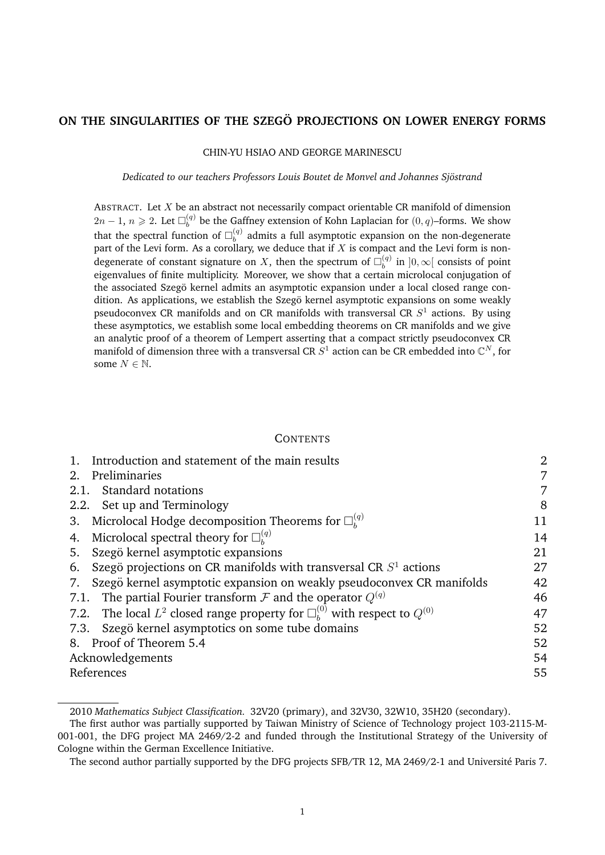# **ON THE SINGULARITIES OF THE SZEGO PROJECTIONS ON LOWER ENERGY FORMS ¨**

#### CHIN-YU HSIAO AND GEORGE MARINESCU

*Dedicated to our teachers Professors Louis Boutet de Monvel and Johannes Sjostrand ¨*

ABSTRACT. Let  $X$  be an abstract not necessarily compact orientable CR manifold of dimension  $2n-1, n \geqslant 2$ . Let  $\square_b^{(q)}$  $b_b^{(q)}$  be the Gaffney extension of Kohn Laplacian for  $(0, q)$ –forms. We show that the spectral function of  $\square_h^{(q)}$  $b_b^{(q)}$  admits a full asymptotic expansion on the non-degenerate part of the Levi form. As a corollary, we deduce that if  $X$  is compact and the Levi form is nondegenerate of constant signature on X, then the spectrum of  $\square_b^{(q)}$  $\binom{q}{b}$  in  $]0,\infty[$  consists of point eigenvalues of finite multiplicity. Moreover, we show that a certain microlocal conjugation of the associated Szegö kernel admits an asymptotic expansion under a local closed range condition. As applications, we establish the Szegö kernel asymptotic expansions on some weakly pseudoconvex CR manifolds and on CR manifolds with transversal CR  $S<sup>1</sup>$  actions. By using these asymptotics, we establish some local embedding theorems on CR manifolds and we give an analytic proof of a theorem of Lempert asserting that a compact strictly pseudoconvex CR manifold of dimension three with a transversal CR  $S^1$  action can be CR embedded into  $\mathbb{C}^N$ , for some  $N \in \mathbb{N}$ .

## **CONTENTS**

| Introduction and statement of the main results                                             | $\overline{2}$ |
|--------------------------------------------------------------------------------------------|----------------|
| Preliminaries                                                                              | 7              |
| Standard notations<br>2.1.                                                                 | 7              |
| 2.2. Set up and Terminology                                                                | 8              |
| Microlocal Hodge decomposition Theorems for $\square^{(q)}_h$<br>3.                        | 11             |
| Microlocal spectral theory for $\square_h^{(q)}$<br>4.                                     | 14             |
| Szegö kernel asymptotic expansions<br>5.                                                   | 21             |
| Szegö projections on CR manifolds with transversal CR $S1$ actions<br>6.                   | 27             |
| Szegö kernel asymptotic expansion on weakly pseudoconvex CR manifolds<br>7.                | 42             |
| The partial Fourier transform F and the operator $Q^{(q)}$<br>7.1.                         | 46             |
| 7.2. The local $L^2$ closed range property for $\square_h^{(0)}$ with respect to $Q^{(0)}$ | 47             |
| 7.3. Szegö kernel asymptotics on some tube domains                                         | 52             |
| 8. Proof of Theorem 5.4                                                                    | 52             |
| Acknowledgements                                                                           | 54             |
| References                                                                                 | 55             |
|                                                                                            |                |

<sup>2010</sup> *Mathematics Subject Classification.* 32V20 (primary), and 32V30, 32W10, 35H20 (secondary).

The first author was partially supported by Taiwan Ministry of Science of Technology project 103-2115-M-001-001, the DFG project MA 2469/2-2 and funded through the Institutional Strategy of the University of Cologne within the German Excellence Initiative.

The second author partially supported by the DFG projects SFB/TR 12, MA 2469/2-1 and Université Paris 7.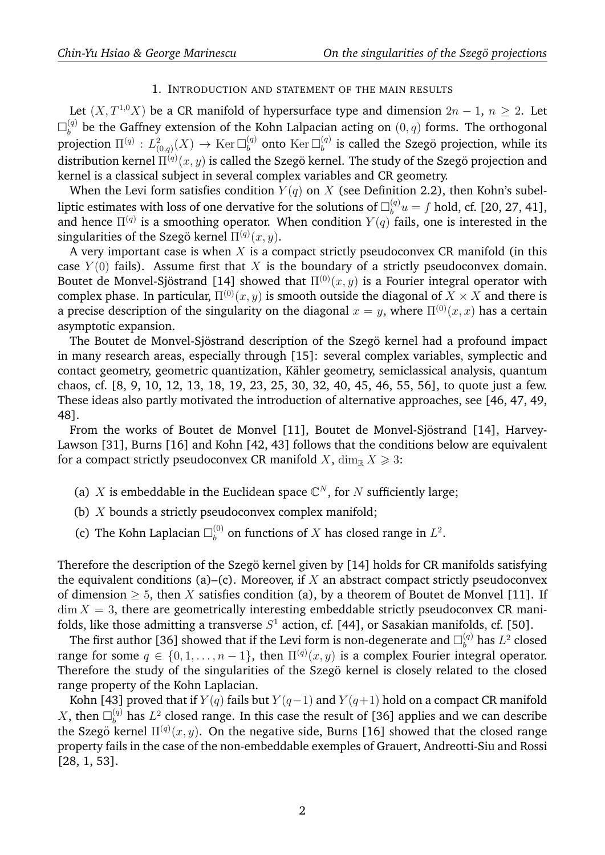# 1. INTRODUCTION AND STATEMENT OF THE MAIN RESULTS

Let  $(X, T^{1,0}X)$  be a CR manifold of hypersurface type and dimension  $2n - 1$ ,  $n > 2$ . Let  $\square^{(q)}_i$  $b_b^{(q)}$  be the Gaffney extension of the Kohn Lalpacian acting on  $(0,q)$  forms. The orthogonal projection  $\Pi^{(q)}: L^2_{(0,q)}(X) \rightarrow \operatorname{Ker} \Box_b^{(q)}$  $_{b}^{(q)}$  onto  $\text{Ker} \, \Box_{b}^{(q)}$  $\binom{q}{b}$  is called the Szegö projection, while its distribution kernel  $\Pi^{(q)}(x,y)$  is called the Szegö kernel. The study of the Szegö projection and kernel is a classical subject in several complex variables and CR geometry.

When the Levi form satisfies condition  $Y(q)$  on X (see Definition 2.2), then Kohn's subelliptic estimates with loss of one dervative for the solutions of  $\square_b^{(q)}$  $b^{(q)}u = f$  hold, cf. [20, 27, 41], and hence  $\Pi^{(q)}$  is a smoothing operator. When condition  $Y(q)$  fails, one is interested in the singularities of the Szegö kernel  $\Pi^{(q)}(x,y).$ 

A very important case is when  $X$  is a compact strictly pseudoconvex CR manifold (in this case  $Y(0)$  fails). Assume first that X is the boundary of a strictly pseudoconvex domain. Boutet de Monvel-Sjöstrand [14] showed that  $\Pi^{(0)}(x, y)$  is a Fourier integral operator with complex phase. In particular,  $\Pi^{(0)}(x, y)$  is smooth outside the diagonal of  $X \times X$  and there is a precise description of the singularity on the diagonal  $x = y$ , where  $\Pi^{(0)}(x, x)$  has a certain asymptotic expansion.

The Boutet de Monvel-Sjöstrand description of the Szegö kernel had a profound impact in many research areas, especially through [15]: several complex variables, symplectic and contact geometry, geometric quantization, Kähler geometry, semiclassical analysis, quantum chaos, cf. [8, 9, 10, 12, 13, 18, 19, 23, 25, 30, 32, 40, 45, 46, 55, 56], to quote just a few. These ideas also partly motivated the introduction of alternative approaches, see [46, 47, 49, 48].

From the works of Boutet de Monvel [11], Boutet de Monvel-Sjöstrand [14], Harvey-Lawson [31], Burns [16] and Kohn [42, 43] follows that the conditions below are equivalent for a compact strictly pseudoconvex CR manifold X,  $\dim_{\mathbb{R}} X \geq 3$ :

- (a) X is embeddable in the Euclidean space  $\mathbb{C}^N$ , for N sufficiently large;
- (b)  $X$  bounds a strictly pseudoconvex complex manifold;
- (c) The Kohn Laplacian  $\square_b^{(0)}$  $b^{(0)}_b$  on functions of X has closed range in  $L^2$ .

Therefore the description of the Szegö kernel given by [14] holds for CR manifolds satisfying the equivalent conditions (a)–(c). Moreover, if X an abstract compact strictly pseudoconvex of dimension  $> 5$ , then X satisfies condition (a), by a theorem of Boutet de Monvel [11]. If  $\dim X = 3$ , there are geometrically interesting embeddable strictly pseudoconvex CR manifolds, like those admitting a transverse  $S^1$  action, cf. [44], or Sasakian manifolds, cf. [50].

The first author [36] showed that if the Levi form is non-degenerate and  $\Box_{b}^{(q)}$  has  $L^2$  closed range for some  $q \in \{0, 1, \ldots, n-1\}$ , then  $\Pi^{(q)}(x, y)$  is a complex Fourier integral operator. Therefore the study of the singularities of the Szegö kernel is closely related to the closed range property of the Kohn Laplacian.

Kohn [43] proved that if  $Y(q)$  fails but  $Y(q-1)$  and  $Y(q+1)$  hold on a compact CR manifold  $X$ , then  $\square_b^{(q)}$  has  $L^2$  closed range. In this case the result of [36] applies and we can describe the Szegö kernel  $\Pi^{(q)}(x,y)$ . On the negative side, Burns [16] showed that the closed range property fails in the case of the non-embeddable exemples of Grauert, Andreotti-Siu and Rossi [28, 1, 53].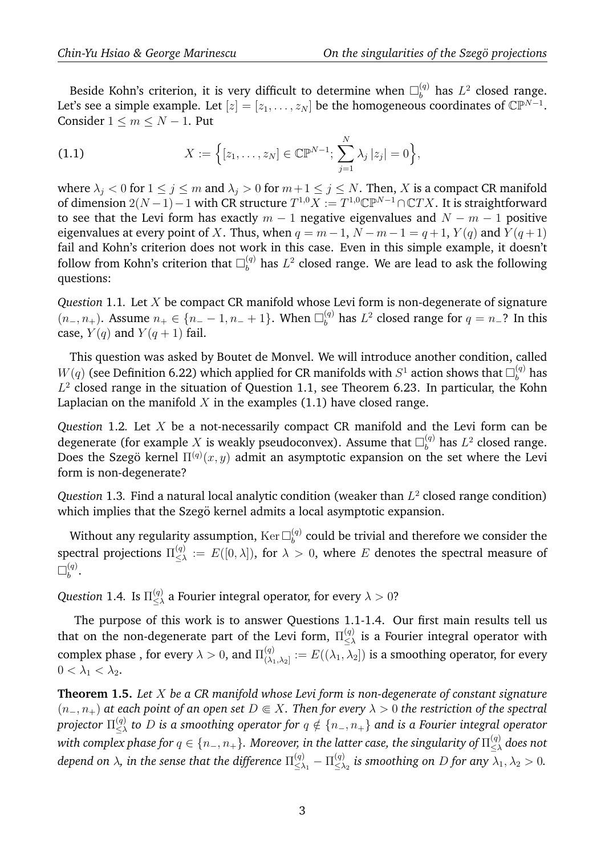Beside Kohn's criterion, it is very difficult to determine when  $\Box_b^{(q)}$  has  $L^2$  closed range. Let's see a simple example. Let  $[z]=[z_1,\ldots,z_N]$  be the homogeneous coordinates of  $\mathbb{CP}^{N-1}.$ Consider  $1 \le m \le N - 1$ . Put

(1.1) 
$$
X := \left\{ [z_1, \ldots, z_N] \in \mathbb{CP}^{N-1}; \sum_{j=1}^N \lambda_j |z_j| = 0 \right\},\
$$

where  $\lambda_j < 0$  for  $1 \le j \le m$  and  $\lambda_j > 0$  for  $m+1 \le j \le N$ . Then, X is a compact CR manifold of dimension  $2(N-1)-1$  with CR structure  $T^{1,0}X := T^{1,0} \mathbb{CP}^{N-1} \cap \mathbb{C}TX$ . It is straightforward to see that the Levi form has exactly  $m - 1$  negative eigenvalues and  $N - m - 1$  positive eigenvalues at every point of X. Thus, when  $q = m - 1$ ,  $N - m - 1 = q + 1$ ,  $Y(q)$  and  $Y(q + 1)$ fail and Kohn's criterion does not work in this case. Even in this simple example, it doesn't follow from Kohn's criterion that  $\Box_{b}^{(q)}$  has  $L^2$  closed range. We are lead to ask the following questions:

*Question* 1.1*.* Let X be compact CR manifold whose Levi form is non-degenerate of signature  $(n_-, n_+)$ . Assume  $n_+ \in \{n_- - 1, n_- + 1\}$ . When  $\square_b^{(q)}$  has  $L^2$  closed range for  $q = n_-$ ? In this case,  $Y(q)$  and  $Y(q + 1)$  fail.

This question was asked by Boutet de Monvel. We will introduce another condition, called  $W(q)$  (see Definition 6.22) which applied for CR manifolds with  $S^1$  action shows that  $\Box^{(q)}_b$  has  $L^2$  closed range in the situation of Question 1.1, see Theorem 6.23. In particular, the Kohn Laplacian on the manifold  $X$  in the examples (1.1) have closed range.

*Question* 1.2*.* Let X be a not-necessarily compact CR manifold and the Levi form can be degenerate (for example  $X$  is weakly pseudoconvex). Assume that  $\Box_{b}^{(q)}$  has  $L^2$  closed range. Does the Szegö kernel  $\Pi^{(q)}(x,y)$  admit an asymptotic expansion on the set where the Levi form is non-degenerate?

*Question* 1.3. Find a natural local analytic condition (weaker than  $L^2$  closed range condition) which implies that the Szegö kernel admits a local asymptotic expansion.

Without any regularity assumption,  $\mathrm{Ker} \, \Box^{(q)}_b$  $\delta_b^{(q)}$  could be trivial and therefore we consider the spectral projections  $\Pi^{(q)}_{<\lambda}$  $\zeta_{\leq \lambda}^{(q)} := E([0,\lambda]),$  for  $\lambda > 0$ , where E denotes the spectral measure of  $\square^{(q)}_i$  $\stackrel{(q)}{b}$ .

Question 1.4. Is  $\Pi^{(q)}_{<\lambda}$  $\frac{Q}{Q\Delta\lambda}$  a Fourier integral operator, for every  $\lambda>0$ ?

The purpose of this work is to answer Questions 1.1-1.4. Our first main results tell us that on the non-degenerate part of the Levi form,  $\Pi_{\leq \lambda}^{(q)}$  $\frac{q}{\leq \lambda}$  is a Fourier integral operator with complex phase , for every  $\lambda > 0$ , and  $\Pi_{(\lambda)}^{(q)}$  $\mathcal{L}^{(q)}_{(\lambda_1, \lambda_2]} := E((\lambda_1, \lambda_2])$  is a smoothing operator, for every  $0 < \lambda_1 < \lambda_2$ .

**Theorem 1.5.** *Let* X *be a CR manifold whose Levi form is non-degenerate of constant signature* (n−, n+) *at each point of an open set* D b X*. Then for every* λ > 0 *the restriction of the spectral*  ${\rm projector}~\Pi_{<\lambda}^{(q)}$ ≤λ *to* D *is a smoothing operator for* q /∈ {n−, n+} *and is a Fourier integral operator* with complex phase for  $q\in\{n_-,n_+\}.$  Moreover, in the latter case, the singularity of  $\Pi_{< \lambda}^{(q)}$  $\mathcal{L}_{\leq \lambda}^{(q)}$  does not depend on  $\lambda$ , in the sense that the difference  $\Pi_{\leq \lambda_1}^{(q)} - \Pi_{\leq \lambda}^{(q)}$  $\sum_{n \leq \lambda_2}^{(q)}$  is smoothing on D for any  $\lambda_1, \lambda_2 > 0$ .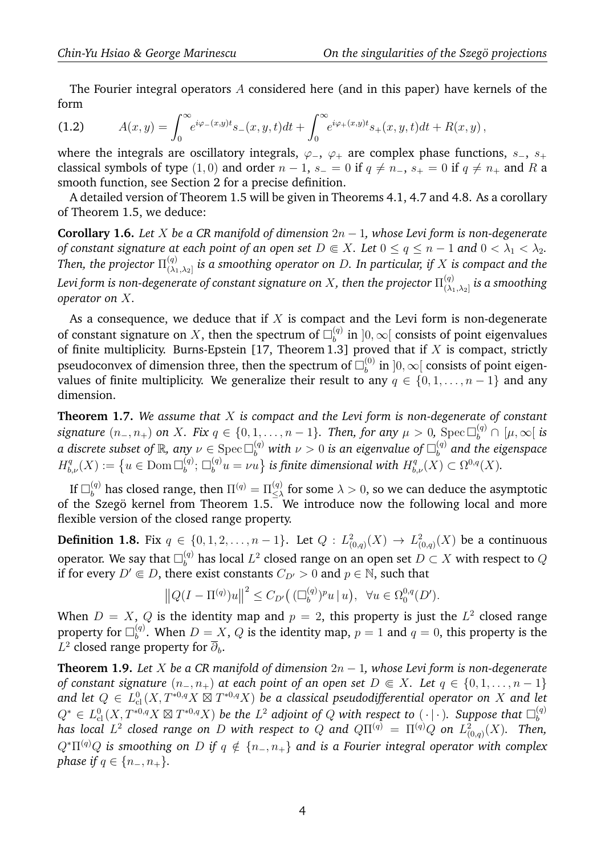The Fourier integral operators A considered here (and in this paper) have kernels of the form

(1.2) 
$$
A(x,y) = \int_0^\infty e^{i\varphi_-(x,y)t} s_-(x,y,t) dt + \int_0^\infty e^{i\varphi_+(x,y)t} s_+(x,y,t) dt + R(x,y),
$$

where the integrals are oscillatory integrals,  $\varphi_-, \varphi_+$  are complex phase functions,  $s_-, s_+$ classical symbols of type (1,0) and order  $n-1$ ,  $s_-=0$  if  $q\neq n_-, s_+=0$  if  $q\neq n_+$  and R a smooth function, see Section 2 for a precise definition.

A detailed version of Theorem 1.5 will be given in Theorems 4.1, 4.7 and 4.8. As a corollary of Theorem 1.5, we deduce:

**Corollary 1.6.** *Let* X *be a CR manifold of dimension* 2n − 1*, whose Levi form is non-degenerate of constant signature at each point of an open set*  $D \in X$ *. Let*  $0 \le q \le n - 1$  *and*  $0 < \lambda_1 < \lambda_2$ *.* Then, the projector  $\Pi^{(q)}_{(\lambda)}$ (λ1,λ2] *is a smoothing operator on* D*. In particular, if* X *is compact and the* Levi form is non-degenerate of constant signature on  $X$ , then the projector  $\Pi^{(q)}_{\rm O}$  $\frac{\Gamma\left( q\right) }{\left( \lambda_{1},\lambda_{2}\right) }$  *is a smoothing operator on* X*.*

As a consequence, we deduce that if  $X$  is compact and the Levi form is non-degenerate of constant signature on  $X$ , then the spectrum of  $\square_b^{(q)}$  $\binom{q}{b}$  in  $]0,\infty[$  consists of point eigenvalues of finite multiplicity. Burns-Epstein [17, Theorem 1.3] proved that if  $X$  is compact, strictly pseudoconvex of dimension three, then the spectrum of  $\Box^{(0)}_b$  $b_0^{(0)}$  in  $]0,\infty[$  consists of point eigenvalues of finite multiplicity. We generalize their result to any  $q \in \{0, 1, \ldots, n-1\}$  and any dimension.

**Theorem 1.7.** *We assume that* X *is compact and the Levi form is non-degenerate of constant*  $s$ ignature  $(n_-,n_+)$  on  $X.$  Fix  $q\in\{0,1,\ldots,n-1\}.$  Then, for any  $\mu>0,$   $\mathrm{Spec\,}\Box^{(q)}_b\cap\ [\mu,\infty[$  is *a discrete subset of*  $\mathbb R$ *, any*  $\nu \in \mathrm{Spec}\,\square_b^{(q)}$  *with*  $\nu > 0$  *is an eigenvalue of*  $\square_b^{(q)}$  $b^{(q)}$  and the eigenspace  $H^q_{b,\nu}(X) := \left\{ u \in \mathrm{Dom}\,\Box^{(q)}_b \right\}$  $\binom{q}{b};\ \square_b^{(q)}$  $\{u_i^{(q)}u = \nu u\}$  is finite dimensional with  $H^q_{b,\nu}(X) \subset \Omega^{0,q}(X).$ 

If  $\Box_b^{(q)}$  has closed range, then  $\Pi^{(q)}=\Pi_{\leq \lambda}^{(q)}$  for some  $\lambda>0,$  so we can deduce the asymptotic of the Szegö kernel from Theorem 1.5. We introduce now the following local and more flexible version of the closed range property.

**Definition 1.8.** Fix  $q \in \{0, 1, 2, ..., n-1\}$ . Let  $Q: L^2_{(0,q)}(X) \to L^2_{(0,q)}(X)$  be a continuous operator. We say that  $\Box_{b}^{(q)}$  has local  $L^2$  closed range on an open set  $D\subset X$  with respect to  $Q$ if for every  $D' \in D$ , there exist constants  $C_{D'} > 0$  and  $p \in \mathbb{N}$ , such that

$$
||Q(I - \Pi^{(q)})u||^2 \leq C_{D'}((\Box_b^{(q)})^p u | u), \ \forall u \in \Omega_0^{0,q}(D').
$$

When  $D = X$ , Q is the identity map and  $p = 2$ , this property is just the  $L^2$  closed range property for  $\Box^{(q)}_b$  $b^{(q)}_b$ . When  $D=X$ ,  $Q$  is the identity map,  $p=1$  and  $q=0$ , this property is the  $L^2$  closed range property for  $\overline{\partial}_b$ .

**Theorem 1.9.** *Let* X *be a CR manifold of dimension* 2n − 1*, whose Levi form is non-degenerate of constant signature*  $(n_-, n_+)$  *at each point of an open set*  $D \in X$ *. Let*  $q \in \{0, 1, \ldots, n-1\}$ and let  $Q\, \in\, L^0_{\rm cl\,}(X,T^{*0,q}X\boxtimes T^{*0,q}X)$  be a classical pseudodifferential operator on  $X$  and let  $Q^*\in L^0_{\mathrm{cl}}(X,T^{*0,q}X\boxtimes T^{*0,q}X)$  be the  $L^2$  adjoint of  $Q$  with respect to  $(\,\cdot\,|\,\cdot\,)$ . Suppose that  $\square_b^{(q)}$  $\boldsymbol{t}$ *has local*  $L^2$  *closed range on*  $D$  *with respect to*  $Q$  *and*  $Q\Pi^{(q)}\ =\ \Pi^{(q)}Q$  *on*  $L^2_{(0,q)}(X)$ *. Then,*  $Q^* \Pi^{(q)} Q$  *is smoothing on* D *if*  $q \notin \{n_-, n_+\}$  *and is a Fourier integral operator with complex phase if*  $q \in \{n_-, n_+\}$ *.*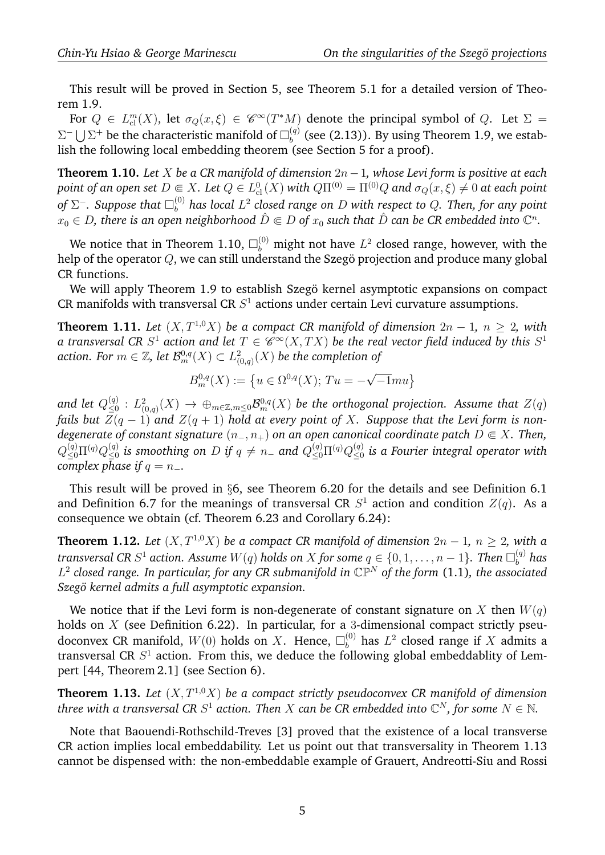This result will be proved in Section 5, see Theorem 5.1 for a detailed version of Theorem 1.9.

For  $Q \in L_{\text{cl}}^m(X)$ , let  $\sigma_Q(x,\xi) \in \mathscr{C}^{\infty}(T^*M)$  denote the principal symbol of  $Q$ . Let  $\Sigma =$  $\Sigma^- \bigcup \Sigma^+$  be the characteristic manifold of  $\square_b^{(q)}$  $b_b^{(q)}$  (see (2.13)). By using Theorem 1.9, we establish the following local embedding theorem (see Section 5 for a proof).

**Theorem 1.10.** *Let* X *be a CR manifold of dimension* 2n−1*, whose Levi form is positive at each* point of an open set  $D\Subset X$ . Let  $Q\in L^0_{\mathrm{cl}}(X)$  with  $Q\Pi^{(0)}=\Pi^{(0)}Q$  and  $\sigma_Q(x,\xi)\neq 0$  at each point of  $\Sigma^-$ . Suppose that  $\square_b^{(0)}$  $\delta_b^{(0)}$  has local  $L^2$  closed range on  $D$  with respect to  $Q$ . Then, for any point  $x_0\in D$ , there is an open neighborhood  $\hat{D}\Subset D$  of  $x_0$  such that  $\hat{D}$  can be CR embedded into  $\mathbb{C}^n.$ 

We notice that in Theorem 1.10,  $\square_{b}^{(0)}$  might not have  $L^2$  closed range, however, with the help of the operator  $Q$ , we can still understand the Szego projection and produce many global CR functions.

We will apply Theorem 1.9 to establish Szegö kernel asymptotic expansions on compact CR manifolds with transversal CR  $S^1$  actions under certain Levi curvature assumptions.

**Theorem 1.11.** *Let*  $(X, T^{1,0}X)$  *be a compact CR manifold of dimension*  $2n - 1$ *,*  $n \ge 2$ *, with* a transversal CR  $S^1$  action and let  $T \in \mathscr{C}^\infty(X,TX)$  be the real vector field induced by this  $S^1$ action. For  $m\in \mathbb{Z}$ , let  $\mathcal{B}^{0,q}_m(X)\subset L^2_{(0,q)}(X)$  be the completion of

$$
B_m^{0,q}(X) := \{ u \in \Omega^{0,q}(X); Tu = -\sqrt{-1}mu \}
$$

and let  $Q_{\leq 0}^{(q)}$  $\mathcal{L}_{\leq 0}^{(q)}\,:\,L^2_{(0,q)}(X)\,\to\,\oplus_{m\in\mathbb{Z},m\leq 0}\mathcal{B}_m^{0,q}(X)$  be the orthogonal projection. Assume that  $Z(q)$ *fails but*  $\overline{Z}(q-1)$  and  $Z(q+1)$  hold at every point of X. Suppose that the Levi form is non*degenerate of constant signature*  $(n_-, n_+)$  *on an open canonical coordinate patch*  $D \in X$ *. Then,*  $Q^{(q)}_{\leq 0} \Pi^{(q)} Q^{(q)}_{\leq 0}$  $\frac{q(q)}{\leq 0}$  is smoothing on  $D$  if  $q\neq n_-$  and  $Q_{\leq 0}^{(q)}\Pi^{(q)}Q_{\leq 0}^{(q)}$ ≤0 *is a Fourier integral operator with complex phase if*  $q = n_$ .

This result will be proved in §6, see Theorem 6.20 for the details and see Definition 6.1 and Definition 6.7 for the meanings of transversal CR  $S<sup>1</sup>$  action and condition  $Z(q)$ . As a consequence we obtain (cf. Theorem 6.23 and Corollary 6.24):

**Theorem 1.12.** *Let*  $(X, T^{1,0}X)$  *be a compact CR manifold of dimension*  $2n - 1$ *,*  $n \ge 2$ *, with a*  ${\rm transversal}$  CR  $S^1$  action. Assume  $W(q)$  holds on  $X$  for some  $q\in\{0,1,\ldots,n-1\}.$  Then  $\Box^{(q)}_b$  $\int_b^{(q)}$  has  $L^2$  closed range. In particular, for any CR submanifold in  $\mathbb{CP}^N$  of the form (1.1), the associated *Szego kernel admits a full asymptotic expansion. ¨*

We notice that if the Levi form is non-degenerate of constant signature on X then  $W(q)$ holds on  $X$  (see Definition 6.22). In particular, for a 3-dimensional compact strictly pseudoconvex CR manifold,  $W(0)$  holds on  $X.$  Hence,  $\square_{b}^{(0)}$  has  $L^2$  closed range if  $X$  admits a transversal CR  $S^1$  action. From this, we deduce the following global embeddablity of Lempert [44, Theorem 2.1] (see Section 6).

**Theorem 1.13.** Let  $(X, T^{1,0}X)$  be a compact strictly pseudoconvex CR manifold of dimension *three with a transversal CR*  $S^1$  *action. Then*  $X$  *can be CR embedded into*  $\mathbb{C}^N$ *, for some*  $N \in \mathbb{N}$ *.* 

Note that Baouendi-Rothschild-Treves [3] proved that the existence of a local transverse CR action implies local embeddability. Let us point out that transversality in Theorem 1.13 cannot be dispensed with: the non-embeddable example of Grauert, Andreotti-Siu and Rossi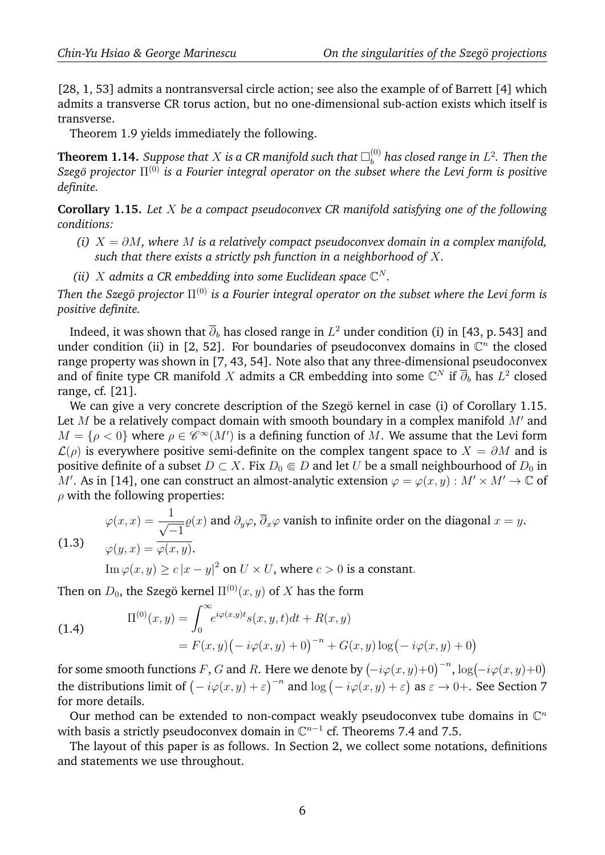[28, 1, 53] admits a nontransversal circle action; see also the example of of Barrett [4] which admits a transverse CR torus action, but no one-dimensional sub-action exists which itself is transverse.

Theorem 1.9 yields immediately the following.

**Theorem 1.14.** Suppose that  $X$  is a CR manifold such that  $\square_b^{(0)}$ b *has closed range in* L 2 *. Then the Szegö projector*  $\Pi^{(0)}$  *is a Fourier integral operator on the subset where the Levi form is positive definite.*

**Corollary 1.15.** *Let* X *be a compact pseudoconvex CR manifold satisfying one of the following conditions:*

- *(i)* X = ∂M*, where* M *is a relatively compact pseudoconvex domain in a complex manifold, such that there exists a strictly psh function in a neighborhood of* X*.*
- (*ii*) *X* admits a CR embedding into some Euclidean space  $\mathbb{C}^N$ *.*

*Then the Szegö projector*  $\Pi^{(0)}$  *is a Fourier integral operator on the subset where the Levi form is positive definite.*

Indeed, it was shown that  $\overline{\partial}_b$  has closed range in  $L^2$  under condition (i) in [43, p. 543] and under condition (ii) in [2, 52]. For boundaries of pseudoconvex domains in  $\mathbb{C}^n$  the closed range property was shown in [7, 43, 54]. Note also that any three-dimensional pseudoconvex and of finite type CR manifold X admits a CR embedding into some  $\mathbb{C}^N$  if  $\overline{\partial}_b$  has  $L^2$  closed range, cf. [21].

We can give a very concrete description of the Szegö kernel in case (i) of Corollary 1.15. Let M be a relatively compact domain with smooth boundary in a complex manifold  $M'$  and  $M = \{ \rho < 0 \}$  where  $\rho \in \mathscr{C}^{\infty}(M')$  is a defining function of M. We assume that the Levi form  $\mathcal{L}(\rho)$  is everywhere positive semi-definite on the complex tangent space to  $X = \partial M$  and is positive definite of a subset  $D \subset X$ . Fix  $D_0 \subseteq D$  and let U be a small neighbourhood of  $D_0$  in M'. As in [14], one can construct an almost-analytic extension  $\varphi = \varphi(x, y) : M' \times M' \to \mathbb{C}$  of  $\rho$  with the following properties:

 $\varphi(x,x) = \frac{1}{\sqrt{2}}$ −1  $\varrho(x)$  and  $\partial_y\varphi$ ,  $\partial_x\varphi$  vanish to infinite order on the diagonal  $x = y$ .  $\varphi(y,x) = \overline{\varphi(x,y)}.$ (1.3)

 $\text{Im}\,\varphi(x,y)\geq c\,|x-y|^2$  on  $U\times U$ , where  $c>0$  is a constant.

Then on  $D_0$ , the Szegö kernel  $\Pi^{(0)}(x, y)$  of X has the form

(1.4) 
$$
\Pi^{(0)}(x,y) = \int_0^\infty e^{i\varphi(x,y)t} s(x,y,t) dt + R(x,y) = F(x,y) \left( -i\varphi(x,y) + 0 \right)^{-n} + G(x,y) \log(-i\varphi(x,y) + 0)
$$

for some smooth functions  $F$  ,  $G$  and  $R$ . Here we denote by  $\left( -i\varphi(x,y)+0 \right)^{-n}$ ,  $\log\left( -i\varphi(x,y)+0 \right)$ the distributions limit of  $(-i\varphi(x,y)+\varepsilon)^{-n}$  and  $\log(-i\varphi(x,y)+\varepsilon)$  as  $\varepsilon \to 0+$ . See Section 7 for more details.

Our method can be extended to non-compact weakly pseudoconvex tube domains in  $\mathbb{C}^n$ with basis a strictly pseudoconvex domain in  $\mathbb{C}^{n-1}$  cf. Theorems 7.4 and 7.5.

The layout of this paper is as follows. In Section 2, we collect some notations, definitions and statements we use throughout.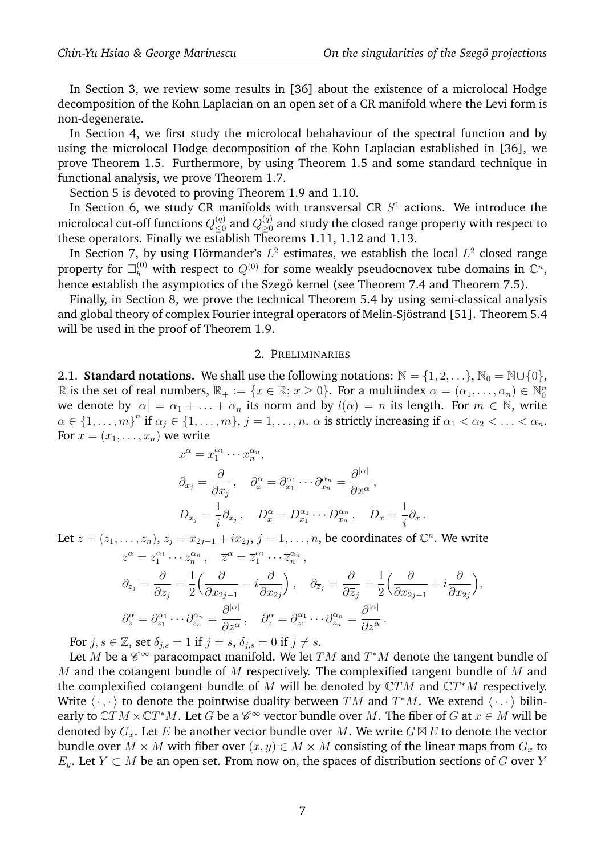In Section 3, we review some results in [36] about the existence of a microlocal Hodge decomposition of the Kohn Laplacian on an open set of a CR manifold where the Levi form is non-degenerate.

In Section 4, we first study the microlocal behahaviour of the spectral function and by using the microlocal Hodge decomposition of the Kohn Laplacian established in [36], we prove Theorem 1.5. Furthermore, by using Theorem 1.5 and some standard technique in functional analysis, we prove Theorem 1.7.

Section 5 is devoted to proving Theorem 1.9 and 1.10.

In Section 6, we study CR manifolds with transversal CR  $S<sup>1</sup>$  actions. We introduce the microlocal cut-off functions  $Q_{\leq 0}^{(q)}$  $\stackrel{(q)}{\leq}$  and  $\stackrel{(q)}{\underset{\geq}{Q}}$  $\frac{Q}{Q}$  and study the closed range property with respect to these operators. Finally we establish Theorems 1.11, 1.12 and 1.13.

In Section 7, by using Hörmander's  $L^2$  estimates, we establish the local  $L^2$  closed range property for  $\Box_b^{(0)}$  with respect to  $Q^{(0)}$  for some weakly pseudocnovex tube domains in  $\mathbb{C}^n,$ hence establish the asymptotics of the Szegö kernel (see Theorem 7.4 and Theorem 7.5).

Finally, in Section 8, we prove the technical Theorem 5.4 by using semi-classical analysis and global theory of complex Fourier integral operators of Melin-Sjöstrand [51]. Theorem 5.4 will be used in the proof of Theorem 1.9.

## 2. PRELIMINARIES

2.1. **Standard notations.** We shall use the following notations:  $\mathbb{N} = \{1, 2, ...\}$ ,  $\mathbb{N}_0 = \mathbb{N} \cup \{0\}$ , R is the set of real numbers,  $\overline{\mathbb{R}}_+ := \{x \in \mathbb{R}; x \ge 0\}$ . For a multiindex  $\alpha = (\alpha_1, \dots, \alpha_n) \in \mathbb{N}_0^n$ we denote by  $|\alpha| = \alpha_1 + \ldots + \alpha_n$  its norm and by  $l(\alpha) = n$  its length. For  $m \in \mathbb{N}$ , write  $\alpha \in \{1,\ldots,m\}^n$  if  $\alpha_j \in \{1,\ldots,m\}$ ,  $j=1,\ldots,n$ .  $\alpha$  is strictly increasing if  $\alpha_1 < \alpha_2 < \ldots < \alpha_n$ . For  $x = (x_1, \ldots, x_n)$  we write

$$
x^{\alpha} = x_1^{\alpha_1} \cdots x_n^{\alpha_n},
$$
  
\n
$$
\partial_{x_j} = \frac{\partial}{\partial x_j}, \quad \partial_x^{\alpha} = \partial_{x_1}^{\alpha_1} \cdots \partial_{x_n}^{\alpha_n} = \frac{\partial^{|\alpha|}}{\partial x^{\alpha}},
$$
  
\n
$$
D_{x_j} = \frac{1}{i} \partial_{x_j}, \quad D_x^{\alpha} = D_{x_1}^{\alpha_1} \cdots D_{x_n}^{\alpha_n}, \quad D_x = \frac{1}{i} \partial_x.
$$

Let  $z = (z_1, \ldots, z_n)$ ,  $z_j = x_{2j-1} + ix_{2j}$ ,  $j = 1, \ldots, n$ , be coordinates of  $\mathbb{C}^n$ . We write

$$
z^{\alpha} = z_1^{\alpha_1} \cdots z_n^{\alpha_n}, \quad \overline{z}^{\alpha} = \overline{z}_1^{\alpha_1} \cdots \overline{z}_n^{\alpha_n},
$$
  
\n
$$
\partial_{z_j} = \frac{\partial}{\partial z_j} = \frac{1}{2} \left( \frac{\partial}{\partial x_{2j-1}} - i \frac{\partial}{\partial x_{2j}} \right), \quad \partial_{\overline{z}_j} = \frac{\partial}{\partial \overline{z}_j} = \frac{1}{2} \left( \frac{\partial}{\partial x_{2j-1}} + i \frac{\partial}{\partial x_{2j}} \right),
$$
  
\n
$$
\partial_z^{\alpha} = \partial_{z_1}^{\alpha_1} \cdots \partial_{z_n}^{\alpha_n} = \frac{\partial^{|\alpha|}}{\partial z^{\alpha}}, \quad \partial_{\overline{z}}^{\alpha} = \partial_{\overline{z}_1}^{\alpha_1} \cdots \partial_{\overline{z}_n}^{\alpha_n} = \frac{\partial^{|\alpha|}}{\partial \overline{z}^{\alpha}}.
$$

For  $j, s \in \mathbb{Z}$ , set  $\delta_{i,s} = 1$  if  $j = s$ ,  $\delta_{i,s} = 0$  if  $j \neq s$ .

Let  $M$  be a  $\mathscr{C}^\infty$  paracompact manifold. We let  $TM$  and  $T^*M$  denote the tangent bundle of M and the cotangent bundle of M respectively. The complexified tangent bundle of M and the complexified cotangent bundle of M will be denoted by  $\mathbb{C}TM$  and  $\mathbb{C}T^*M$  respectively. Write  $\langle \cdot , \cdot \rangle$  to denote the pointwise duality between  $TM$  and  $T^*M$ . We extend  $\langle \cdot , \cdot \rangle$  bilinearly to  $\mathbb C TM \times \mathbb C T^*M$ . Let  $G$  be a  $\mathscr C^\infty$  vector bundle over  $M.$  The fiber of  $G$  at  $x \in M$  will be denoted by  $G_x$ . Let  $E$  be another vector bundle over  $M$ . We write  $G \boxtimes E$  to denote the vector bundle over  $M \times M$  with fiber over  $(x, y) \in M \times M$  consisting of the linear maps from  $G_x$  to  $E_y$ . Let  $Y \subset M$  be an open set. From now on, the spaces of distribution sections of G over Y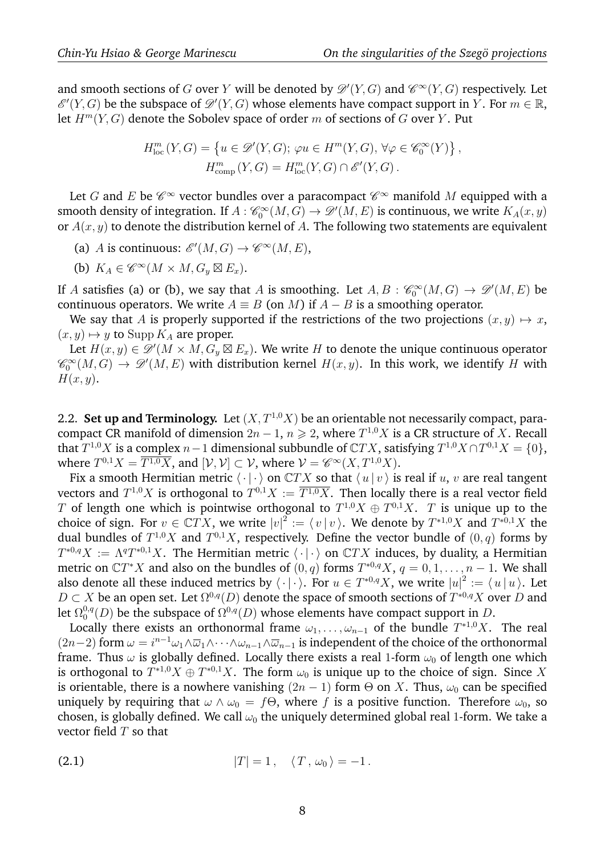and smooth sections of G over Y will be denoted by  $\mathscr{D}'(Y,G)$  and  $\mathscr{C}^{\infty}(Y,G)$  respectively. Let  $\mathscr{E}'(Y,G)$  be the subspace of  $\mathscr{D}'(Y,G)$  whose elements have compact support in Y. For  $m \in \mathbb{R}$ , let  $H^m(Y, G)$  denote the Sobolev space of order m of sections of G over Y. Put

$$
H_{\text{loc}}^m(Y, G) = \left\{ u \in \mathcal{D}'(Y, G); \, \varphi u \in H^m(Y, G), \, \forall \varphi \in \mathscr{C}_0^{\infty}(Y) \right\},
$$

$$
H_{\text{comp}}^m(Y, G) = H_{\text{loc}}^m(Y, G) \cap \mathscr{E}'(Y, G).
$$

Let  $G$  and  $E$  be  $\mathscr{C}^\infty$  vector bundles over a paracompact  $\mathscr{C}^\infty$  manifold  $M$  equipped with a smooth density of integration. If  $A: \mathscr{C}_0^\infty(M,G) \to \mathscr{D}'(M,E)$  is continuous, we write  $K_A(x,y)$ or  $A(x, y)$  to denote the distribution kernel of A. The following two statements are equivalent

- (a) A is continuous:  $\mathscr{E}'(M, G) \to \mathscr{C}^{\infty}(M, E)$ ,
- (b)  $K_A \in \mathscr{C}^\infty(M \times M, G_y \boxtimes E_x)$ .

If A satisfies (a) or (b), we say that A is smoothing. Let  $A, B: \mathscr{C}_0^{\infty}(M, G) \to \mathscr{D}'(M, E)$  be continuous operators. We write  $A \equiv B$  (on M) if  $A - B$  is a smoothing operator.

We say that A is properly supported if the restrictions of the two projections  $(x, y) \mapsto x$ ,  $(x, y) \mapsto y$  to Supp  $K_A$  are proper.

Let  $H(x, y) \in \mathscr{D}'(M \times M, G_y \boxtimes E_x)$ . We write H to denote the unique continuous operator  $\mathscr{C}_0^{\infty}(M,G) \to \mathscr{D}'(M,E)$  with distribution kernel  $H(x,y)$ . In this work, we identify H with  $H(x, y)$ .

2.2. **Set up and Terminology.** Let  $(X, T^{1,0}X)$  be an orientable not necessarily compact, paracompact CR manifold of dimension  $2n-1$ ,  $n \geq 2$ , where  $T^{1,0}X$  is a CR structure of X. Recall that  $T^{1,0}X$  is a complex  $n-1$  dimensional subbundle of  $\mathbb{C}TX$ , satisfying  $T^{1,0}X\cap T^{0,1}X=\{0\},$ where  $T^{0,1}X=\overline{T^{1,0}X},$  and  $[\mathcal{V},\mathcal{V}]\subset \mathcal{V},$  where  $\mathcal{V}=\mathscr{C}^\infty(X,T^{1,0}X).$ 

Fix a smooth Hermitian metric  $\langle \cdot | \cdot \rangle$  on  $\mathbb{C}TX$  so that  $\langle u | v \rangle$  is real if u, v are real tangent vectors and  $T^{1,0}X$  is orthogonal to  $T^{0,1}X:=\overline{T^{1,0}X}.$  Then locally there is a real vector field T of length one which is pointwise orthogonal to  $T^{1,0}X \oplus T^{0,1}X$ . T is unique up to the choice of sign. For  $v \in \mathbb{C}TX$ , we write  $|v|^2 := \langle v | v \rangle$ . We denote by  $T^{*1,0}X$  and  $T^{*0,1}X$  the dual bundles of  $T^{1,0}X$  and  $T^{0,1}X$ , respectively. Define the vector bundle of  $(0,q)$  forms by  $T^{*0,q}X := \Lambda^qT^{*0,1}X$ . The Hermitian metric  $\langle\cdot\mid\cdot\rangle$  on  $\mathbb CTX$  induces, by duality, a Hermitian metric on  $\mathbb{C}T^{*}X$  and also on the bundles of  $(0, q)$  forms  $T^{*0,q}X$ ,  $q = 0, 1, \ldots, n - 1$ . We shall also denote all these induced metrics by  $\langle \cdot | \cdot \rangle$ . For  $u \in T^{*0,q}X$ , we write  $|u|^2 := \langle u | u \rangle$ . Let  $D \subset X$  be an open set. Let  $\Omega^{0,q}(D)$  denote the space of smooth sections of  $T^{*0,q}X$  over  $D$  and let  $\Omega_0^{0,q}$  $\ ^{0,q}_{0}(D)$  be the subspace of  $\Omega^{0,q}(D)$  whose elements have compact support in  $D.$ 

Locally there exists an orthonormal frame  $\omega_1, \ldots, \omega_{n-1}$  of the bundle  $T^{*1,0}X$ . The real  $(2n-2)$  form  $\omega = i^{n-1}\omega_1\wedge\overline{\omega}_1\wedge\cdots\wedge\omega_{n-1}\wedge\overline{\omega}_{n-1}$  is independent of the choice of the orthonormal frame. Thus  $\omega$  is globally defined. Locally there exists a real 1-form  $\omega_0$  of length one which is orthogonal to  $T^{*1,0}X\oplus T^{*0,1}X.$  The form  $\omega_0$  is unique up to the choice of sign. Since  $X$ is orientable, there is a nowhere vanishing  $(2n - 1)$  form  $\Theta$  on X. Thus,  $\omega_0$  can be specified uniquely by requiring that  $\omega \wedge \omega_0 = f\Theta$ , where f is a positive function. Therefore  $\omega_0$ , so chosen, is globally defined. We call  $\omega_0$  the uniquely determined global real 1-form. We take a vector field  $T$  so that

$$
|T|=1, \quad \langle T,\,\omega_0\,\rangle=-1\,.
$$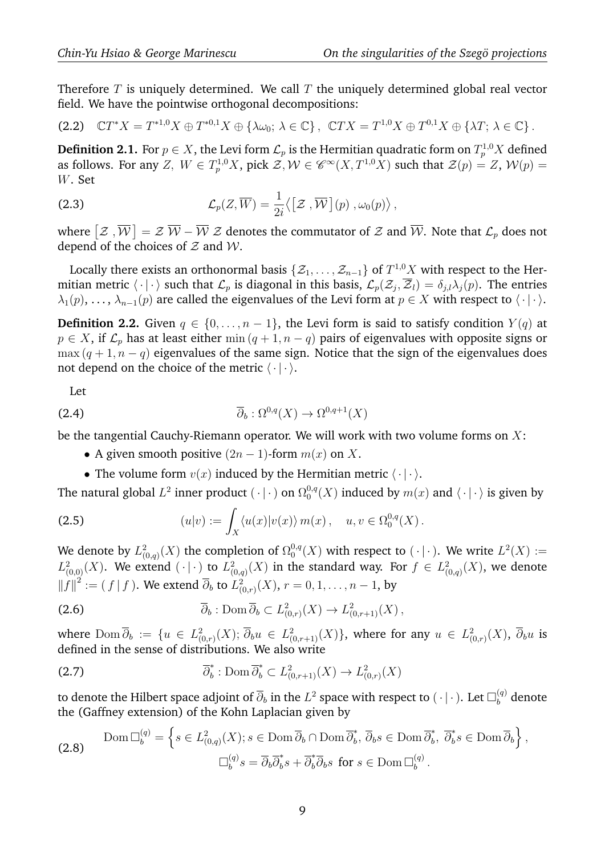Therefore  $T$  is uniquely determined. We call  $T$  the uniquely determined global real vector field. We have the pointwise orthogonal decompositions:

$$
(2.2) \quad \mathbb{C}T^*X = T^{*1,0}X \oplus T^{*0,1}X \oplus {\lambda\omega_0}; \ \lambda \in \mathbb{C} \}, \ \mathbb{C}TX = T^{1,0}X \oplus T^{0,1}X \oplus {\lambda T}; \ \lambda \in \mathbb{C} \}.
$$

**Definition 2.1.** For  $p \in X$ , the Levi form  $\mathcal{L}_p$  is the Hermitian quadratic form on  $T^{1,0}_pX$  defined as follows. For any Z,  $W \in T_p^{1,0}X$ , pick  $\mathcal{Z}, \mathcal{W} \in \mathscr{C}^\infty(X,T^{1,0}X)$  such that  $\mathcal{Z}(p) = Z$ ,  $\mathcal{W}(p) =$ W. Set

(2.3) 
$$
\mathcal{L}_p(Z,\overline{W})=\frac{1}{2i}\langle \big[\mathcal{Z},\overline{W}\big](p),\omega_0(p)\rangle,
$$

where  $[\mathcal{Z}$  ,  $\overline{\mathcal{W}}]=\mathcal{Z}$   $\overline{\mathcal{W}}-\overline{\mathcal{W}}$   $\mathcal{Z}$  denotes the commutator of  $\mathcal Z$  and  $\overline{\mathcal{W}}.$  Note that  $\mathcal L_p$  does not depend of the choices of  $Z$  and  $W$ .

Locally there exists an orthonormal basis  $\{\mathcal{Z}_1,\ldots,\mathcal{Z}_{n-1}\}$  of  $T^{1,0}X$  with respect to the Hermitian metric  $\langle\,\cdot\,|\,\cdot\,\rangle$  such that  $\cal L_p$  is diagonal in this basis,  $\cal L_p(Z_j,\overline{Z_l})=\delta_{j,l}\lambda_j(p).$  The entries  $\lambda_1(p), \ldots, \lambda_{n-1}(p)$  are called the eigenvalues of the Levi form at  $p \in X$  with respect to  $\langle \cdot | \cdot \rangle$ .

**Definition 2.2.** Given  $q \in \{0, \ldots, n-1\}$ , the Levi form is said to satisfy condition  $Y(q)$  at  $p \in X$ , if  $\mathcal{L}_p$  has at least either min  $(q+1, n-q)$  pairs of eigenvalues with opposite signs or  $\max(q+1, n-q)$  eigenvalues of the same sign. Notice that the sign of the eigenvalues does not depend on the choice of the metric  $\langle \cdot | \cdot \rangle$ .

Let

$$
\overline{\partial}_b : \Omega^{0,q}(X) \to \Omega^{0,q+1}(X)
$$

be the tangential Cauchy-Riemann operator. We will work with two volume forms on  $X$ :

- A given smooth positive  $(2n 1)$ -form  $m(x)$  on X.
- The volume form  $v(x)$  induced by the Hermitian metric  $\langle \cdot | \cdot \rangle$ .

The natural global  $L^2$  inner product  $(\cdot | \cdot)$  on  $\Omega_0^{0,q}$  $\mathcal{C}^{0,q}_0(X)$  induced by  $m(x)$  and  $\langle\,\cdot\,|\,\cdot\,\rangle$  is given by

(2.5) 
$$
(u|v) := \int_X \langle u(x)|v(x)\rangle m(x), \quad u, v \in \Omega_0^{0,q}(X).
$$

We denote by  $L^2_{(0,q)}(X)$  the completion of  $\Omega^{0,q}_0$  $_{0}^{0,q}(X)$  with respect to  $(\,\cdot\,|\,\cdot\,) .$  We write  $L^{2}(X) :=$  $L^2_{(0,0)}(X)$ . We extend  $(\cdot | \cdot)$  to  $L^2_{(0,q)}(X)$  in the standard way. For  $f \in L^2_{(0,q)}(X)$ , we denote  $\|f\|^2:=(|f||f|)$ . We extend  $\overline{\partial}_b$  to  $L^2_{(0,r)}(X), r=0,1,\ldots,n-1$ , by

(2.6) 
$$
\overline{\partial}_b : \text{Dom }\overline{\partial}_b \subset L^2_{(0,r)}(X) \to L^2_{(0,r+1)}(X),
$$

where  $\mathrm{Dom}\,\overline{\partial}_b:=\{u\,\in\,L^2_{(0,r)}(X);\,\overline{\partial}_b u\,\in\,L^2_{(0,r+1)}(X)\},$  where for any  $u\,\in\,L^2_{(0,r)}(X),\,\overline{\partial}_b u$  is defined in the sense of distributions. We also write

(2.7) 
$$
\overline{\partial}_b^* : \text{Dom } \overline{\partial}_b^* \subset L^2_{(0,r+1)}(X) \to L^2_{(0,r)}(X)
$$

to denote the Hilbert space adjoint of  $\overline\partial_b$  in the  $L^2$  space with respect to  $(\,\cdot\,|\,\cdot\,)$ . Let  $\Box_b^{(q)}$  denote the (Gaffney extension) of the Kohn Laplacian given by

$$
\text{(2.8)} \quad \text{Dom } \overline{\square}_{b}^{(q)} = \left\{ s \in L_{(0,q)}^2(X); s \in \text{Dom } \overline{\partial}_b \cap \text{Dom } \overline{\partial}_b^*, \overline{\partial}_b s \in \text{Dom } \overline{\partial}_b^*, \overline{\partial}_b^* s \in \text{Dom } \overline{\partial}_b \right\},\
$$
\n
$$
\overline{\square}_{b}^{(q)} s = \overline{\partial}_b \overline{\partial}_b^* s + \overline{\partial}_b^* \overline{\partial}_b s \text{ for } s \in \text{Dom } \overline{\square}_{b}^{(q)}.
$$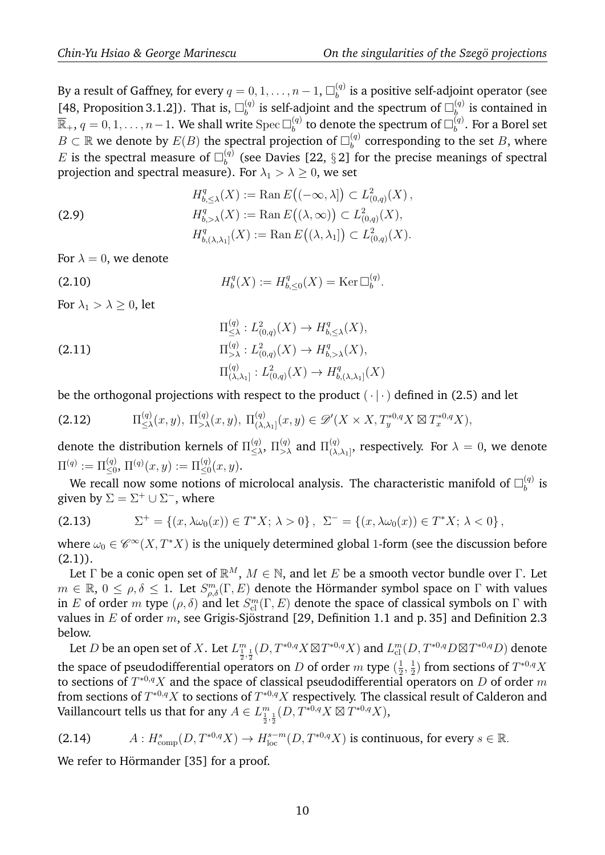By a result of Gaffney, for every  $q=0,1,\ldots,n-1,$   $\Box^{(q)}_b$  $\binom{q}{b}$  is a positive self-adjoint operator (see [48, Proposition 3.1.2]). That is,  $\square_b^{(q)}$  $\mathbf{b}_{b}^{(q)}$  is self-adjoint and the spectrum of  $\Box_{b}^{(q)}$  $b_i^{(q)}$  is contained in  $\overline{\mathbb{R}}_+, \, q=0,1,\ldots,n-1.$  We shall write  $\mathrm{Spec\,}\Box^{(q)}_b$  $\mathbf{b}_b^{(q)}$  to denote the spectrum of  $\Box_b^{(q)}$  $b^{(q)}$ . For a Borel set  $B \subset \mathbb{R}$  we denote by  $E(B)$  the spectral projection of  $\square_b^{(q)}$  $b^{(q)}_b$  corresponding to the set  $B$ , where E is the spectral measure of  $\square_b^{(q)}$  $b_b^{(q)}$  (see Davies [22,  $\S 2$ ] for the precise meanings of spectral projection and spectral measure). For  $\lambda_1 > \lambda > 0$ , we set

(2.9) 
$$
H_{b,\leq \lambda}^q(X) := \text{Ran}\, E\big((-\infty,\lambda]\big) \subset L_{(0,q)}^2(X), H_{b,\geq \lambda}^q(X) := \text{Ran}\, E\big((\lambda,\infty)\big) \subset L_{(0,q)}^2(X), H_{b,(\lambda,\lambda_1]}^q(X) := \text{Ran}\, E\big((\lambda,\lambda_1]\big) \subset L_{(0,q)}^2(X).
$$

For  $\lambda = 0$ , we denote

(2.10) 
$$
H_b^q(X) := H_{b, \leq 0}^q(X) = \text{Ker } \Box_b^{(q)}.
$$

For  $\lambda_1 > \lambda > 0$ , let

(2.11)  
\n
$$
\Pi_{\leq \lambda}^{(q)} : L^2_{(0,q)}(X) \to H^q_{b,\leq \lambda}(X),
$$
\n
$$
\Pi_{> \lambda}^{(q)} : L^2_{(0,q)}(X) \to H^q_{b,\geq \lambda}(X),
$$
\n
$$
\Pi_{(\lambda, \lambda_1]}^{(q)} : L^2_{(0,q)}(X) \to H^q_{b,(\lambda, \lambda_1]}(X)
$$

be the orthogonal projections with respect to the product  $( \cdot | \cdot )$  defined in (2.5) and let

$$
(2.12) \t \Pi_{\leq \lambda}^{(q)}(x,y), \ \Pi_{>\lambda}^{(q)}(x,y), \ \Pi_{(\lambda,\lambda_1]}^{(q)}(x,y) \in \mathscr{D}'(X \times X, T_y^{*0,q} X \boxtimes T_x^{*0,q} X),
$$

denote the distribution kernels of  $\Pi_{\leq \lambda}^{(q)}$  $\sum_{\leq \lambda}^{(q)}$ ,  $\Pi_{>\lambda}^{(q)}$  and  $\Pi_{(\lambda)}^{(q)}$  $\chi^{(q)}_{(\lambda,\lambda_1]}$ , respectively. For  $\lambda = 0$ , we denote  $\Pi^{(q)} := \Pi^{(q)}_{\leq 0},\, \Pi^{(q)}(x,y) := \Pi^{(q)}_{\leq 0}(x,y).$ 

We recall now some notions of microlocal analysis. The characteristic manifold of  $\square_b^{(q)}$  $b^{(q)}$  is given by  $\Sigma = \Sigma^+ \cup \Sigma^-$ , where

$$
(2.13) \t\Sigma^+ = \{(x, \lambda \omega_0(x)) \in T^*X; \lambda > 0\}, \ \Sigma^- = \{(x, \lambda \omega_0(x)) \in T^*X; \lambda < 0\},
$$

where  $\omega_0 \in \mathscr{C}^\infty(X,T^*X)$  is the uniquely determined global 1-form (see the discussion before  $(2.1)$ .

Let  $\Gamma$  be a conic open set of  $\mathbb{R}^M$ ,  $M \in \mathbb{N}$ , and let  $E$  be a smooth vector bundle over  $\Gamma$ . Let  $m \in \mathbb{R}$ ,  $0 \le \rho, \delta \le 1$ . Let  $S^m_{\rho,\delta}(\Gamma, E)$  denote the Hörmander symbol space on  $\Gamma$  with values in E of order m type  $(\rho, \delta)$  and let  $S^m_{\text{cl}}(\Gamma, E)$  denote the space of classical symbols on  $\Gamma$  with values in  $E$  of order  $m$ , see Grigis-Sjöstrand [29, Definition 1.1 and p. 35] and Definition 2.3 below.

Let  $D$  be an open set of  $X.$  Let  $L^m_{\frac{1}{2},\frac{1}{2}}(D,T^{*0,q}X\boxtimes T^{*0,q}X)$  and  $L^m_{\text{cl}}(D,T^{*0,q}D\boxtimes T^{*0,q}D)$  denote the space of pseudodifferential operators on D of order m type  $(\frac{1}{2})$  $\frac{1}{2}, \frac{1}{2}$  $(\frac{1}{2})$  from sections of  $T^{*0,q}X$ to sections of  $T^{*0,q}X$  and the space of classical pseudodifferential operators on  $D$  of order  $m$ from sections of  $T^{*0,q}X$  to sections of  $T^{*0,q}X$  respectively. The classical result of Calderon and Vaillancourt tells us that for any  $A\in L^m_{\frac{1}{2},\frac{1}{2}}(D,T^{*0,q}X\boxtimes T^{*0,q}X),$ 

(2.14) 
$$
A: H^s_{\text{comp}}(D, T^{*0,q}X) \to H^{s-m}_{\text{loc}}(D, T^{*0,q}X) \text{ is continuous, for every } s \in \mathbb{R}.
$$

We refer to Hörmander [35] for a proof.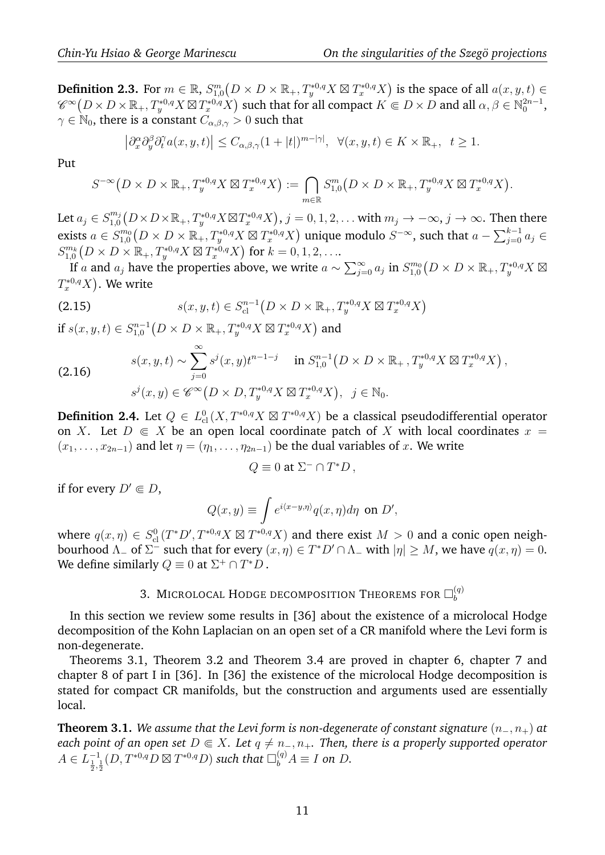**Definition 2.3.** For  $m \in \mathbb{R}$ ,  $S^{m}_{1,0}(D \times D \times \mathbb{R}_+, T^{*0,q}_y X \boxtimes T^{*0,q}_x X)$  is the space of all  $a(x, y, t) \in$  $\mathscr{C}^{\infty}\big(D\times D\times \mathbb{R}_+, T^{*0,q}_yX\boxtimes T^{*0,q}_xX\big)$  such that for all compact  $K\Subset D\times D$  and all  $\alpha,\beta\in \mathbb{N}_0^{2n-1},$  $\gamma \in \mathbb{N}_0$ , there is a constant  $C_{\alpha,\beta,\gamma} > 0$  such that

$$
\left|\partial_x^{\alpha}\partial_y^{\beta}\partial_t^{\gamma}a(x,y,t)\right|\leq C_{\alpha,\beta,\gamma}(1+|t|)^{m-|\gamma|},\ \ \forall (x,y,t)\in K\times\mathbb{R}_+,\ \ t\geq 1.
$$

Put

$$
S^{-\infty}(D \times D \times \mathbb{R}_+, T_y^{*0,q} X \boxtimes T_x^{*0,q} X) := \bigcap_{m \in \mathbb{R}} S_{1,0}^m(D \times D \times \mathbb{R}_+, T_y^{*0,q} X \boxtimes T_x^{*0,q} X).
$$

Let  $a_j \in S^{m_j}_{1,0}$  $_{1,0}^{m_j}\bigl(D\times D\times \mathbb{R}_+, T_y^{*0,q}X\boxtimes T_x^{*0,q}X\bigr),$   $j=0,1,2,\ldots$  with  $m_j\to -\infty,$   $j\to\infty.$  Then there exists  $a \in S^{m_0}_{1,0} \big( D \times D \times \mathbb{R}_+, T^{*0,q}_y X \boxtimes T^{*0,q}_x X \big)$  unique modulo  $S^{-\infty}$ , such that  $a - \sum_{j=0}^{k-1} a_j \in$  $S^{m_k}_{1,0}\bigl(D\times D\times \mathbb{R}_+, T^{*0,q}_yX\boxtimes T^{*0,q}_xX\bigr) \text{ for } k=0,1,2,\ldots.$ 

If  $a$  and  $a_j$  have the properties above, we write  $a\sim\sum_{j=0}^\infty a_j$  in  $S^{m_0}_{1,0}\bigl(D\times D\times\mathbb{R}_+,T^{*0,q}_yX\bigr)\boxtimes$  $T^{*0,q}_xX).$  We write

(2.15) 
$$
s(x, y, t) \in S_{\text{cl}}^{n-1}(D \times D \times \mathbb{R}_+, T_y^{*0,q} X \boxtimes T_x^{*0,q} X)
$$

if  $s(x, y, t) \in S^{n-1}_{1,0} (D \times D \times \mathbb{R}_+, T^{*0,q}_y X \boxtimes T^{*0,q}_x X)$  and

(2.16) 
$$
s(x, y, t) \sim \sum_{j=0}^{\infty} s^j(x, y)t^{n-1-j} \quad \text{in } S_{1,0}^{n-1}(D \times D \times \mathbb{R}_+, T_y^{*0,q} X \boxtimes T_x^{*0,q} X),
$$

$$
s^j(x, y) \in \mathscr{C}^{\infty}(D \times D, T_y^{*0,q} X \boxtimes T_x^{*0,q} X), \ \ j \in \mathbb{N}_0.
$$

**Definition 2.4.** Let  $Q \in L^0_{\text{cl}}(X,T^{*0,q}X \boxtimes T^{*0,q}X)$  be a classical pseudodifferential operator on X. Let  $D \in X$  be an open local coordinate patch of X with local coordinates  $x =$  $(x_1, \ldots, x_{2n-1})$  and let  $\eta = (\eta_1, \ldots, \eta_{2n-1})$  be the dual variables of x. We write

$$
Q \equiv 0 \text{ at } \Sigma^- \cap T^*D,
$$

if for every  $D' \in D$ ,

$$
Q(x,y) \equiv \int e^{i\langle x-y,\eta \rangle} q(x,\eta) d\eta \text{ on } D',
$$

where  $q(x, \eta) \in S^0_{\text{cl}}(T^*D', T^{*0,q}X \boxtimes T^{*0,q}X)$  and there exist  $M > 0$  and a conic open neighbourhood  $\Lambda_-$  of  $\Sigma^-$  such that for every  $(x, \eta) \in T^*D' \cap \Lambda_-$  with  $|\eta| \ge M$ , we have  $q(x, \eta) = 0$ . We define similarly  $Q \equiv 0$  at  $\Sigma^+ \cap T^*D$ .

#### 3. MICROLOCAL HODGE DECOMPOSITION THEOREMS FOR  $\square^{(q)}_b$ b

In this section we review some results in [36] about the existence of a microlocal Hodge decomposition of the Kohn Laplacian on an open set of a CR manifold where the Levi form is non-degenerate.

Theorems 3.1, Theorem 3.2 and Theorem 3.4 are proved in chapter 6, chapter 7 and chapter 8 of part I in [36]. In [36] the existence of the microlocal Hodge decomposition is stated for compact CR manifolds, but the construction and arguments used are essentially local.

**Theorem 3.1.** *We assume that the Levi form is non-degenerate of constant signature* (n−, n+) *at each point of an open set*  $D \in X$ *. Let*  $q \neq n_-, n_+$ *. Then, there is a properly supported operator*  $A\in L^{-1}_{\frac{1}{2},\frac{1}{2}}(D,T^{*0,q}D\boxtimes T^{*0,q}D)$  such that  $\Box_{b}^{(q)}A\equiv I$  on  $D.$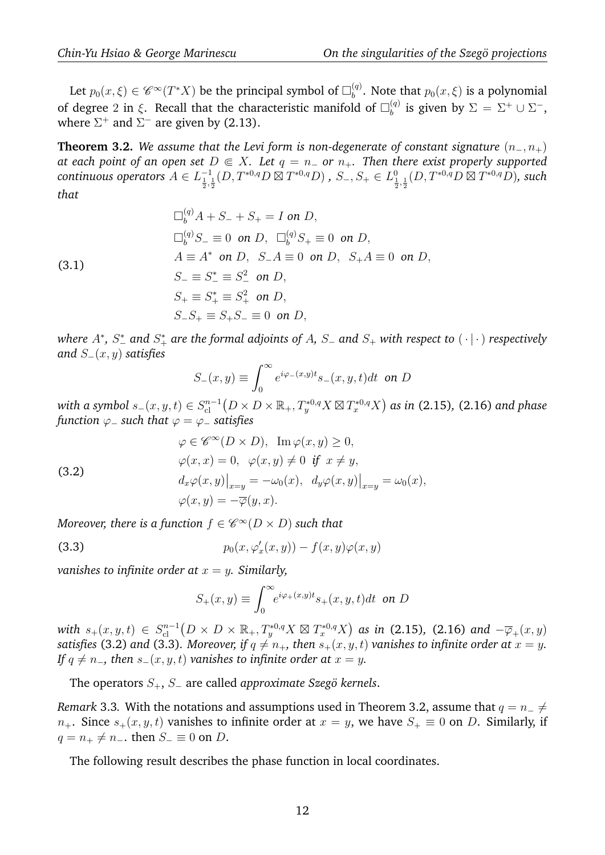Let  $p_0(x,\xi) \in \mathscr{C}^{\infty}(T^*X)$  be the principal symbol of  $\square_b^{(q)}$  $b^{(q)}$ . Note that  $p_0(x,\xi)$  is a polynomial of degree 2 in  $\xi$ . Recall that the characteristic manifold of  $\square_b^{(q)}$  $\delta_b^{(q)}$  is given by  $\Sigma = \Sigma^+ \cup \Sigma^-,$ where  $\Sigma^+$  and  $\Sigma^-$  are given by (2.13).

**Theorem 3.2.** *We assume that the Levi form is non-degenerate of constant signature* (n<sub>−</sub>, n<sub>+</sub>)  $a$ *t each point of an open set*  $D \Subset X$ *. Let*  $q = n_-$  *or*  $n_+$ *. Then there exist properly supported*  $\textit{continuous operators } A \in L^{-1}_{\frac{1}{2}, \frac{1}{2}}(D, T^{*0,q}D \boxtimes T^{*0,q}D)$  ,  $S_-, S_+ \in L^0_{\frac{1}{2}, \frac{1}{2}}(D, T^{*0,q}D \boxtimes T^{*0,q}D)$ , such *that*

 $\Box_b^{(q)}A + S_- + S_+ = I$  on D,  $\square_b^{(q)} S_-\equiv 0 \ \ on \ D, \ \ \square_b^{(q)} S_+\equiv 0 \ \ on \ D,$  $A \equiv A^*$  *on* D,  $S_A \equiv 0$  *on* D,  $S_+A \equiv 0$  *on* D,  $S_-\equiv S^*_- \equiv S^2_-$  on D,  $S_+ \equiv S_+^* \equiv S_+^2$  on D,  $S-S_+ \equiv S_+S_-\equiv 0$  *on* D, (3.1)

 $\omega$  *where A\*, S*\*\_ and S<sup>\*</sup>+ are the formal adjoints of A, S<sup>−</sup> and S<sub>+</sub> with respect to  $(\,\cdot\,|\,\cdot\,)$  respectively *and* S−(x, y) *satisfies*

$$
S_{-}(x,y) \equiv \int_0^\infty e^{i\varphi_{-}(x,y)t} s_{-}(x,y,t) dt \text{ on } D
$$

 $with$  a symbol  $s_-(x,y,t)\in S^{n-1}_\mathrm{cl}\bigl(D\times D\times \mathbb{R}_+, T^{*0,q}_yX\boxtimes T^{*0,q}_xX\bigr)$  as in (2.15), (2.16) and phase *function*  $\varphi$  *such that*  $\varphi = \varphi$  *satisfies* 

(3.2)  
\n
$$
\varphi \in \mathscr{C}^{\infty}(D \times D), \ \mathrm{Im} \ \varphi(x, y) \ge 0,
$$
\n
$$
\varphi(x, x) = 0, \ \varphi(x, y) \ne 0 \ \text{if} \ x \ne y,
$$
\n
$$
d_x \varphi(x, y)|_{x=y} = -\omega_0(x), \ d_y \varphi(x, y)|_{x=y} = \omega_0(x),
$$
\n
$$
\varphi(x, y) = -\overline{\varphi}(y, x).
$$

 $M$ oreover, there is a function  $f \in \mathscr{C}^{\infty}(D \times D)$  such that

$$
(3.3) \t\t\t p_0(x, \varphi'_x(x, y)) - f(x, y)\varphi(x, y)
$$

*vanishes to infinite order at*  $x = y$ *. Similarly,* 

$$
S_+(x,y) \equiv \int_0^\infty e^{i\varphi_+(x,y)t} s_+(x,y,t) dt \text{ on } D
$$

 $\textit{with}\;\, s_+(x,y,t)\;\in\; S^{n-1}_\text{cl}\bigl(D\times D\times \mathbb{R}_+, T^{*0,q}_yX\boxtimes T^{*0,q}_xX\bigr)\;\,\textit{as in}\;\, \text{(2.15)},\;\text{(2.16)}\;\,\textit{and}\;\, -\overline{\varphi}_+(x,y)$ *satisfies* (3.2) and (3.3). Moreover, if  $q \neq n_+$ , then  $s_+(x, y, t)$  vanishes to infinite order at  $x = y$ . *If*  $q \neq n_$ *, then*  $s_-(x, y, t)$  *vanishes to infinite order at*  $x = y$ *.* 

The operators S+, S<sup>−</sup> are called *approximate Szego kernels ¨* .

*Remark* 3.3. With the notations and assumptions used in Theorem 3.2, assume that  $q = n_-\neq$  $n_+$ . Since  $s_+(x, y, t)$  vanishes to infinite order at  $x = y$ , we have  $S_+ \equiv 0$  on D. Similarly, if  $q = n_+ \neq n_-.$  then  $S_- \equiv 0$  on D.

The following result describes the phase function in local coordinates.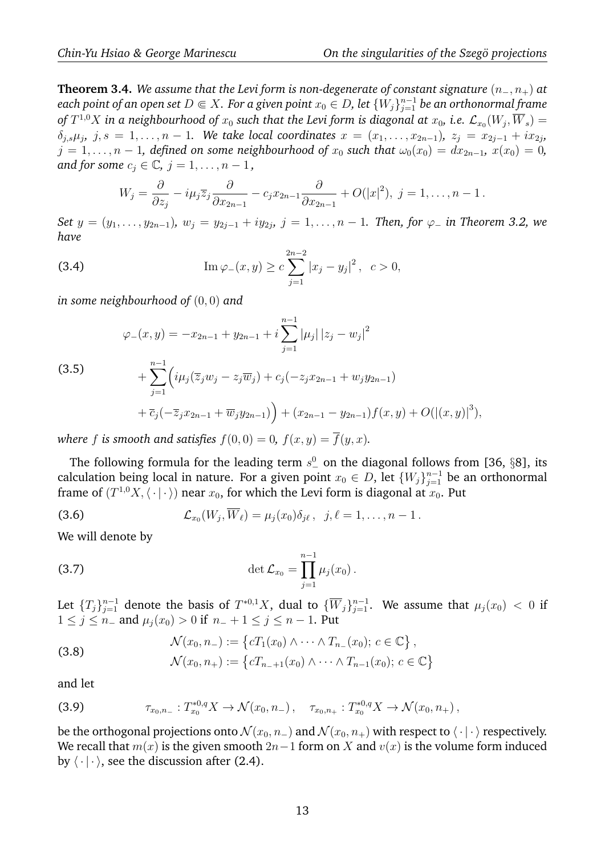**Theorem 3.4.** *We assume that the Levi form is non-degenerate of constant signature* (n−, n+) *at*  $e$ ach point of an open set  $D \Subset X$ . For a given point  $x_0 \in D$ , let  $\{W_j\}_{j=1}^{n-1}$  be an orthonormal frame of  $T^{1,0}X$  in a neighbourhood of  $x_0$  such that the Levi form is diagonal at  $x_0$ , i.e.  ${\cal L}_{x_0}(W_j,\overline{W}_s)=$  $\delta_{j,s}\mu_j$ ,  $j,s = 1,\ldots,n-1$ . We take local coordinates  $x = (x_1,\ldots,x_{2n-1}),\ z_j = x_{2j-1} + ix_{2j},$  $j = 1, \ldots, n - 1$ , defined on some neighbourhood of  $x_0$  such that  $\omega_0(x_0) = dx_{2n-1}$ ,  $x(x_0) = 0$ , *and for some*  $c_j \in \mathbb{C}$ ,  $j = 1, \ldots, n - 1$ ,

$$
W_j = \frac{\partial}{\partial z_j} - i\mu_j \overline{z}_j \frac{\partial}{\partial x_{2n-1}} - c_j x_{2n-1} \frac{\partial}{\partial x_{2n-1}} + O(|x|^2), \ j = 1, \ldots, n-1.
$$

 $Set\ y = (y_1, \ldots, y_{2n-1}),\ w_j = y_{2j-1} + iy_{2j},\ j = 1, \ldots, n-1.$  Then, for  $\varphi_-$  in Theorem 3.2, we *have*

(3.4) 
$$
\operatorname{Im} \varphi_{-}(x, y) \geq c \sum_{j=1}^{2n-2} |x_j - y_j|^2, \quad c > 0,
$$

*in some neighbourhood of* (0, 0) *and*

$$
\varphi_{-}(x,y) = -x_{2n-1} + y_{2n-1} + i \sum_{j=1}^{n-1} |\mu_j| |z_j - w_j|^2
$$

(3.5)

+
$$
\sum_{j=1}^{n-1} \left( i\mu_j(\overline{z}_j w_j - z_j \overline{w}_j) + c_j(-z_j x_{2n-1} + w_j y_{2n-1}) + \overline{c}_j(-\overline{z}_j x_{2n-1} + \overline{w}_j y_{2n-1}) \right) + (x_{2n-1} - y_{2n-1}) f(x, y) + O(|(x, y)|^3),
$$

*where f is smooth and satisfies*  $f(0, 0) = 0$ ,  $f(x, y) = \overline{f}(y, x)$ *.* 

The following formula for the leading term  $s_-^0$  on the diagonal follows from [36,  $\S 8$ ], its calculation being local in nature. For a given point  $x_0 \in D,$  let  $\{W_j\}_{j=1}^{n-1}$  be an orthonormal frame of  $(T^{1,0}X,\langle\,\cdot\,|\,\cdot\,\rangle)$  near  $x_0$ , for which the Levi form is diagonal at  $x_0.$  Put

(3.6) 
$$
\mathcal{L}_{x_0}(W_j, \overline{W}_{\ell}) = \mu_j(x_0)\delta_{j\ell}, \quad j, \ell = 1, \ldots, n-1.
$$

We will denote by

(3.7) 
$$
\det \mathcal{L}_{x_0} = \prod_{j=1}^{n-1} \mu_j(x_0).
$$

Let  $\{T_j\}_{j=1}^{n-1}$  denote the basis of  $T^{*0,1}X$ , dual to  $\{\overline{W}_j\}_{j=1}^{n-1}$ . We assume that  $\mu_j(x_0) < 0$  if  $1 \le j \le n$ <sub>−</sub> and  $\mu_i(x_0) > 0$  if  $n - +1 \le j \le n - 1$ . Put

(3.8) 
$$
\mathcal{N}(x_0, n_-) := \{ cT_1(x_0) \wedge \cdots \wedge T_{n_-}(x_0); c \in \mathbb{C} \},
$$

$$
\mathcal{N}(x_0, n_+) := \{ cT_{n_-+1}(x_0) \wedge \cdots \wedge T_{n-1}(x_0); c \in \mathbb{C} \}
$$

and let

(3.9) 
$$
\tau_{x_0,n_-}: T_{x_0}^{*0,q} X \to \mathcal{N}(x_0,n_-), \quad \tau_{x_0,n_+}: T_{x_0}^{*0,q} X \to \mathcal{N}(x_0,n_+),
$$

be the orthogonal projections onto  $\mathcal{N}(x_0, n_-)$  and  $\mathcal{N}(x_0, n_+)$  with respect to  $\langle \cdot | \cdot \rangle$  respectively. We recall that  $m(x)$  is the given smooth 2n−1 form on X and  $v(x)$  is the volume form induced by  $\langle \cdot | \cdot \rangle$ , see the discussion after (2.4).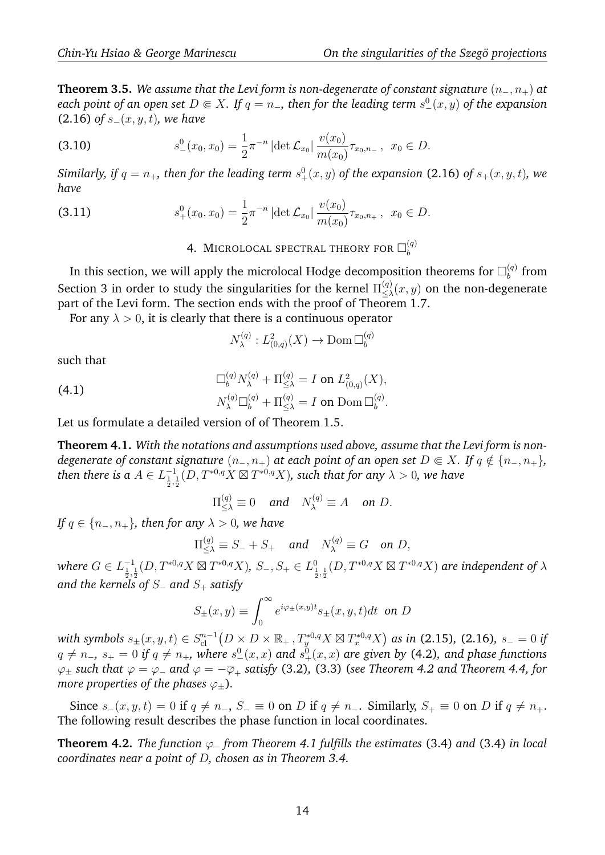**Theorem 3.5.** *We assume that the Levi form is non-degenerate of constant signature* (n−, n+) *at*  $\mathit{each}$  point of an open set  $D \Subset X$ . If  $q = n_-$ , then for the leading term  $s_-^0(x,y)$  of the expansion (2.16) *of* s−(x, y, t)*, we have*

(3.10) 
$$
s_{-}^{0}(x_{0}, x_{0}) = \frac{1}{2} \pi^{-n} |\det \mathcal{L}_{x_{0}}| \frac{v(x_{0})}{m(x_{0})} \tau_{x_{0}, n_{-}}, x_{0} \in D.
$$

*Similarly, if*  $q = n_+$ *, then for the leading term*  $s_+^0(x,y)$  *of the expansion (2.16) of*  $s_+(x,y,t)$ *, we have*

(3.11) 
$$
s_{+}^{0}(x_{0}, x_{0}) = \frac{1}{2} \pi^{-n} |\det \mathcal{L}_{x_{0}}| \frac{v(x_{0})}{m(x_{0})} \tau_{x_{0}, n_{+}}, \ x_{0} \in D.
$$

4. MICROLOCAL SPECTRAL THEORY FOR  $\square_b^{(q)}$ b

In this section, we will apply the microlocal Hodge decomposition theorems for  $\Box_{b}^{(q)}$  $b^{(q)}$  from Section 3 in order to study the singularities for the kernel  $\Pi_{\leq}^{(q)}$  $\zeta^{(q)}_{\leq \lambda}(x,y)$  on the non-degenerate part of the Levi form. The section ends with the proof of Theorem 1.7.

For any  $\lambda > 0$ , it is clearly that there is a continuous operator

$$
N_{\lambda}^{(q)}: L^2_{(0,q)}(X) \to \text{Dom }\Box_b^{(q)}
$$

such that

(4.1) 
$$
\Box_b^{(q)} N_{\lambda}^{(q)} + \Pi_{\leq \lambda}^{(q)} = I \text{ on } L^2_{(0,q)}(X),
$$

$$
N_{\lambda}^{(q)} \Box_b^{(q)} + \Pi_{\leq \lambda}^{(q)} = I \text{ on } \text{Dom } \Box_b^{(q)}.
$$

Let us formulate a detailed version of of Theorem 1.5.

**Theorem 4.1.** *With the notations and assumptions used above, assume that the Levi form is nondegenerate of constant signature*  $(n_-, n_+)$  *at each point of an open set*  $D \in X$ *. If*  $q \notin \{n_-, n_+\}$ *,* then there is a  $A\in L^{-1}_{\frac{1}{2},\frac{1}{2}}(D,T^{*0,q}X\boxtimes T^{*0,q}X)$ , such that for any  $\lambda>0,$  we have

$$
\Pi_{\leq \lambda}^{(q)} \equiv 0 \quad \text{and} \quad N_{\lambda}^{(q)} \equiv A \quad \text{on } D.
$$

*If*  $q \in \{n_-, n_+\}$ *, then for any*  $\lambda > 0$ *, we have* 

$$
\Pi_{\leq \lambda}^{(q)} \equiv S_- + S_+ \quad \text{and} \quad N_{\lambda}^{(q)} \equiv G \quad \text{on } D,
$$

 $where\ G\in L^{-1}_{\frac{1}{2},\frac{1}{2}}(D,T^{*0,q}X\boxtimes T^{*0,q}X),\ S_-,S_+\in L^0_{\frac{1}{2},\frac{1}{2}}(D,T^{*0,q}X\boxtimes T^{*0,q}X)$  are independent of  $\lambda$ *and the kernels of* S<sup>−</sup> *and* S<sup>+</sup> *satisfy*

$$
S_{\pm}(x,y) \equiv \int_0^\infty e^{i\varphi_{\pm}(x,y)t} s_{\pm}(x,y,t)dt \text{ on } D
$$

with symbols  $s_{\pm}(x,y,t)\in S^{n-1}_{\rm cl}\bigl(D\times D\times \mathbb{R}_+, T^{*0,q}_yX\boxtimes T^{*0,q}_xX\bigr)$  as in (2.15), (2.16),  $s_-=0$  if  $q \neq n_-, s_+ = 0$  if  $q \neq n_+,$  where  $s_-^0(x,x)$  and  $s_+^{\tilde{0}}(x,x)$  are given by (4.2), and phase functions  $\varphi$ <sup>±</sup> *such that*  $\varphi = \varphi$ <sup>−</sup> *and*  $\varphi = -\overline{\varphi}$ <sup>+</sup> *satisfy* (3.2), (3.3) (*see Theorem 4.2 and Theorem 4.4, for more properties of the phases*  $\varphi_+$ *).* 

Since  $s_-(x, y, t) = 0$  if  $q \neq n_-, S_- \equiv 0$  on D if  $q \neq n_-.$  Similarly,  $S_+ \equiv 0$  on D if  $q \neq n_+$ . The following result describes the phase function in local coordinates.

**Theorem 4.2.** *The function* ϕ<sup>−</sup> *from Theorem 4.1 fulfills the estimates* (3.4) *and* (3.4) *in local coordinates near a point of* D*, chosen as in Theorem 3.4.*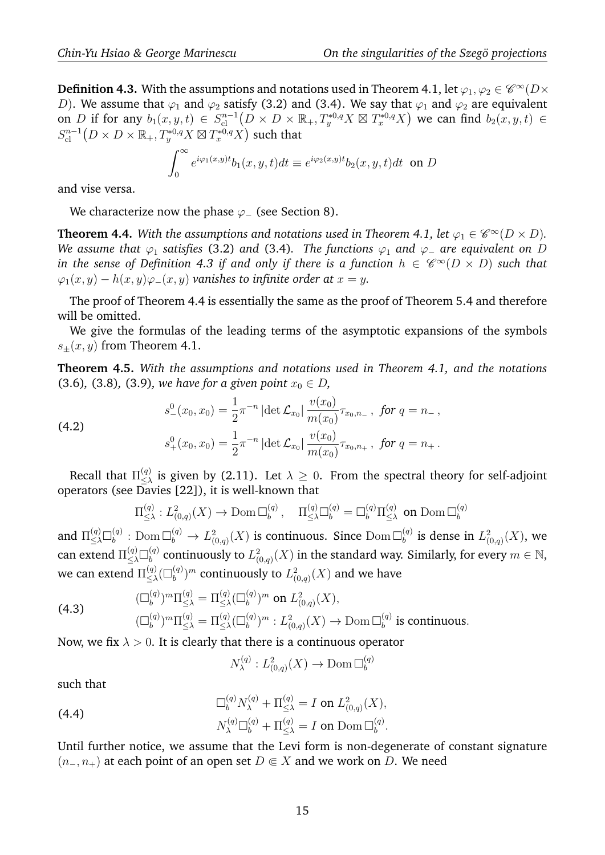**Definition 4.3.** With the assumptions and notations used in Theorem 4.1, let  $\varphi_1, \varphi_2 \in {\mathscr C}^{\infty}(D\times$ D). We assume that  $\varphi_1$  and  $\varphi_2$  satisfy (3.2) and (3.4). We say that  $\varphi_1$  and  $\varphi_2$  are equivalent on D if for any  $b_1(x,y,t) \in S^{n-1}_{cl}(D \times D \times \mathbb{R}_+, T^{*0,q}_y X \boxtimes T^{*0,q}_x X)$  we can find  $b_2(x,y,t) \in$  $S^{n-1}_{\rm cl}\bigl(D\times D\times \mathbb{R}_+, T^{*0,q}_yX\boxtimes T^{*0,q}_xX\bigr)$  such that

$$
\int_0^\infty e^{i\varphi_1(x,y)t} b_1(x,y,t) dt \equiv e^{i\varphi_2(x,y)t} b_2(x,y,t) dt
$$
 on D

and vise versa.

We characterize now the phase  $\varphi$  (see Section 8).

**Theorem 4.4.** With the assumptions and notations used in Theorem 4.1, let  $\varphi_1 \in \mathscr{C}^{\infty}(D \times D)$ . *We assume that*  $\varphi_1$  *satisfies* (3.2) *and* (3.4)*. The functions*  $\varphi_1$  *and*  $\varphi_$ − *are equivalent on* D in the sense of Definition 4.3 if and only if there is a function  $h\,\in\, \mathscr{C}^\infty(D\times D)$  such that  $\varphi_1(x, y) - h(x, y) \varphi_-(x, y)$  *vanishes to infinite order at*  $x = y$ .

The proof of Theorem 4.4 is essentially the same as the proof of Theorem 5.4 and therefore will be omitted.

We give the formulas of the leading terms of the asymptotic expansions of the symbols  $s_{+}(x, y)$  from Theorem 4.1.

**Theorem 4.5.** *With the assumptions and notations used in Theorem 4.1, and the notations* (3.6), (3.8), (3.9), we have for a given point  $x_0 \in D$ ,

(4.2) 
$$
s_{+}^{0}(x_{0}, x_{0}) = \frac{1}{2}\pi^{-n} |\det \mathcal{L}_{x_{0}}| \frac{v(x_{0})}{m(x_{0})} \tau_{x_{0}, n_{-}}, \text{ for } q = n_{-},
$$

$$
s_{+}^{0}(x_{0}, x_{0}) = \frac{1}{2}\pi^{-n} |\det \mathcal{L}_{x_{0}}| \frac{v(x_{0})}{m(x_{0})} \tau_{x_{0}, n_{+}}, \text{ for } q = n_{+}.
$$

Recall that  $\Pi_{\leq \lambda}^{(q)}$  $\zeta_{\leq \lambda}^{(q)}$  is given by (2.11). Let  $\lambda \geq 0$ . From the spectral theory for self-adjoint operators (see Davies [22]), it is well-known that

$$
\Pi_{\leq \lambda}^{(q)} : L^2_{(0,q)}(X) \to \text{Dom } \square_b^{(q)}, \quad \Pi_{\leq \lambda}^{(q)} \square_b^{(q)} = \square_b^{(q)} \Pi_{\leq \lambda}^{(q)} \text{ on } \text{Dom } \square_b^{(q)}
$$

and  $\Pi_{\leq \lambda}^{(q)} \square_b^{(q)}$  $b_b^{(q)}$  : Dom  $\square_b^{(q)} \to L^2_{(0,q)}(X)$  is continuous. Since  $\text{Dom }\square_b^{(q)}$  $b^{(q)}$  is dense in  $L^2_{(0,q)}(X)$ , we can extend  $\Pi^{(q)}_{\leq \lambda} \Box^{(q)}_b$  $\mathcal{L}^{(q)}_b$  continuously to  $L^2_{(0,q)}(X)$  in the standard way. Similarly, for every  $m\in\mathbb{N},$ we can extend  $\Pi^{(q)}_{<\lambda}$  $\leq_\lambda^{(q)}\left(\Box_b^{(q)}\right)$  $\mathcal{L}_{b}^{(q)})^{m}$  continuously to  $L_{(0,q)}^{2}(X)$  and we have

(4.3) 
$$
(\Box_b^{(q)})^m \Pi_{\leq \lambda}^{(q)} = \Pi_{\leq \lambda}^{(q)} (\Box_b^{(q)})^m \text{ on } L^2_{(0,q)}(X),
$$

$$
(\Box_b^{(q)})^m \Pi_{\leq \lambda}^{(q)} = \Pi_{\leq \lambda}^{(q)} (\Box_b^{(q)})^m : L^2_{(0,q)}(X) \to \text{Dom } \Box_b^{(q)} \text{ is continuous.}
$$

Now, we fix  $\lambda > 0$ . It is clearly that there is a continuous operator

$$
N_{\lambda}^{(q)}: L^2_{(0,q)}(X) \to \text{Dom } \square_b^{(q)}
$$

such that

(4.4) 
$$
\Box_b^{(q)} N_{\lambda}^{(q)} + \Pi_{\leq \lambda}^{(q)} = I \text{ on } L^2_{(0,q)}(X),
$$

$$
N_{\lambda}^{(q)} \Box_b^{(q)} + \Pi_{\leq \lambda}^{(q)} = I \text{ on } \text{Dom } \Box_b^{(q)}.
$$

Until further notice, we assume that the Levi form is non-degenerate of constant signature  $(n_-, n_+)$  at each point of an open set  $D \in X$  and we work on D. We need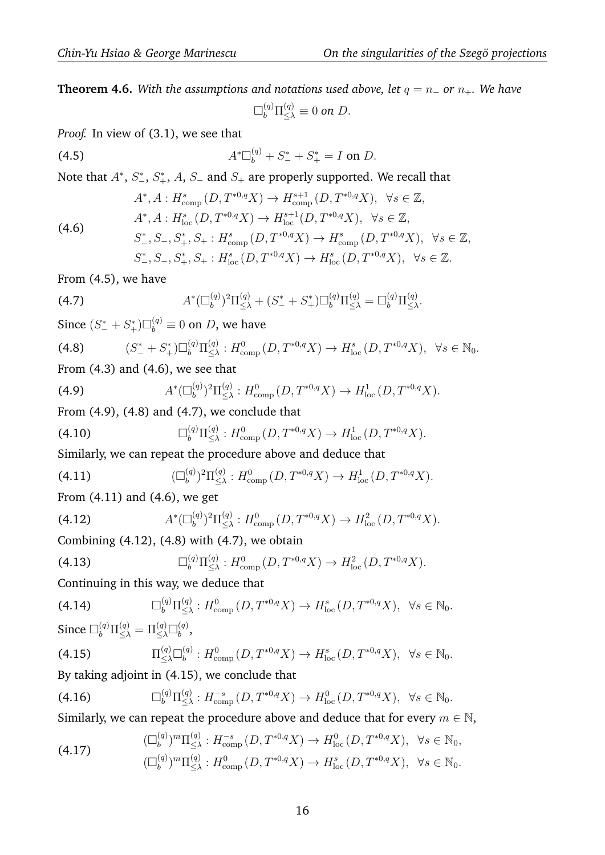**Theorem 4.6.** With the assumptions and notations used above, let  $q = n_0$  or  $n_+$ . We have

$$
\Box_b^{(q)} \Pi_{\leq \lambda}^{(q)} \equiv 0 \text{ on } D.
$$

*Proof.* In view of (3.1), we see that

(4.5) 
$$
A^* \Box_b^{(q)} + S_-^* + S_+^* = I \text{ on } D.
$$

Note that  $A^*$ ,  $S^*_{-}$ ,  $S^*_{+}$ ,  $A$ ,  $S_{-}$  and  $S_{+}$  are properly supported. We recall that

$$
A^*, A: H^s_{\text{comp}}(D, T^{*0,q}X) \to H^{s+1}_{\text{comp}}(D, T^{*0,q}X), \ \ \forall s \in \mathbb{Z},
$$
  

$$
A^*, A: H^s_{\text{loc}}(D, T^{*0,q}X) \to H^{s+1}_{\text{loc}}(D, T^{*0,q}X), \ \ \forall s \in \mathbb{Z},
$$

(4.6)

$$
S_{-}^{*}, S_{-}, S_{+}^{*}, S_{+} : H_{\text{comp}}^{s}(D, T^{*0,q}X) \to H_{\text{comp}}^{s}(D, T^{*0,q}X), \ \ \forall s \in \mathbb{Z},
$$
  

$$
S_{-}^{*}, S_{-}, S_{+}^{*}, S_{+} : H_{\text{loc}}^{s}(D, T^{*0,q}X) \to H_{\text{loc}}^{s}(D, T^{*0,q}X), \ \ \forall s \in \mathbb{Z}.
$$

From (4.5), we have

(4.7) 
$$
A^*(\Box_b^{(q)})^2 \Pi_{\leq \lambda}^{(q)} + (S_-^* + S_+^*) \Box_b^{(q)} \Pi_{\leq \lambda}^{(q)} = \Box_b^{(q)} \Pi_{\leq \lambda}^{(q)}.
$$

Since  $(S^*_{-} + S^*_{+})\Box_b^{(q)} \equiv 0$  on D, we have

$$
(4.8) \qquad (S_{-}^{*} + S_{+}^{*}) \Box_{b}^{(q)} \Pi_{\leq \lambda}^{(q)} : H^{0}_{\text{comp}}(D, T^{*0,q}X) \to H^{s}_{\text{loc}}(D, T^{*0,q}X), \ \forall s \in \mathbb{N}_{0}.
$$

From (4.3) and (4.6), we see that

(4.9) 
$$
A^*(\Box_b^{(q)})^2\Pi_{\leq \lambda}^{(q)} : H^0_{\text{comp}}(D, T^{*0,q}X) \to H^1_{\text{loc}}(D, T^{*0,q}X).
$$

From  $(4.9)$ ,  $(4.8)$  and  $(4.7)$ , we conclude that

(4.10) 
$$
\Box_b^{(q)} \Pi_{\leq \lambda}^{(q)} : H^0_{\text{comp}}(D, T^{*0,q}X) \to H^1_{\text{loc}}(D, T^{*0,q}X).
$$

Similarly, we can repeat the procedure above and deduce that

(4.11) 
$$
(\Box_b^{(q)})^2 \Pi_{\leq \lambda}^{(q)} : H^0_{\text{comp}}(D, T^{*0,q}X) \to H^1_{\text{loc}}(D, T^{*0,q}X).
$$

From (4.11) and (4.6), we get

(4.12) 
$$
A^*(\Box_b^{(q)})^2\Pi_{\leq \lambda}^{(q)} : H^0_{\text{comp}}(D, T^{*0,q}X) \to H^2_{\text{loc}}(D, T^{*0,q}X).
$$

Combining  $(4.12)$ ,  $(4.8)$  with  $(4.7)$ , we obtain

(4.13) 
$$
\Box_b^{(q)} \Pi_{\leq \lambda}^{(q)} : H^0_{\text{comp}}(D, T^{*0,q}X) \to H^2_{\text{loc}}(D, T^{*0,q}X).
$$

Continuing in this way, we deduce that

$$
(4.14) \qquad \Box_b^{(q)} \Pi_{\leq \lambda}^{(q)} : H^0_{\text{comp}}(D, T^{*0,q}X) \to H^s_{\text{loc}}(D, T^{*0,q}X), \ \ \forall s \in \mathbb{N}_0.
$$
\n
$$
\text{Since } \Box_b^{(q)} \Pi_{\leq \lambda}^{(q)} = \Pi_{\leq \lambda}^{(q)} \Box_b^{(q)},
$$
\n
$$
(4.15) \qquad \Pi_{\leq \lambda}^{(q)} \Box_b^{(q)} : H^0_{\text{comp}}(D, T^{*0,q}X) \to H^s_{\text{loc}}(D, T^{*0,q}X), \ \ \forall s \in \mathbb{N}_0.
$$
\n
$$
\text{By taking adjoint in (4.15), we conclude that}
$$

(4.16) 
$$
\Box_b^{(q)} \Pi_{\leq \lambda}^{(q)} : H^{-s}_{\text{comp}}(D, T^{*0,q}X) \to H^0_{\text{loc}}(D, T^{*0,q}X), \ \forall s \in \mathbb{N}_0.
$$

Similarly, we can repeat the procedure above and deduce that for every  $m \in \mathbb{N}$ ,

(4.17) 
$$
\begin{aligned} (\Box_b^{(q)})^m \Pi_{\leq \lambda}^{(q)} : H_{\text{comp}}^{-s} (D, T^{*0,q} X) \to H_{\text{loc}}^0 (D, T^{*0,q} X), \ \ \forall s \in \mathbb{N}_0, \\ (\Box_b^{(q)})^m \Pi_{\leq \lambda}^{(q)} : H_{\text{comp}}^0 (D, T^{*0,q} X) \to H_{\text{loc}}^s (D, T^{*0,q} X), \ \ \forall s \in \mathbb{N}_0. \end{aligned}
$$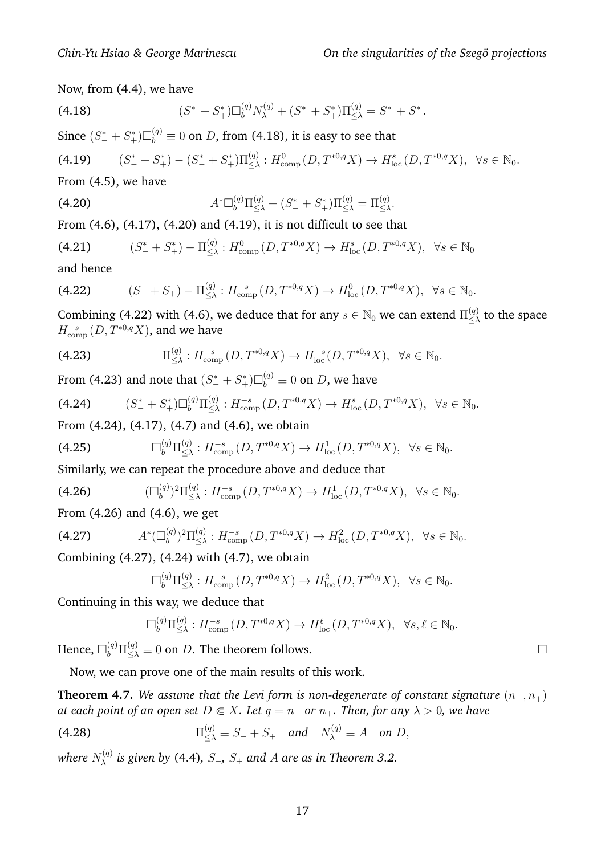Now, from (4.4), we have

(4.18) 
$$
(S_{-}^{*} + S_{+}^{*})\Box_{b}^{(q)}N_{\lambda}^{(q)} + (S_{-}^{*} + S_{+}^{*})\Pi_{\leq \lambda}^{(q)} = S_{-}^{*} + S_{+}^{*}.
$$

Since  $(S^*_{-} + S^*_{+})\Box_b^{(q)} \equiv 0$  on D, from (4.18), it is easy to see that

$$
(4.19) \qquad (S_{-}^{*} + S_{+}^{*}) - (S_{-}^{*} + S_{+}^{*})\Pi_{\leq \lambda}^{(q)} : H_{\text{comp}}^{0}(D, T^{*0,q}X) \to H_{\text{loc}}^{s}(D, T^{*0,q}X), \ \ \forall s \in \mathbb{N}_{0}.
$$

From (4.5), we have

(4.20) 
$$
A^* \Box_b^{(q)} \Pi_{\leq \lambda}^{(q)} + (S_-^* + S_+^*) \Pi_{\leq \lambda}^{(q)} = \Pi_{\leq \lambda}^{(q)}.
$$

From (4.6), (4.17), (4.20) and (4.19), it is not difficult to see that

(4.21) 
$$
(S_{-}^{*} + S_{+}^{*}) - \Pi_{\leq \lambda}^{(q)} : H_{\text{comp}}^{0}(D, T^{*0,q}X) \to H_{\text{loc}}^{s}(D, T^{*0,q}X), \ \forall s \in \mathbb{N}_{0}
$$
and hence

and hence

$$
(4.22) \qquad (S_- + S_+) - \Pi_{\leq \lambda}^{(q)} : H_{\text{comp}}^{-s}(D, T^{*0,q}X) \to H_{\text{loc}}^0(D, T^{*0,q}X), \ \ \forall s \in \mathbb{N}_0.
$$

Combining (4.22) with (4.6), we deduce that for any  $s\in\mathbb N_0$  we can extend  $\Pi_{\leq,0}^{(q)}$  $\zeta_{\leq \lambda}^{(q)}$  to the space  $H^{-s}_{\text{comp}}(D, T^{*0,q}X)$ , and we have

(4.23) 
$$
\Pi_{\leq \lambda}^{(q)} : H_{\text{comp}}^{-s}(D, T^{*0,q}X) \to H_{\text{loc}}^{-s}(D, T^{*0,q}X), \ \forall s \in \mathbb{N}_0.
$$

From (4.23) and note that  $(S_{-}^*+S_{+}^*)\Box_{b}^{(q)}\equiv 0$  on  $D,$  we have

$$
(4.24) \qquad (S^*_{-} + S^*_{+}) \Box_b^{(q)} \Pi_{\leq \lambda}^{(q)} : H^{-s}_{\text{comp}}(D, T^{*0,q}X) \to H^s_{\text{loc}}(D, T^{*0,q}X), \ \ \forall s \in \mathbb{N}_0.
$$

From (4.24), (4.17), (4.7) and (4.6), we obtain

(4.25) 
$$
\Box_b^{(q)} \Pi_{\leq \lambda}^{(q)} : H_{\text{comp}}^{-s} (D, T^{*0,q} X) \to H_{\text{loc}}^1 (D, T^{*0,q} X), \ \forall s \in \mathbb{N}_0.
$$

Similarly, we can repeat the procedure above and deduce that

$$
(4.26) \qquad (\Box_b^{(q)})^2 \Pi_{\leq \lambda}^{(q)} : H^{-s}_{\text{comp}}(D, T^{*0,q}X) \to H^1_{\text{loc}}(D, T^{*0,q}X), \ \ \forall s \in \mathbb{N}_0.
$$

From (4.26) and (4.6), we get

$$
(4.27) \t A^*(\Box_b^{(q)})^2 \Pi_{\leq \lambda}^{(q)} : H_{\text{comp}}^{-s}(D, T^{*0,q}X) \to H_{\text{loc}}^2(D, T^{*0,q}X), \ \ \forall s \in \mathbb{N}_0.
$$

Combining (4.27), (4.24) with (4.7), we obtain

$$
\Box_b^{(q)} \Pi_{\leq \lambda}^{(q)} : H_{\text{comp}}^{-s} (D, T^{*0,q} X) \to H_{\text{loc}}^2 (D, T^{*0,q} X), \ \ \forall s \in \mathbb{N}_0.
$$

Continuing in this way, we deduce that

$$
\Box_b^{(q)} \Pi_{\leq \lambda}^{(q)} : H_{\text{comp}}^{-s} (D, T^{*0,q} X) \to H_{\text{loc}}^{\ell} (D, T^{*0,q} X), \ \ \forall s, \ell \in \mathbb{N}_0.
$$

Hence,  $\Box_b^{(q)} \Pi_{\leq \lambda}^{(q)} \equiv 0$  on D. The theorem follows.

Now, we can prove one of the main results of this work.

**Theorem 4.7.** *We assume that the Levi form is non-degenerate of constant signature* (n<sub>−</sub>, n<sub>+</sub>) *at each point of an open set*  $D \in X$ *. Let*  $q = n_{-}$  *or*  $n_{+}$ *. Then, for any*  $\lambda > 0$ *, we have* 

(4.28) 
$$
\Pi_{\leq \lambda}^{(q)} \equiv S_- + S_+ \quad \text{and} \quad N_{\lambda}^{(q)} \equiv A \quad \text{on } D,
$$

where  $N_{\lambda}^{(q)}$ λ *is given by* (4.4)*,* S−*,* S<sup>+</sup> *and* A *are as in Theorem 3.2.*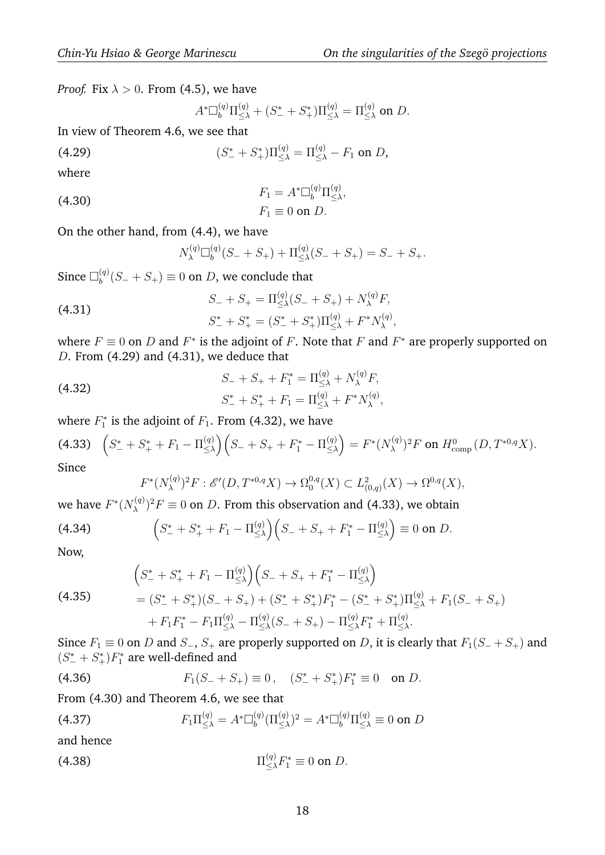*Proof.* Fix  $\lambda > 0$ . From (4.5), we have

$$
A^*\Box_b^{(q)}\Pi_{\leq \lambda}^{(q)} + (S^*_- + S^*_+)\Pi_{\leq \lambda}^{(q)} = \Pi_{\leq \lambda}^{(q)}
$$
 on *D*.

In view of Theorem 4.6, we see that

(4.29) 
$$
(S_{-}^{*} + S_{+}^{*})\Pi_{\leq \lambda}^{(q)} = \Pi_{\leq \lambda}^{(q)} - F_{1} \text{ on } D,
$$

where

(4.30) 
$$
F_1 = A^* \Box_b^{(q)} \Pi_{\leq \lambda}^{(q)}, F_1 \equiv 0 \text{ on } D.
$$

On the other hand, from (4.4), we have

$$
N_{\lambda}^{(q)} \Box_{b}^{(q)}(S_{-} + S_{+}) + \Pi_{\leq \lambda}^{(q)}(S_{-} + S_{+}) = S_{-} + S_{+}.
$$

Since  $\square_b^{(q)}$  $b^{(q)}(S_- + S_+) \equiv 0$  on D, we conclude that

(4.31) 
$$
S_{-} + S_{+} = \Pi_{\leq \lambda}^{(q)} (S_{-} + S_{+}) + N_{\lambda}^{(q)} F,
$$

$$
S_{-}^{*} + S_{+}^{*} = (S_{-}^{*} + S_{+}^{*}) \Pi_{\leq \lambda}^{(q)} + F^{*} N_{\lambda}^{(q)},
$$

where  $F \equiv 0$  on D and  $F^*$  is the adjoint of F. Note that F and  $F^*$  are properly supported on D. From (4.29) and (4.31), we deduce that

(4.32) 
$$
S_{-} + S_{+} + F_{1}^{*} = \Pi_{\leq \lambda}^{(q)} + N_{\lambda}^{(q)} F,
$$

$$
S_{-}^{*} + S_{+}^{*} + F_{1} = \Pi_{\leq \lambda}^{(q)} + F^{*} N_{\lambda}^{(q)},
$$

where  $F_1^*$  is the adjoint of  $F_1$ . From (4.32), we have

(4.33) 
$$
\left(S_{-}^{*} + S_{+}^{*} + F_{1} - \Pi_{\leq \lambda}^{(q)}\right)\left(S_{-} + S_{+} + F_{1}^{*} - \Pi_{\leq \lambda}^{(q)}\right) = F^{*}(N_{\lambda}^{(q)})^{2} F
$$
 on  $H_{\text{comp}}^{0}(D, T^{*0,q}X)$ . Since

Since

$$
F^*(N^{(q)}_{\lambda})^2 F : \mathscr{E}'(D, T^{*0,q}X) \to \Omega^{0,q}_0(X) \subset L^2_{(0,q)}(X) \to \Omega^{0,q}(X),
$$

we have  $F^*(N_{\lambda}^{(q)})$  $(\mathcal{A})^{\{q\}}F \equiv 0$  on D. From this observation and (4.33), we obtain

(4.34) 
$$
\left(S_{-}^{*} + S_{+}^{*} + F_{1} - \Pi_{\leq \lambda}^{(q)}\right)\left(S_{-} + S_{+} + F_{1}^{*} - \Pi_{\leq \lambda}^{(q)}\right) \equiv 0 \text{ on } D.
$$

Now,

(4.35) 
$$
\begin{aligned}\n&\left(S_{-}^{*}+S_{+}^{*}+F_{1}-\Pi_{\leq\lambda}^{(q)}\right)\left(S_{-}+S_{+}+F_{1}^{*}-\Pi_{\leq\lambda}^{(q)}\right) \\
&=(S_{-}^{*}+S_{+}^{*})(S_{-}+S_{+})+(S_{-}^{*}+S_{+}^{*})F_{1}^{*}-(S_{-}^{*}+S_{+}^{*})\Pi_{\leq\lambda}^{(q)}+F_{1}(S_{-}+S_{+}) \\
&+F_{1}F_{1}^{*}-F_{1}\Pi_{\leq\lambda}^{(q)}-\Pi_{\leq\lambda}^{(q)}(S_{-}+S_{+})-\Pi_{\leq\lambda}^{(q)}F_{1}^{*}+\Pi_{\leq\lambda}^{(q)}.\n\end{aligned}
$$

Since  $F_1 \equiv 0$  on D and  $S_-, S_+$  are properly supported on D, it is clearly that  $F_1(S_-, + S_+)$  and  $(S_{-}^{*} + S_{+}^{*})F_{1}^{*}$  are well-defined and

(4.36) 
$$
F_1(S_- + S_+) \equiv 0, \quad (S_-^* + S_+^*)F_1^* \equiv 0 \quad \text{on } D.
$$

From (4.30) and Theorem 4.6, we see that

(4.37) 
$$
F_1 \Pi_{\leq \lambda}^{(q)} = A^* \Box_b^{(q)} (\Pi_{\leq \lambda}^{(q)})^2 = A^* \Box_b^{(q)} \Pi_{\leq \lambda}^{(q)} \equiv 0 \text{ on } D
$$

and hence

$$
\Pi_{\leq \lambda}^{(q)} F_1^* \equiv 0 \text{ on } D.
$$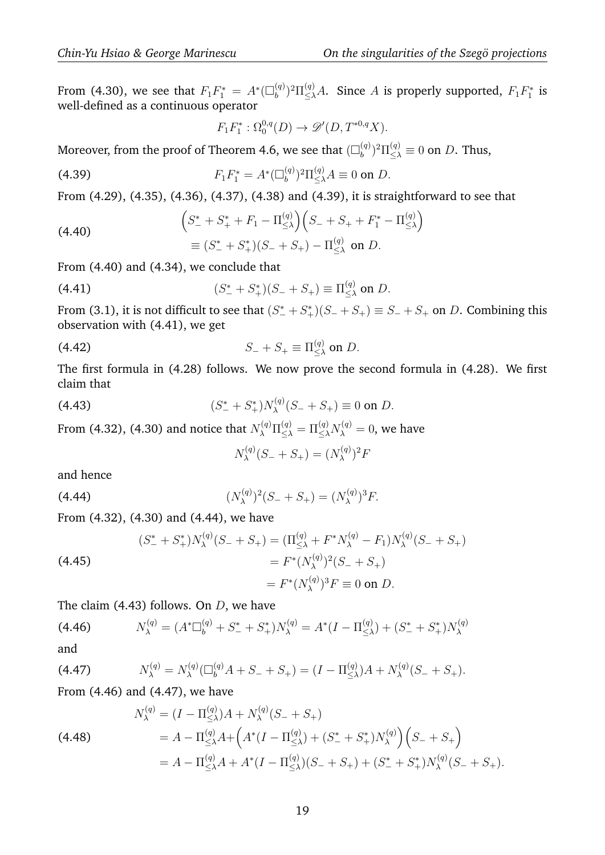From (4.30), we see that  $F_1F_1^*=A^*(\Box_b^{(q)})$  $\sum_{b}^{(q)})^2 \Pi_{\leq \lambda}^{(q)} A$ . Since A is properly supported,  $F_1 F_1^*$  is well-defined as a continuous operator

$$
F_1 F_1^* : \Omega_0^{0,q}(D) \to \mathscr{D}'(D, T^{*0,q}X).
$$

Moreover, from the proof of Theorem 4.6, we see that  $(\Box_{b}^{(q)})$  $\int_b^{(q)}$ )<sup>2</sup> $\Pi_{\leq \lambda}^{(q)} \equiv 0$  on D. Thus,

(4.39) 
$$
F_1 F_1^* = A^* (\Box_b^{(q)})^2 \Pi_{\leq \lambda}^{(q)} A \equiv 0 \text{ on } D.
$$

From (4.29), (4.35), (4.36), (4.37), (4.38) and (4.39), it is straightforward to see that

(4.40)  
\n
$$
\left(S_{-}^{*} + S_{+}^{*} + F_{1} - \Pi_{\leq \lambda}^{(q)}\right)\left(S_{-} + S_{+} + F_{1}^{*} - \Pi_{\leq \lambda}^{(q)}\right)
$$
\n
$$
\equiv (S_{-}^{*} + S_{+}^{*})(S_{-} + S_{+}) - \Pi_{\leq \lambda}^{(q)} \text{ on } D.
$$

From (4.40) and (4.34), we conclude that

(4.41) 
$$
(S_{-}^{*} + S_{+}^{*})(S_{-} + S_{+}) \equiv \Pi_{\leq \lambda}^{(q)} \text{ on } D.
$$

From (3.1), it is not difficult to see that  $(S_{-}^{*} + S_{+}^{*})(S_{-} + S_{+}) \equiv S_{-} + S_{+}$  on D. Combining this observation with (4.41), we get

$$
(4.42) \t\t S_{-} + S_{+} \equiv \Pi_{\leq \lambda}^{(q)} \text{ on } D.
$$

The first formula in (4.28) follows. We now prove the second formula in (4.28). We first claim that

(4.43) 
$$
(S_{-}^{*} + S_{+}^{*})N_{\lambda}^{(q)}(S_{-} + S_{+}) \equiv 0 \text{ on } D.
$$

From (4.32), (4.30) and notice that  $N^{(q)}_\lambda \Pi^{(q)}_{\leq \lambda} = \Pi^{(q)}_{\leq \lambda} N^{(q)}_\lambda = 0,$  we have

$$
N_{\lambda}^{(q)}(S_- + S_+) = (N_{\lambda}^{(q)})^2 F
$$

and hence

(4.44) 
$$
(N_{\lambda}^{(q)})^2(S_-+S_+)=(N_{\lambda}^{(q)})^3F.
$$

From (4.32), (4.30) and (4.44), we have

(4.45)  
\n
$$
(S_{-}^{*} + S_{+}^{*})N_{\lambda}^{(q)}(S_{-} + S_{+}) = (\Pi_{\leq \lambda}^{(q)} + F^{*}N_{\lambda}^{(q)} - F_{1})N_{\lambda}^{(q)}(S_{-} + S_{+})
$$
\n
$$
= F^{*}(N_{\lambda}^{(q)})^{2}(S_{-} + S_{+})
$$
\n
$$
= F^{*}(N_{\lambda}^{(q)})^{3}F \equiv 0 \text{ on } D.
$$

The claim (4.43) follows. On  $D$ , we have

(4.46) 
$$
N_{\lambda}^{(q)} = (A^* \Box_b^{(q)} + S_-^* + S_+^*) N_{\lambda}^{(q)} = A^* (I - \Pi_{\leq \lambda}^{(q)}) + (S_-^* + S_+^*) N_{\lambda}^{(q)}
$$
and

and

(4.47) 
$$
N_{\lambda}^{(q)} = N_{\lambda}^{(q)}(\Box_{b}^{(q)}A + S_{-} + S_{+}) = (I - \Pi_{\leq \lambda}^{(q)})A + N_{\lambda}^{(q)}(S_{-} + S_{+}).
$$

From (4.46) and (4.47), we have

(4.48)  
\n
$$
N_{\lambda}^{(q)} = (I - \Pi_{\leq \lambda}^{(q)})A + N_{\lambda}^{(q)}(S_{-} + S_{+})
$$
\n
$$
= A - \Pi_{\leq \lambda}^{(q)}A + \left(A^{*}(I - \Pi_{\leq \lambda}^{(q)}) + (S_{-}^{*} + S_{+}^{*})N_{\lambda}^{(q)}\right)\left(S_{-} + S_{+}\right)
$$
\n
$$
= A - \Pi_{\leq \lambda}^{(q)}A + A^{*}(I - \Pi_{\leq \lambda}^{(q)})(S_{-} + S_{+}) + (S_{-}^{*} + S_{+}^{*})N_{\lambda}^{(q)}(S_{-} + S_{+}).
$$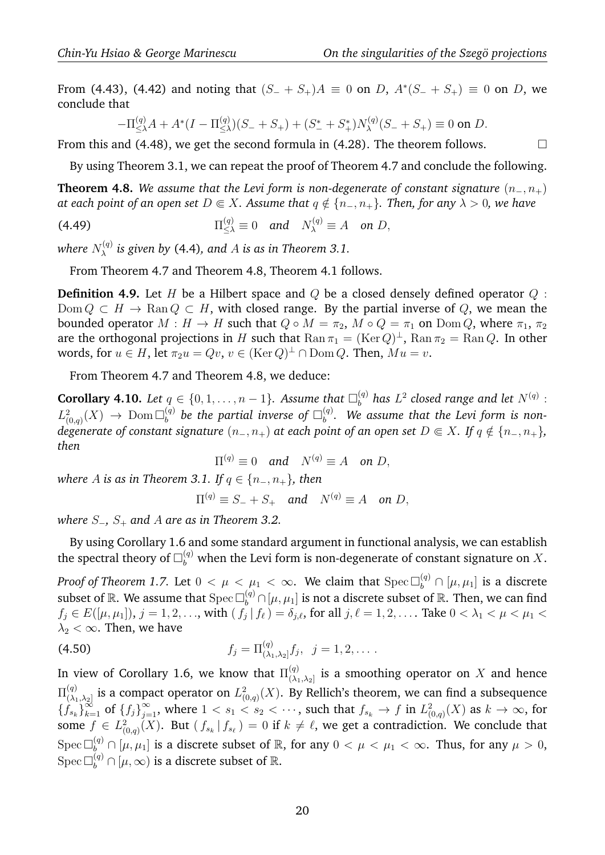From (4.43), (4.42) and noting that  $(S_+ + S_+)A \equiv 0$  on D,  $A^*(S_- + S_+) \equiv 0$  on D, we conclude that

$$
-\Pi_{\leq \lambda}^{(q)} A + A^* (I - \Pi_{\leq \lambda}^{(q)})(S_- + S_+) + (S_-^* + S_+^*) N_{\lambda}^{(q)}(S_- + S_+) \equiv 0 \text{ on } D.
$$

From this and (4.48), we get the second formula in (4.28). The theorem follows.  $\Box$ 

By using Theorem 3.1, we can repeat the proof of Theorem 4.7 and conclude the following.

**Theorem 4.8.** *We assume that the Levi form is non-degenerate of constant signature* (n<sub>−</sub>, n<sub>+</sub>) *at each point of an open set*  $D \in X$ *. Assume that*  $q \notin \{n_-, n_+\}$ *. Then, for any*  $\lambda > 0$ *, we have* 

(4.49) 
$$
\Pi_{\leq \lambda}^{(q)} \equiv 0 \quad \text{and} \quad N_{\lambda}^{(q)} \equiv A \quad \text{on } D,
$$

where  $N_{\lambda}^{(q)}$ λ *is given by* (4.4)*, and* A *is as in Theorem 3.1.*

From Theorem 4.7 and Theorem 4.8, Theorem 4.1 follows.

**Definition 4.9.** Let H be a Hilbert space and Q be a closed densely defined operator Q : Dom  $Q \subset H \to \text{Ran } Q \subset H$ , with closed range. By the partial inverse of Q, we mean the bounded operator  $M : H \to H$  such that  $Q \circ M = \pi_2$ ,  $M \circ Q = \pi_1$  on Dom Q, where  $\pi_1$ ,  $\pi_2$ are the orthogonal projections in  $H$  such that  $\text{Ran}\, \pi_1 = (\text{Ker}\, Q)^\perp$ ,  $\text{Ran}\, \pi_2 = \text{Ran}\, Q$ . In other words, for  $u \in H$ , let  $\pi_2 u = Qv$ ,  $v \in (\text{Ker }Q)^{\perp} \cap \text{Dom }Q$ . Then,  $Mu = v$ .

From Theorem 4.7 and Theorem 4.8, we deduce:

**Corollary 4.10.** Let  $q \in \{0, 1, \ldots, n-1\}$ . Assume that  $\square_b^{(q)}$  $\delta_b^{(q)}$  has  $L^2$  closed range and let  $N^{(q)}$  :  $L^2_{(0,q)}(X) \to \text{Dom }\Box_b^{(q)}$  $\mathcal{E}_b^{(q)}$  be the partial inverse of  $\Box_b^{(q)}$  $\delta_b^{(q)}$ . We assume that the Levi form is non*degenerate of constant signature*  $(n_-, n_+)$  *at each point of an open set*  $D \in X$ *. If*  $q \notin \{n_-, n_+\}$ *, then*

$$
\Pi^{(q)} \equiv 0 \quad \text{and} \quad N^{(q)} \equiv A \quad \text{on } D,
$$

*where A is as in Theorem 3.1. If*  $q \in \{n_-, n_+\}$ *, then* 

 $\Pi^{(q)} \equiv S_- + S_+$  and  $N^{(q)} \equiv A$  on D,

*where* S−*,* S<sup>+</sup> *and* A *are as in Theorem 3.2.*

By using Corollary 1.6 and some standard argument in functional analysis, we can establish the spectral theory of  $\Box_{b}^{(q)}$  when the Levi form is non-degenerate of constant signature on  $X.$ 

*Proof of Theorem 1.7*. Let  $0<\mu<\mu_1<\infty.$  We claim that  ${\rm Spec\,}\Box^{(q)}_b\cap[\mu,\mu_1]$  is a discrete subset of  $\R.$  We assume that  $\mathrm{Spec}\,\Box^{(q)}_b\cap[\mu,\mu_1]$  is not a discrete subset of  $\R.$  Then, we can find  $f_j\in E([\mu,\mu_1]),\,j=1,2,{\dots}$ , with  $(\,f_j\,|\,f_\ell\,)=\delta_{j,\ell},$  for all  $j,\ell=1,2,{\dots}$ . Take  $0<\lambda_1<\mu<\mu_1<\ell$  $\lambda_2 < \infty$ . Then, we have

(4.50) 
$$
f_j = \Pi_{(\lambda_1, \lambda_2]}^{(q)} f_j, \ \ j = 1, 2, \ldots
$$

In view of Corollary 1.6, we know that  $\Pi_{(\lambda)}^{(q)}$  $\binom{(q)}{(\lambda_1,\lambda_2)}$  is a smoothing operator on  $X$  and hence  $\Pi^{(q)}_{\{\lambda, \}}$  $\binom{(q)}{(\lambda_1,\lambda_2]}$  is a compact operator on  $L^2_{(0,q)}(X).$  By Rellich's theorem, we can find a subsequence  $\{f_{s_k}\}_{k=1}^{\infty}$  of  $\{f_j\}_{j=1}^{\infty}$ , where  $1 < s_1 < s_2 < \cdots$ , such that  $f_{s_k} \to f$  in  $L^2_{(0,q)}(X)$  as  $k \to \infty$ , for some  $f \in L^2_{(0,q)}(X)$ . But  $(f_{s_k} | f_{s_\ell}) = 0$  if  $k \neq \ell$ , we get a contradiction. We conclude that  $\mathrm{Spec}\,\square_{b}^{(q)}\cap[\mu,\mu_1]$  is a discrete subset of  $\mathbb R,$  for any  $0<\mu<\mu_1<\infty.$  Thus, for any  $\mu>0,$  $\operatorname{Spec} \Box^{(q)}_b \cap [\mu, \infty)$  is a discrete subset of  $\mathbb{R}.$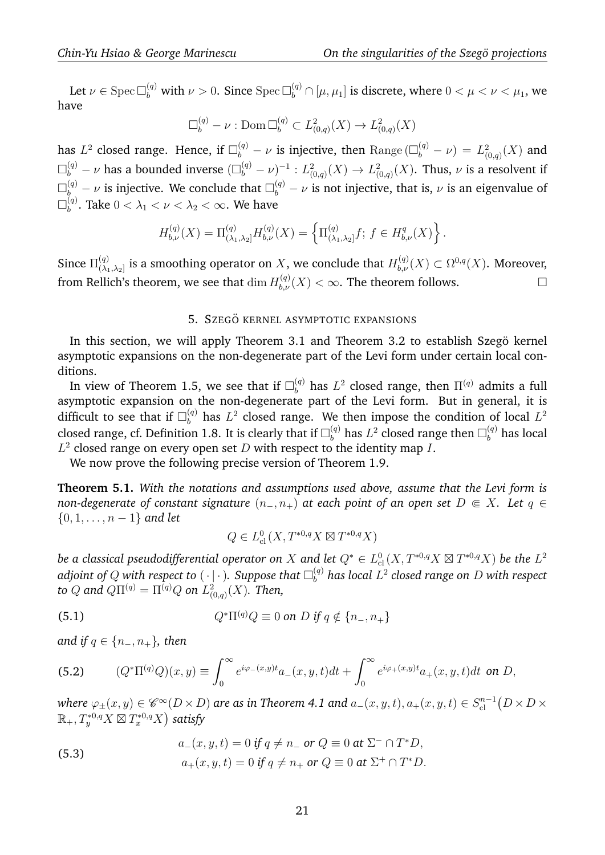Let  $\nu\in{\rm Spec\,}\Box_b^{(q)}$  with  $\nu>0.$  Since  ${\rm Spec\,}\Box_b^{(q)}\cap[\mu,\mu_1]$  is discrete, where  $0<\mu<\nu<\mu_1,$  we have

$$
\Box_b^{(q)} - \nu : \text{Dom } \Box_b^{(q)} \subset L^2_{(0,q)}(X) \to L^2_{(0,q)}(X)
$$

has  $L^2$  closed range. Hence, if  $\Box_b^{(q)}-\nu$  is injective, then  $\mathrm{Range}\,(\Box_b^{(q)}-\nu)\,=\,L^2_{(0,q)}(X)$  and  $\Box_b^{(q)}-\nu$  has a bounded inverse  $(\Box_b^{(q)}-\nu)^{-1}:L^2_{(0,q)}(X)\to L^2_{(0,q)}(X).$  Thus,  $\nu$  is a resolvent if  $\Box_b^{(q)}-\nu$  is injective. We conclude that  $\Box_b^{(q)}-\nu$  is not injective, that is,  $\nu$  is an eigenvalue of  $\square^{(q)}_i$  $\lambda_b^{(q)}.$  Take  $0 < \lambda_1 < \nu < \lambda_2 < \infty.$  We have

$$
H_{b,\nu}^{(q)}(X) = \Pi_{(\lambda_1,\lambda_2]}^{(q)} H_{b,\nu}^{(q)}(X) = \left\{ \Pi_{(\lambda_1,\lambda_2]}^{(q)} f; f \in H_{b,\nu}^q(X) \right\}.
$$

Since  $\Pi_{(\lambda)}^{(q)}$  $\mu_{(\lambda_1, \lambda_2]}^{(q)}$  is a smoothing operator on  $X$ , we conclude that  $H_{b,\nu}^{(q)}(X) \subset \Omega^{0,q}(X)$ . Moreover, from Rellich's theorem, we see that  $\dim H_{b,\nu}^{(q)}(X)<\infty.$  The theorem follows.  $\hfill \Box$ 

## 5. SZEGÖ KERNEL ASYMPTOTIC EXPANSIONS

In this section, we will apply Theorem 3.1 and Theorem 3.2 to establish Szegö kernel asymptotic expansions on the non-degenerate part of the Levi form under certain local conditions.

In view of Theorem 1.5, we see that if  $\square_b^{(q)}$  has  $L^2$  closed range, then  $\Pi^{(q)}$  admits a full asymptotic expansion on the non-degenerate part of the Levi form. But in general, it is difficult to see that if  $\square_b^{(q)}$  has  $L^2$  closed range. We then impose the condition of local  $L^2$ closed range, cf. Definition 1.8. It is clearly that if  $\Box_b^{(q)}$  has  $L^2$  closed range then  $\Box_b^{(q)}$  has local  $L^2$  closed range on every open set D with respect to the identity map I.

We now prove the following precise version of Theorem 1.9.

**Theorem 5.1.** *With the notations and assumptions used above, assume that the Levi form is non-degenerate of constant signature*  $(n_-, n_+)$  *at each point of an open set*  $D \in X$ *. Let*  $q \in$ {0, 1, . . . , n − 1} *and let*

$$
Q \in L^0_{\text{cl}}(X, T^{*0,q}X \boxtimes T^{*0,q}X)
$$

*be a classical pseudodifferential operator on*  $X$  *and let*  $Q^* \in L^0_{\rm cl}\left(X, T^{*0,q}X\boxtimes T^{*0,q}X\right)$  *be the*  $L^2$ adjoint of  $Q$  with respect to  $(\,\cdot\,|\,\cdot\,)$ . Suppose that  $\Box^{(q)}_b$  $\mathcal{L}_b^{(q)}$  has local  $L^2$  closed range on  $D$  with respect to  $Q$  and  $Q\Pi^{(q)}=\Pi^{(q)}Q$  on  $L^2_{(0,q)}(X)$ . Then,

(5.1) 
$$
Q^* \Pi^{(q)} Q \equiv 0 \text{ on } D \text{ if } q \notin \{n_-, n_+\}
$$

*and if*  $q \in \{n_-, n_+\}$ *, then* 

(5.2) 
$$
(Q^*\Pi^{(q)}Q)(x,y) \equiv \int_0^\infty e^{i\varphi_-(x,y)t} a_-(x,y,t)dt + \int_0^\infty e^{i\varphi_+(x,y)t} a_+(x,y,t)dt \text{ on } D,
$$

where  $\varphi_\pm(x,y)\in \mathscr C^\infty(D\times D)$  are as in Theorem 4.1 and  $a_-(x,y,t),a_+(x,y,t)\in S^{n-1}_\mathrm{cl}\big(D\times D\times D\big)$  $\mathbb{R}_+, T^{*0,q}_yX\boxtimes T^{*0,q}_xX\big)$  satisfy

(5.3) 
$$
a_{-}(x, y, t) = 0 \text{ if } q \neq n_{-} \text{ or } Q \equiv 0 \text{ at } \Sigma^{-} \cap T^{*}D,
$$

$$
a_{+}(x, y, t) = 0 \text{ if } q \neq n_{+} \text{ or } Q \equiv 0 \text{ at } \Sigma^{+} \cap T^{*}D.
$$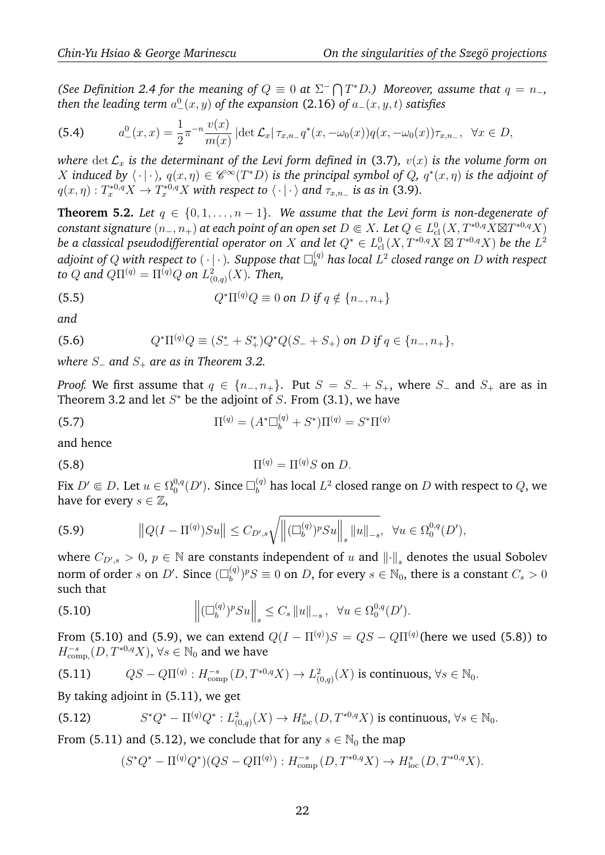*(See Definition 2.4 for the meaning of*  $Q \equiv 0$  at  $\Sigma$ <sup>-</sup>  $\bigcap T^*D$ *.) Moreover, assume that*  $q = n_-,$  $t$ hen the leading term  $a_-^0(x,y)$  of the expansion (2.16) of  $a_-(x,y,t)$  satisfies

(5.4) 
$$
a_{-}^{0}(x,x) = \frac{1}{2}\pi^{-n}\frac{v(x)}{m(x)}\left|\det \mathcal{L}_{x}\right|\tau_{x,n_{-}}q^{*}(x,-\omega_{0}(x))q(x,-\omega_{0}(x))\tau_{x,n_{-}}, \quad \forall x \in D,
$$

*where* det  $\mathcal{L}_x$  *is the determinant of the Levi form defined in* (3.7)*,*  $v(x)$  *is the volume form on* X induced by  $\langle \cdot | \cdot \rangle$ ,  $q(x, \eta) \in \mathscr{C}^{\infty}(T^*D)$  is the principal symbol of Q,  $q^*(x, \eta)$  is the adjoint of  $q(x, \eta): T_x^{*0,q}X \to T_x^{*0,q}X$  with respect to  $\langle\,\cdot\,|\,\cdot\,\rangle$  and  $\tau_{x,n_-}$  is as in (3.9).

**Theorem 5.2.** *Let*  $q \in \{0, 1, \ldots, n-1\}$ *. We assume that the Levi form is non-degenerate of*  $\emph{constant signature }$   $(n_-,n_+)$  at each point of an open set  $D\Subset X.$  Let  $Q\in L^0_{\rm cl}(X,T^{*0,q}X\boxtimes T^{*0,q}X)$  $b$ e a classical pseudodifferential operator on  $X$  and let  $Q^*\in L^0_{\rm cl\,}(X,T^{*0,q}\bar X\boxtimes T^{*0,q}X)$  be the  $L^2$ adjoint of  $Q$  with respect to  $(\,\cdot\,|\,\cdot\,)$ . Suppose that  $\Box^{(q)}_b$  $\mathcal{L}_b^{(q)}$  has local  $L^2$  closed range on  $D$  with respect to  $Q$  and  $Q\Pi^{(q)}=\Pi^{(q)}Q$  on  $L^2_{(0,q)}(X)$ . Then,

(5.5) 
$$
Q^* \Pi^{(q)} Q \equiv 0 \text{ on } D \text{ if } q \notin \{n_-, n_+\}
$$

*and*

(5.6) 
$$
Q^* \Pi^{(q)} Q \equiv (S^*_- + S^*_+) Q^* Q (S^- + S_+) \text{ on } D \text{ if } q \in \{n_-, n_+\},
$$

*where* S<sub>−</sub> *and* S<sub>+</sub> *are as in Theorem 3.2.* 

*Proof.* We first assume that  $q \in \{n_-, n_+\}$ . Put  $S = S_- + S_+$ , where  $S_-$  and  $S_+$  are as in Theorem 3.2 and let  $S^*$  be the adjoint of S. From (3.1), we have

(5.7) 
$$
\Pi^{(q)} = (A^* \Box_b^{(q)} + S^*) \Pi^{(q)} = S^* \Pi^{(q)}
$$

and hence

(5.8) 
$$
\Pi^{(q)} = \Pi^{(q)} S \text{ on } D.
$$

Fix  $D' \Subset D$ . Let  $u \in \Omega_0^{0,q}$  $_{0}^{0,q}(D^{\prime}).$  Since  $\Box_{b}^{(q)}$  has local  $L^{2}$  closed range on  $D$  with respect to  $Q$ , we have for every  $s \in \mathbb{Z}$ ,

(5.9) 
$$
||Q(I - \Pi^{(q)})Su|| \leq C_{D',s}\sqrt{||(\Box_b^{(q)})^p Su||_s ||u||_{-s}}, \quad \forall u \in \Omega_0^{0,q}(D'),
$$

where  $C_{D',s} > 0$ ,  $p \in \mathbb{N}$  are constants independent of  $u$  and  $\left\| \cdot \right\|_s$  denotes the usual Sobolev norm of order s on D'. Since  $(\Box_b^{(q)})$  $\binom{(q)}{b}$  $pS \equiv 0$  on D, for every  $s \in \mathbb{N}_0$ , there is a constant  $C_s > 0$ such that

(5.10) 
$$
\left\| (\Box_b^{(q)})^p Su \right\|_s \leq C_s \left\| u \right\|_{-s}, \quad \forall u \in \Omega_0^{0,q}(D').
$$

From (5.10) and (5.9), we can extend  $Q(I - \Pi^{(q)})S = QS - Q\Pi^{(q)}$ (here we used (5.8)) to  $H^{-s}_\text{comp.} (D, T^{*0,q}X), \,\forall s \in \mathbb{N}_0$  and we have

(5.11) 
$$
QS - Q\Pi^{(q)} : H_{\text{comp}}^{-s}(D, T^{*0,q}X) \to L_{(0,q)}^2(X) \text{ is continuous, } \forall s \in \mathbb{N}_0.
$$

By taking adjoint in (5.11), we get

(5.12) 
$$
S^*Q^* - \Pi^{(q)}Q^* : L^2_{(0,q)}(X) \to H^s_{\text{loc}}(D, T^{*0,q}X) \text{ is continuous, } \forall s \in \mathbb{N}_0.
$$

From (5.11) and (5.12), we conclude that for any  $s \in \mathbb{N}_0$  the map

$$
(S^*Q^* - \Pi^{(q)}Q^*)(QS - Q\Pi^{(q)}) : H^{-s}_{\text{comp}}(D, T^{*0,q}X) \to H^s_{\text{loc}}(D, T^{*0,q}X).
$$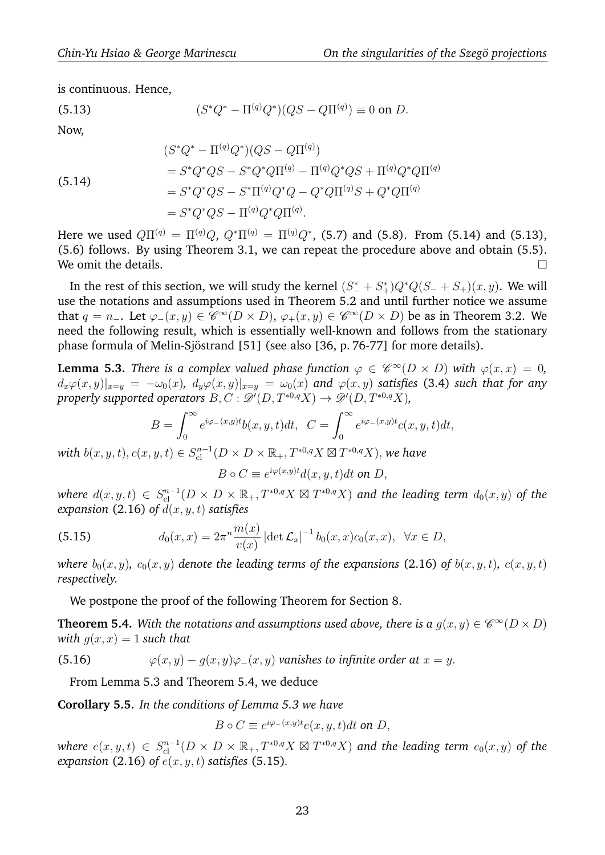is continuous. Hence,

(5.13) 
$$
(S^*Q^* - \Pi^{(q)}Q^*)(QS - Q\Pi^{(q)}) \equiv 0 \text{ on } D.
$$

Now,

(5.14)  
\n
$$
(S^*Q^* - \Pi^{(q)}Q^*)(QS - Q\Pi^{(q)})
$$
\n
$$
= S^*Q^*QS - S^*Q^*Q\Pi^{(q)} - \Pi^{(q)}Q^*QS + \Pi^{(q)}Q^*Q\Pi^{(q)}
$$
\n
$$
= S^*Q^*QS - S^*\Pi^{(q)}Q^*Q - Q^*Q\Pi^{(q)}S + Q^*Q\Pi^{(q)}
$$
\n
$$
= S^*Q^*QS - \Pi^{(q)}Q^*Q\Pi^{(q)}.
$$

Here we used  $Q\Pi^{(q)}\,=\,\Pi^{(q)}Q,\ Q^*\Pi^{(q)}\,=\,\Pi^{(q)}Q^*,$  (5.7) and (5.8). From (5.14) and (5.13), (5.6) follows. By using Theorem 3.1, we can repeat the procedure above and obtain (5.5). We omit the details.

In the rest of this section, we will study the kernel  $(S_{-}^{*} + S_{+}^{*})Q^{*}Q(S_{-} + S_{+})(x, y)$ . We will use the notations and assumptions used in Theorem 5.2 and until further notice we assume that  $q = n_-\text{.}$  Let  $\varphi_-(x, y) \in \mathscr{C}^\infty(D \times D)$ ,  $\varphi_+(x, y) \in \mathscr{C}^\infty(D \times D)$  be as in Theorem 3.2. We need the following result, which is essentially well-known and follows from the stationary phase formula of Melin-Sjöstrand [51] (see also [36, p. 76-77] for more details).

**Lemma 5.3.** *There is a complex valued phase function*  $\varphi \in \mathscr{C}^{\infty}(D \times D)$  *with*  $\varphi(x, x) = 0$ *,*  $\partial_x\varphi(x,y)|_{x=y} = -\omega_0(x)$ ,  $\partial_y\varphi(x,y)|_{x=y} = \omega_0(x)$  and  $\varphi(x,y)$  satisfies (3.4) such that for any  $p$ roperly supported operators  $B,C: \mathscr{D}'(D,T^{*0,q}X) \to \mathscr{D}'(D,T^{*0,q}X)$ ,

$$
B = \int_0^\infty e^{i\varphi_-(x,y)t} b(x,y,t) dt, \quad C = \int_0^\infty e^{i\varphi_-(x,y)t} c(x,y,t) dt,
$$

with  $b(x, y, t), c(x, y, t) \in S_{\text{cl}}^{n-1}(D \times D \times \mathbb{R}_+, T^{*0,q}X \boxtimes T^{*0,q}X)$ , we have

 $B \circ C \equiv e^{i\varphi(x,y)t} d(x,y,t) dt$  on  $D$ ,

 $where\ d(x,y,t)\,\in\, S^{n-1}_{\rm cl}(D\times D\times \mathbb{R}_+,T^{*0,q}X\boxtimes T^{*0,q}X)$  and the leading term  $d_0(x,y)$  of the *expansion* (2.16) *of*  $\tilde{d}(x, y, t)$  *satisfies* 

(5.15) 
$$
d_0(x,x) = 2\pi^n \frac{m(x)}{v(x)} |\det \mathcal{L}_x|^{-1} b_0(x,x) c_0(x,x), \quad \forall x \in D,
$$

*where*  $b_0(x, y)$ ,  $c_0(x, y)$  *denote the leading terms of the expansions* (2.16) *of*  $b(x, y, t)$ ,  $c(x, y, t)$ *respectively.*

We postpone the proof of the following Theorem for Section 8.

**Theorem 5.4.** With the notations and assumptions used above, there is a  $g(x, y) \in \mathscr{C}^{\infty}(D \times D)$ *with*  $g(x, x) = 1$  *such that* 

(5.16)  $\varphi(x, y) - q(x, y) \varphi(x, y)$  *vanishes to infinite order at*  $x = y$ .

From Lemma 5.3 and Theorem 5.4, we deduce

**Corollary 5.5.** *In the conditions of Lemma 5.3 we have*

$$
B \circ C \equiv e^{i\varphi_-(x,y)t} e(x,y,t) dt \text{ on } D,
$$

 $\textit{where}\,\, e(x,y,t)\,\in\, S^{n-1}_{\textup{cl}}(D\times D\times\mathbb{R}_+, T^{*0,q}X\boxtimes T^{*0,q}X)$  and the leading term  $e_0(x,y)$  of the *expansion* (2.16) *of*  $e(x, y, t)$  *satisfies* (5.15)*.*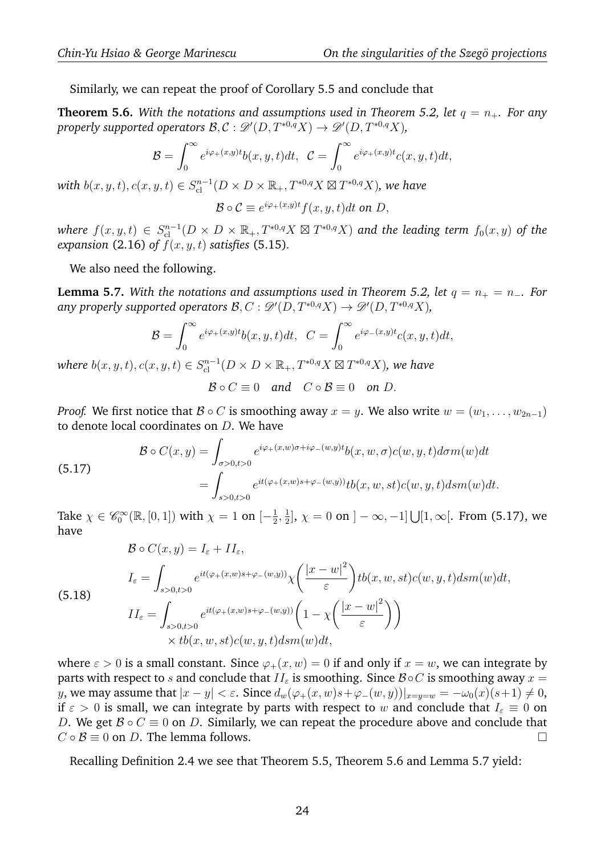Similarly, we can repeat the proof of Corollary 5.5 and conclude that

**Theorem 5.6.** With the notations and assumptions used in Theorem 5.2, let  $q = n_+$ . For any  $p$ roperly supported operators  $\mathcal{B}, \mathcal{C}: \mathscr{D}'(D, T^{*0,q}X) \to \mathscr{D}'(D, T^{*0,q}X),$ 

$$
\mathcal{B} = \int_0^\infty e^{i\varphi_+(x,y)t} b(x,y,t) dt, \ \ \mathcal{C} = \int_0^\infty e^{i\varphi_+(x,y)t} c(x,y,t) dt,
$$

with  $b(x, y, t), c(x, y, t) \in S_{\text{cl}}^{n-1}(D \times D \times \mathbb{R}_+, T^{*0,q}X \boxtimes T^{*0,q}X)$ , we have

$$
\mathcal{B} \circ \mathcal{C} \equiv e^{i\varphi_+(x,y)t} f(x,y,t) dt \text{ on } D,
$$

 $\textit{where}\:\: f(x,y,t)\: \in\: S_\text{cl}^{n-1}(D\times D\times \mathbb{R}_+, T^{*0,q}X\boxtimes T^{*0,q}X) \textit{ and the leading term } f_0(x,y) \textit{ of the }$ *expansion* (2.16) *of*  $f(x, y, t)$  *satisfies* (5.15)*.* 

We also need the following.

**Lemma 5.7.** *With the notations and assumptions used in Theorem 5.2, let*  $q = n_+ = n_-$ *. For* any properly supported operators  $\mathcal{B}, C: \mathscr{D}'(D, T^{*0,q}X) \to \mathscr{D}'(D, T^{*0,q}X)$ ,

$$
\mathcal{B} = \int_0^\infty e^{i\varphi_+(x,y)t} b(x,y,t) dt, \ \ C = \int_0^\infty e^{i\varphi_-(x,y)t} c(x,y,t) dt,
$$

where  $b(x, y, t), c(x, y, t) \in S_{\text{cl}}^{n-1}(D \times D \times \mathbb{R}_+, T^{*0,q}X \boxtimes T^{*0,q}X)$ , we have

$$
\mathcal{B} \circ C \equiv 0 \quad \text{and} \quad C \circ \mathcal{B} \equiv 0 \quad \text{on } D.
$$

*Proof.* We first notice that  $B \circ C$  is smoothing away  $x = y$ . We also write  $w = (w_1, \ldots, w_{2n-1})$ to denote local coordinates on D. We have

(5.17)  
\n
$$
\mathcal{B} \circ C(x, y) = \int_{\sigma > 0, t > 0} e^{i\varphi_+(x, w)\sigma + i\varphi_-(w, y)t} b(x, w, \sigma) c(w, y, t) d\sigma m(w) dt
$$
\n
$$
= \int_{s > 0, t > 0} e^{it(\varphi_+(x, w)s + \varphi_-(w, y))} tb(x, w, st) c(w, y, t) ds m(w) dt.
$$

Take  $\chi \in \mathscr{C}_0^{\infty}(\mathbb{R}, [0, 1])$  with  $\chi = 1$  on  $[-\frac{1}{2}]$  $\frac{1}{2}, \frac{1}{2}$  $\frac{1}{2}$ ,  $\chi = 0$  on  $] - \infty, -1] \bigcup [1, \infty[$ . From (5.17), we have

(5.18)  
\n
$$
B \circ C(x, y) = I_{\varepsilon} + II_{\varepsilon},
$$
\n
$$
I_{\varepsilon} = \int_{s > 0, t > 0} e^{it(\varphi + (x, w)s + \varphi - (w, y))} \chi \left( \frac{|x - w|^2}{\varepsilon} \right) tb(x, w, st) c(w, y, t) ds m(w) dt,
$$
\n
$$
II_{\varepsilon} = \int_{s > 0, t > 0} e^{it(\varphi + (x, w)s + \varphi - (w, y))} \left( 1 - \chi \left( \frac{|x - w|^2}{\varepsilon} \right) \right)
$$
\n
$$
\times tb(x, w, st) c(w, y, t) ds m(w) dt,
$$

where  $\varepsilon > 0$  is a small constant. Since  $\varphi_{+}(x, w) = 0$  if and only if  $x = w$ , we can integrate by parts with respect to s and conclude that  $II_\varepsilon$  is smoothing. Since  $\mathcal{B} \circ C$  is smoothing away  $x =$ y, we may assume that  $|x - y| < \varepsilon$ . Since  $d_w(\varphi_+(x, w)s + \varphi_-(w, y))|_{x=y=w} = -\omega_0(x)(s+1) \neq 0$ , if  $\varepsilon > 0$  is small, we can integrate by parts with respect to w and conclude that  $I_{\varepsilon} \equiv 0$  on D. We get  $\mathcal{B} \circ C \equiv 0$  on D. Similarly, we can repeat the procedure above and conclude that  $C \circ \mathcal{B} \equiv 0$  on D. The lemma follows.

Recalling Definition 2.4 we see that Theorem 5.5, Theorem 5.6 and Lemma 5.7 yield: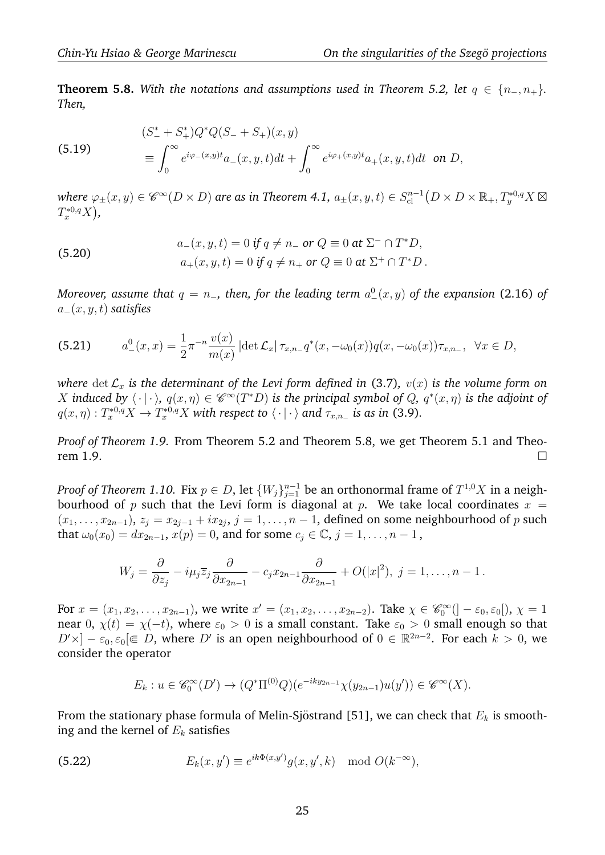**Theorem 5.8.** With the notations and assumptions used in Theorem 5.2, let  $q \in \{n_-, n_+\}$ . *Then,*

(5.19) 
$$
\begin{aligned} (S_{-}^{*} + S_{+}^{*})Q^{*}Q(S_{-} + S_{+})(x, y) \\ &\equiv \int_{0}^{\infty} e^{i\varphi_{-}(x, y)t} a_{-}(x, y, t) dt + \int_{0}^{\infty} e^{i\varphi_{+}(x, y)t} a_{+}(x, y, t) dt \text{ on } D, \end{aligned}
$$

where  $\varphi_\pm(x,y)\in \mathscr C^\infty(D\times D)$  are as in Theorem 4.1,  $a_\pm(x,y,t)\in S^{n-1}_\mathrm{cl}\big(D\times D\times \mathbb{R}_+, T^{*0,q}_yX\boxtimes$  $T^{*0,q}_xX,$ 

(5.20) 
$$
a_{-}(x, y, t) = 0 \text{ if } q \neq n_{-} \text{ or } Q \equiv 0 \text{ at } \Sigma^{-} \cap T^{*}D,
$$

$$
a_{+}(x, y, t) = 0 \text{ if } q \neq n_{+} \text{ or } Q \equiv 0 \text{ at } \Sigma^{+} \cap T^{*}D.
$$

 $M$ oreover, assume that  $q=n_{-},$  then, for the leading term  $a_{-}^{0}(x,y)$  of the expansion (2.16) of a−(x, y, t) *satisfies*

$$
(5.21) \t a_{-}^{0}(x,x) = \frac{1}{2}\pi^{-n}\frac{v(x)}{m(x)}\left|\det \mathcal{L}_{x}\right|\tau_{x,n_{-}}q^{*}(x,-\omega_{0}(x))q(x,-\omega_{0}(x))\tau_{x,n_{-}}, \quad \forall x \in D,
$$

*where* det  $\mathcal{L}_x$  *is the determinant of the Levi form defined in* (3.7)*,*  $v(x)$  *is the volume form on* X induced by  $\langle \cdot | \cdot \rangle$ ,  $q(x, \eta) \in \mathscr{C}^{\infty}(T^*D)$  is the principal symbol of Q,  $q^*(x, \eta)$  is the adjoint of  $q(x, \eta): T_x^{*0,q}X \to T_x^{*0,q}X$  with respect to  $\langle \cdot | \cdot \rangle$  and  $\tau_{x,n_-}$  is as in (3.9).

*Proof of Theorem 1.9.* From Theorem 5.2 and Theorem 5.8, we get Theorem 5.1 and Theorem 1.9.

*Proof of Theorem 1.10. Fix*  $p \in D$ *, let*  $\{W_j\}_{j=1}^{n-1}$  *be an orthonormal frame of*  $T^{1,0}X$  *in a neigh*bourhood of p such that the Levi form is diagonal at p. We take local coordinates  $x =$  $(x_1, \ldots, x_{2n-1}), z_j = x_{2j-1} + ix_{2j}, j = 1, \ldots, n-1$ , defined on some neighbourhood of p such that  $\omega_0(x_0) = dx_{2n-1}$ ,  $x(p) = 0$ , and for some  $c_j \in \mathbb{C}$ ,  $j = 1, ..., n-1$ ,

$$
W_j = \frac{\partial}{\partial z_j} - i\mu_j \overline{z}_j \frac{\partial}{\partial x_{2n-1}} - c_j x_{2n-1} \frac{\partial}{\partial x_{2n-1}} + O(|x|^2), \ j = 1, \ldots, n-1.
$$

For  $x = (x_1, x_2, \ldots, x_{2n-1})$ , we write  $x' = (x_1, x_2, \ldots, x_{2n-2})$ . Take  $\chi \in \mathscr{C}_0^{\infty}(\mathcal{C} - \varepsilon_0, \varepsilon_0)$ ,  $\chi = 1$ near 0,  $\chi(t) = \chi(-t)$ , where  $\varepsilon_0 > 0$  is a small constant. Take  $\varepsilon_0 > 0$  small enough so that  $D' \times ] - \varepsilon_0, \varepsilon_0 [\subseteq D]$ , where  $D'$  is an open neighbourhood of  $0 \in \mathbb{R}^{2n-2}$ . For each  $k > 0$ , we consider the operator

$$
E_k: u \in \mathscr{C}_0^{\infty}(D') \to (Q^*\Pi^{(0)}Q)(e^{-iky_{2n-1}}\chi(y_{2n-1})u(y')) \in \mathscr{C}^{\infty}(X).
$$

From the stationary phase formula of Melin-Sjöstrand [51], we can check that  $E_k$  is smoothing and the kernel of  $E_k$  satisfies

(5.22) 
$$
E_k(x, y') \equiv e^{ik\Phi(x, y')}g(x, y', k) \mod O(k^{-\infty}),
$$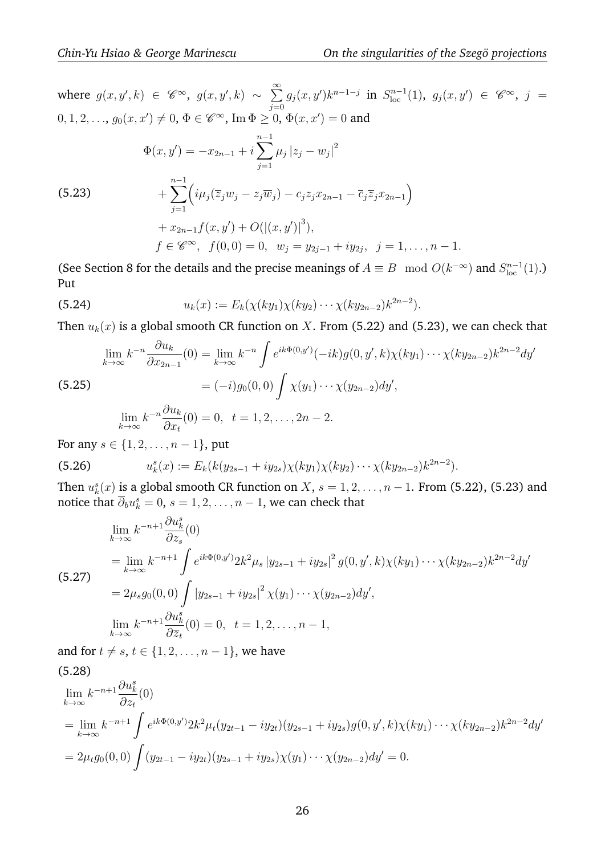where  $g(x, y', k) \in \mathscr{C}^{\infty}$ ,  $g(x, y', k) \sim \sum_{k=1}^{\infty}$  $j=0$  $g_j(x, y')k^{n-1-j}$  in  $S_{\text{loc}}^{n-1}(1)$ ,  $g_j(x, y') \in \mathscr{C}^{\infty}$ ,  $j =$  $(0, 1, 2, \ldots, g_0(x, x') \neq 0, \Phi \in \mathscr{C}^{\infty}$ ,  $\text{Im } \Phi \geq 0, \Phi(x, x') = 0$  and  $\Phi(x, y') = -x_{2n-1} + i \sum_{n=1}^{n-1}$  $j=1$  $\mu_j\left|z_j-w_j\right|^2$  $+\sum_{n=1}^{n-1}$  $j=1$  $\left(i\mu_j(\overline{z}_jw_j-z_j\overline{w}_j)-c_jz_jx_{2n-1}-\overline{c}_j\overline{z}_jx_{2n-1}\right)$ +  $x_{2n-1}f(x, y') + O(|(x, y')|^3),$  $f \in \mathscr{C}^{\infty}$ ,  $f(0,0) = 0$ ,  $w_j = y_{2j-1} + iy_{2j}$ ,  $j = 1, ..., n-1$ . (5.23)

(See Section 8 for the details and the precise meanings of  $A \equiv B \mod O(k^{-\infty})$  and  $S^{n-1}_{loc}(1)$ .) Put

(5.24) 
$$
u_k(x) := E_k(\chi(ky_1)\chi(ky_2)\cdots\chi(ky_{2n-2})k^{2n-2}).
$$

Then  $u_k(x)$  is a global smooth CR function on X. From (5.22) and (5.23), we can check that

$$
\lim_{k \to \infty} k^{-n} \frac{\partial u_k}{\partial x_{2n-1}}(0) = \lim_{k \to \infty} k^{-n} \int e^{ik\Phi(0, y')} (-ik) g(0, y', k) \chi(ky_1) \cdots \chi(ky_{2n-2}) k^{2n-2} dy'
$$
\n(5.25)\n
$$
= (-i) g_0(0, 0) \int \chi(y_1) \cdots \chi(y_{2n-2}) dy',
$$
\n
$$
\lim_{k \to \infty} k^{-n} \frac{\partial u_k}{\partial x_t}(0) = 0, \quad t = 1, 2, \dots, 2n - 2.
$$

For any  $s \in \{1, 2, ..., n-1\}$ , put

(5.26) 
$$
u_k^s(x) := E_k(k(y_{2s-1} + iy_{2s})\chi(ky_1)\chi(ky_2)\cdots\chi(ky_{2n-2})k^{2n-2}).
$$

Then  $u_k^s(x)$  is a global smooth CR function on  $X, s = 1, 2, ..., n - 1$ . From (5.22), (5.23) and notice that  $\overline{\partial}_b u^s_k=0,\,s=1,2,\ldots,n-1,$  we can check that

$$
\lim_{k \to \infty} k^{-n+1} \frac{\partial u_k^s}{\partial z_s}(0)
$$
\n
$$
= \lim_{k \to \infty} k^{-n+1} \int e^{ik\Phi(0, y')} 2k^2 \mu_s |y_{2s-1} + iy_{2s}|^2 g(0, y', k) \chi(ky_1) \cdots \chi(ky_{2n-2}) k^{2n-2} dy'
$$
\n
$$
= 2\mu_s g_0(0, 0) \int |y_{2s-1} + iy_{2s}|^2 \chi(y_1) \cdots \chi(y_{2n-2}) dy',
$$
\n
$$
\lim_{k \to \infty} k^{-n+1} \frac{\partial u_k^s}{\partial \overline{z}_t}(0) = 0, \quad t = 1, 2, \dots, n-1,
$$

and for  $t \neq s, t \in \{1, 2, ..., n - 1\}$ , we have  $(5.28)$ 

$$
\lim_{k \to \infty} k^{-n+1} \frac{\partial u_k^s}{\partial z_t}(0)
$$
\n
$$
= \lim_{k \to \infty} k^{-n+1} \int e^{ik\Phi(0,y')} 2k^2 \mu_t(y_{2t-1} - iy_{2t})(y_{2s-1} + iy_{2s}) g(0, y', k) \chi(ky_1) \cdots \chi(ky_{2n-2}) k^{2n-2} dy'
$$
\n
$$
= 2\mu_t g_0(0, 0) \int (y_{2t-1} - iy_{2t})(y_{2s-1} + iy_{2s}) \chi(y_1) \cdots \chi(y_{2n-2}) dy' = 0.
$$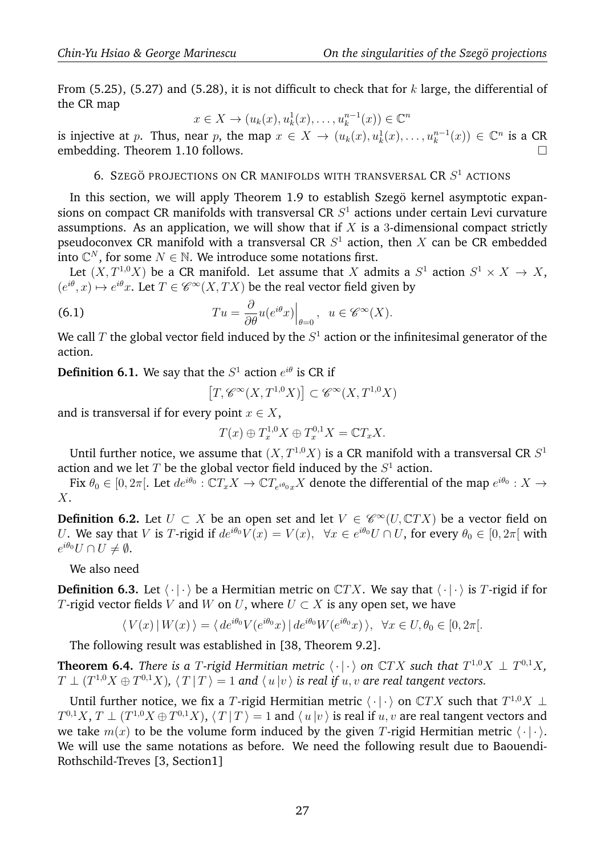From (5.25), (5.27) and (5.28), it is not difficult to check that for  $k$  large, the differential of the CR map

$$
x \in X \to (u_k(x), u_k^1(x), \dots, u_k^{n-1}(x)) \in \mathbb{C}^n
$$

is injective at p. Thus, near p, the map  $x \in X \to (u_k(x), u_k^1(x), \ldots, u_k^{n-1}(x)) \in \mathbb{C}^n$  is a CR embedding. Theorem 1.10 follows.

# 6. Szegö projections on CR manifolds with transversal CR  $S^1$  actions

In this section, we will apply Theorem 1.9 to establish Szegö kernel asymptotic expansions on compact CR manifolds with transversal CR  $S^1$  actions under certain Levi curvature assumptions. As an application, we will show that if  $X$  is a 3-dimensional compact strictly pseudoconvex CR manifold with a transversal CR  $S^1$  action, then  $X$  can be CR embedded into  $\mathbb{C}^N$ , for some  $N \in \mathbb{N}$ . We introduce some notations first.

Let  $(X, T^{1,0}X)$  be a CR manifold. Let assume that X admits a  $S^1$  action  $S^1 \times X \to X$ ,  $(e^{i\theta}, x) \mapsto e^{i\theta}x$ . Let  $T \in \mathscr{C}^{\infty}(X, TX)$  be the real vector field given by

(6.1) 
$$
Tu = \frac{\partial}{\partial \theta} u(e^{i\theta} x)\Big|_{\theta=0}, \ \ u \in \mathscr{C}^{\infty}(X).
$$

We call  $T$  the global vector field induced by the  $S^1$  action or the infinitesimal generator of the action.

**Definition 6.1.** We say that the  $S^1$  action  $e^{i\theta}$  is CR if

$$
[T, \mathscr{C}^\infty(X, T^{1,0}X)] \subset \mathscr{C}^\infty(X, T^{1,0}X)
$$

and is transversal if for every point  $x \in X$ ,

$$
T(x) \oplus T_x^{1,0} X \oplus T_x^{0,1} X = \mathbb{C} T_x X.
$$

Until further notice, we assume that  $(X, T^{1,0}X)$  is a CR manifold with a transversal CR  $S^1$ action and we let  $T$  be the global vector field induced by the  $S^1$  action.

Fix  $\theta_0 \in [0, 2\pi]$ . Let  $de^{i\theta_0} : \mathbb{C}T_xX \to \mathbb{C}T_{e^{i\theta_0}x}X$  denote the differential of the map  $e^{i\theta_0} : X \to$ X.

**Definition 6.2.** Let  $U \subset X$  be an open set and let  $V \in \mathscr{C}^{\infty}(U, \mathbb{C}TX)$  be a vector field on U. We say that V is T-rigid if  $de^{i\theta_0}V(x) = V(x)$ ,  $\forall x \in e^{i\theta_0}U \cap U$ , for every  $\theta_0 \in [0, 2\pi]$  with  $e^{i\theta_0}U\cap U\neq\emptyset.$ 

We also need

**Definition 6.3.** Let  $\langle \cdot | \cdot \rangle$  be a Hermitian metric on  $\mathbb{C}TX$ . We say that  $\langle \cdot | \cdot \rangle$  is T-rigid if for T-rigid vector fields V and W on U, where  $U \subset X$  is any open set, we have

$$
\langle V(x) | W(x) \rangle = \langle de^{i\theta_0} V(e^{i\theta_0} x) | de^{i\theta_0} W(e^{i\theta_0} x) \rangle, \quad \forall x \in U, \theta_0 \in [0, 2\pi[.
$$

The following result was established in [38, Theorem 9.2].

**Theorem 6.4.** *There is a T-rigid Hermitian metric*  $\langle \cdot | \cdot \rangle$  *on*  $\mathbb{C}TX$  *such that*  $T^{1,0}X \perp T^{0,1}X$ *,*  $T \perp (T^{1,0} X \oplus T^{0,1} X), \ \langle \, T \, | \, T \, \rangle = 1$  and  $\langle \, u \, | v \, \rangle$  is real if  $u, v$  are real tangent vectors.

Until further notice, we fix a T-rigid Hermitian metric  $\langle \cdot | \cdot \rangle$  on  $\mathbb{C}TX$  such that  $T^{1,0}X \perp$  $T^{0,1}X,$   $T\perp(T^{1,0}X\oplus T^{0,1}X),$   $\langle T\,|\,T\,\rangle=1$  and  $\langle\,u\,|v\,\rangle$  is real if  $u,v$  are real tangent vectors and we take  $m(x)$  to be the volume form induced by the given T-rigid Hermitian metric  $\langle \cdot | \cdot \rangle$ . We will use the same notations as before. We need the following result due to Baouendi-Rothschild-Treves [3, Section1]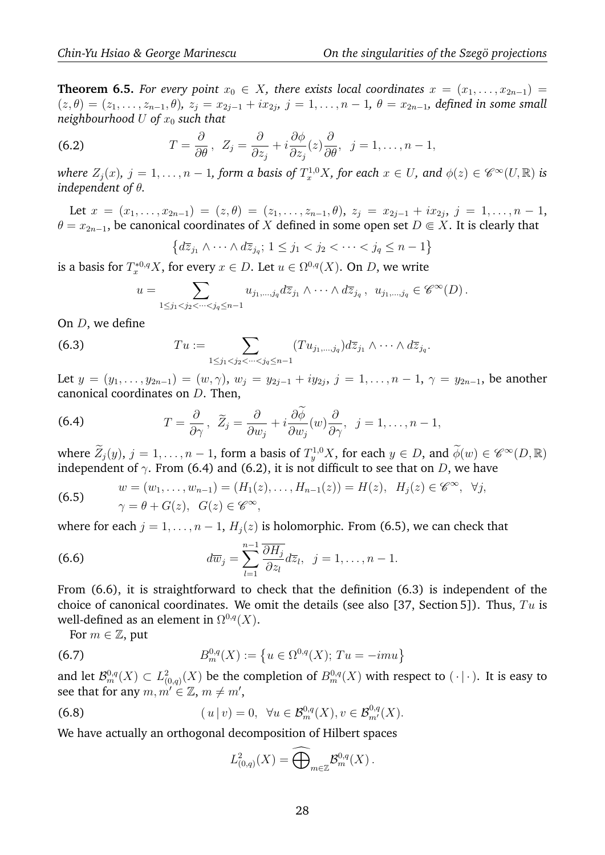**Theorem 6.5.** For every point  $x_0 \in X$ , there exists local coordinates  $x = (x_1, \ldots, x_{2n-1}) =$  $(z,\theta)=(z_1,\ldots,z_{n-1},\theta)$ ,  $z_j=x_{2j-1}+ix_{2j}$ ,  $j=1,\ldots,n-1$ ,  $\theta=x_{2n-1}$ , defined in some small *neighbourhood* U of  $x_0$  *such that* 

(6.2) 
$$
T = \frac{\partial}{\partial \theta}, \ Z_j = \frac{\partial}{\partial z_j} + i \frac{\partial \phi}{\partial z_j}(z) \frac{\partial}{\partial \theta}, \ j = 1, ..., n-1,
$$

 $\mathsf{where} \ Z_j(x), \ j=1,\ldots,n-1,$  form a basis of  $T^{1,0}_xX$ , for each  $x\in U$ , and  $\phi(z)\in \mathscr{C}^\infty(U,\mathbb{R})$  is *independent of* θ*.*

Let  $x = (x_1, \ldots, x_{2n-1}) = (z, \theta) = (z_1, \ldots, z_{n-1}, \theta), z_j = x_{2j-1} + ix_{2j}, j = 1, \ldots, n-1$  $\theta = x_{2n-1}$ , be canonical coordinates of X defined in some open set  $D \in X$ . It is clearly that

$$
\left\{d\overline{z}_{j_1}\wedge\cdots\wedge d\overline{z}_{j_q};\ 1\leq j_1
$$

is a basis for  $T^{*0,q}_xX$ , for every  $x\in D$ . Let  $u\in \Omega^{0,q}(X)$ . On  $D$ , we write

$$
u = \sum_{1 \leq j_1 < j_2 < \cdots < j_q \leq n-1} u_{j_1, \ldots, j_q} d\overline{z}_{j_1} \wedge \cdots \wedge d\overline{z}_{j_q}, \ u_{j_1, \ldots, j_q} \in \mathscr{C}^{\infty}(D).
$$

On D, we define

(6.3) 
$$
Tu := \sum_{1 \leq j_1 < j_2 < \cdots < j_q \leq n-1} (Tu_{j_1, \ldots, j_q}) d\overline{z}_{j_1} \wedge \cdots \wedge d\overline{z}_{j_q}.
$$

Let  $y = (y_1, \ldots, y_{2n-1}) = (w, \gamma)$ ,  $w_j = y_{2j-1} + iy_{2j}$ ,  $j = 1, \ldots, n-1$ ,  $\gamma = y_{2n-1}$ , be another canonical coordinates on D. Then,

(6.4) 
$$
T = \frac{\partial}{\partial \gamma}, \ \ \widetilde{Z}_j = \frac{\partial}{\partial w_j} + i \frac{\partial \phi}{\partial w_j}(w) \frac{\partial}{\partial \gamma}, \ \ j = 1, \dots, n-1,
$$

where  $\widetilde{Z}_j(y)$ ,  $j = 1, \ldots, n - 1$ , form a basis of  $T_y^{1,0}X$ , for each  $y \in D$ , and  $\widetilde{\phi}(w) \in \mathscr{C}^{\infty}(D, \mathbb{R})$ independent of  $\gamma$ . From (6.4) and (6.2), it is not difficult to see that on D, we have

(6.5) 
$$
w = (w_1, ..., w_{n-1}) = (H_1(z), ..., H_{n-1}(z)) = H(z), H_j(z) \in \mathscr{C}^{\infty}, \forall j,
$$

$$
\gamma = \theta + G(z), G(z) \in \mathscr{C}^{\infty},
$$

where for each  $j = 1, \ldots, n - 1$ ,  $H_i(z)$  is holomorphic. From (6.5), we can check that

(6.6) 
$$
d\overline{w}_j = \sum_{l=1}^{n-1} \frac{\overline{\partial H_j}}{\partial z_l} d\overline{z}_l, \ \ j=1,\ldots,n-1.
$$

From (6.6), it is straightforward to check that the definition (6.3) is independent of the choice of canonical coordinates. We omit the details (see also [37, Section 5]). Thus,  $Tu$  is well-defined as an element in  $\Omega^{0,q}(X).$ 

For  $m \in \mathbb{Z}$ , put

(6.7) 
$$
B_m^{0,q}(X) := \{u \in \Omega^{0,q}(X); Tu = -imu\}
$$

and let  $\mathcal{B}^{0,q}_m(X)\subset L^2_{(0,q)}(X)$  be the completion of  $B^{0,q}_m(X)$  with respect to  $(\,\cdot\,|\,\cdot\,)$ . It is easy to see that for any  $m, m' \in \mathbb{Z}$ ,  $m \neq m'$ ,

(6.8) 
$$
(u|v) = 0, \quad \forall u \in \mathcal{B}_{m}^{0,q}(X), v \in \mathcal{B}_{m'}^{0,q}(X).
$$

We have actually an orthogonal decomposition of Hilbert spaces

$$
L^2_{(0,q)}(X) = \bigoplus_{m \in \mathbb{Z}} \mathcal{B}^{0,q}_m(X) .
$$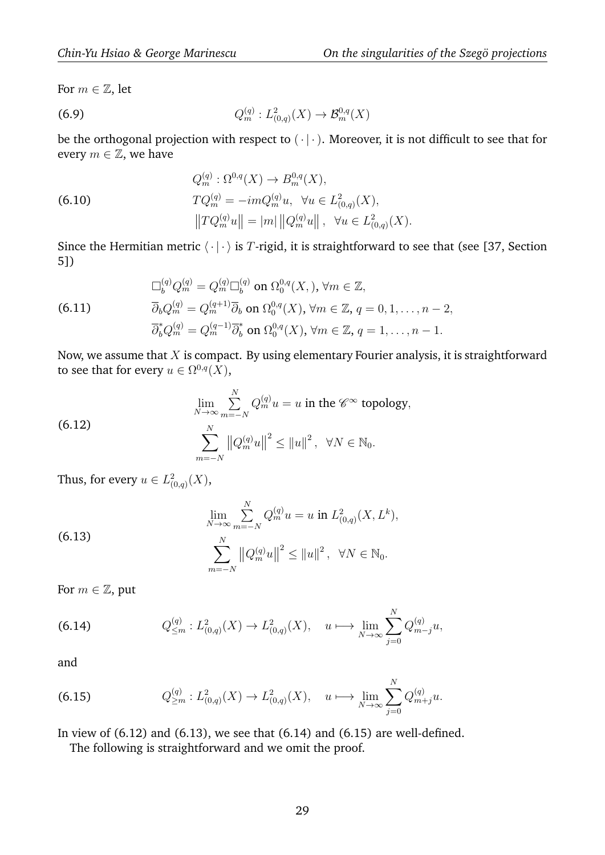For  $m \in \mathbb{Z}$ , let

(6.9) 
$$
Q_m^{(q)}: L^2_{(0,q)}(X) \to \mathcal{B}_m^{0,q}(X)
$$

be the orthogonal projection with respect to  $(\cdot | \cdot)$ . Moreover, it is not difficult to see that for every  $m \in \mathbb{Z}$ , we have

(6.10)  
\n
$$
Q_m^{(q)} : \Omega^{0,q}(X) \to B_m^{0,q}(X),
$$
\n
$$
TQ_m^{(q)} = -imQ_m^{(q)}u, \quad \forall u \in L^2_{(0,q)}(X),
$$
\n
$$
||TQ_m^{(q)}u|| = |m| ||Q_m^{(q)}u||, \quad \forall u \in L^2_{(0,q)}(X).
$$

Since the Hermitian metric  $\langle \cdot | \cdot \rangle$  is T-rigid, it is straightforward to see that (see [37, Section 5])

(6.11) 
$$
\Box_b^{(q)} Q_m^{(q)} = Q_m^{(q)} \Box_b^{(q)} \text{ on } \Omega_0^{0,q}(X), \forall m \in \mathbb{Z},
$$

$$
\overline{\partial}_b Q_m^{(q)} = Q_m^{(q+1)} \overline{\partial}_b \text{ on } \Omega_0^{0,q}(X), \forall m \in \mathbb{Z}, q = 0, 1, ..., n - 2,
$$

$$
\overline{\partial}_b^* Q_m^{(q)} = Q_m^{(q-1)} \overline{\partial}_b^* \text{ on } \Omega_0^{0,q}(X), \forall m \in \mathbb{Z}, q = 1, ..., n - 1.
$$

Now, we assume that  $X$  is compact. By using elementary Fourier analysis, it is straightforward to see that for every  $u \in \Omega^{0,q}(X)$ ,

(6.12) 
$$
\lim_{N \to \infty} \sum_{m=-N}^{N} Q_m^{(q)} u = u \text{ in the } \mathscr{C}^{\infty} \text{ topology},
$$

$$
\sum_{m=-N}^{N} ||Q_m^{(q)} u||^2 \le ||u||^2, \quad \forall N \in \mathbb{N}_0.
$$

Thus, for every  $u \in L^2_{(0,q)}(X)$ ,

(6.13) 
$$
\lim_{N \to \infty} \sum_{m=-N}^{N} Q_m^{(q)} u = u \text{ in } L^2_{(0,q)}(X, L^k),
$$

$$
\sum_{m=-N}^{N} ||Q_m^{(q)} u||^2 \le ||u||^2, \quad \forall N \in \mathbb{N}_0.
$$

For  $m \in \mathbb{Z}$ , put

(6.14) 
$$
Q_{\leq m}^{(q)} : L^2_{(0,q)}(X) \to L^2_{(0,q)}(X), \quad u \longmapsto \lim_{N \to \infty} \sum_{j=0}^N Q_{m-j}^{(q)} u,
$$

and

(6.15) 
$$
Q_{\geq m}^{(q)} : L^2_{(0,q)}(X) \to L^2_{(0,q)}(X), \quad u \longmapsto \lim_{N \to \infty} \sum_{j=0}^N Q_{m+j}^{(q)} u.
$$

In view of  $(6.12)$  and  $(6.13)$ , we see that  $(6.14)$  and  $(6.15)$  are well-defined.

The following is straightforward and we omit the proof.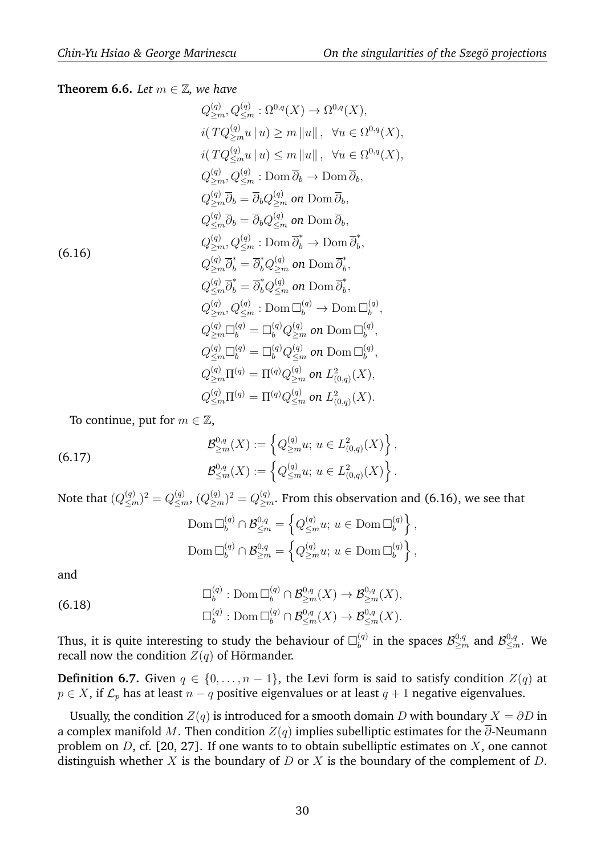**Theorem 6.6.** *Let*  $m \in \mathbb{Z}$ *, we have* 

$$
Q_{\geq m}^{(q)}, Q_{\leq m}^{(q)} : \Omega^{0,q}(X) \to \Omega^{0,q}(X),
$$
  
\n
$$
i(TQ_{\geq m}^{(q)}u|u) \geq m ||u||, \forall u \in \Omega^{0,q}(X),
$$
  
\n
$$
i(TQ_{\leq m}^{(q)}u|u) \leq m ||u||, \forall u \in \Omega^{0,q}(X),
$$
  
\n
$$
Q_{\geq m}^{(q)}, Q_{\leq m}^{(q)} : \text{Dom }\overline{\partial}_b \to \text{Dom }\overline{\partial}_b,
$$
  
\n
$$
Q_{\geq m}^{(q)}\overline{\partial}_b = \overline{\partial}_b Q_{\geq m}^{(q)} \text{ on } \text{Dom }\overline{\partial}_b,
$$
  
\n
$$
Q_{\leq m}^{(q)}\overline{\partial}_b = \overline{\partial}_b Q_{\leq m}^{(q)} \text{ on } \text{Dom }\overline{\partial}_b,
$$
  
\n
$$
Q_{\geq m}^{(q)}, Q_{\leq m}^{(q)} : \text{Dom }\overline{\partial}_b^* \to \text{Dom }\overline{\partial}_b^*,
$$
  
\n
$$
Q_{\geq m}^{(q)}, Q_{\leq m}^{(q)} : \text{Dom }\overline{\partial}_b^* \to \text{Dom }\overline{\partial}_b^*,
$$
  
\n
$$
Q_{\leq m}^{(q)}\overline{\partial}_b^* = \overline{\partial}_b^* Q_{\leq m}^{(q)} \text{ on } \text{Dom }\overline{\partial}_b^*,
$$
  
\n
$$
Q_{\geq m}^{(q)}, Q_{\leq m}^{(q)} : \text{Dom }\mathbb{L}_{b}^{(q)} \to \text{Dom }\mathbb{L}_{b}^{(q)},
$$
  
\n
$$
Q_{\geq m}^{(q)} \square_{b}^{(q)} = \square_{b}^{(q)} Q_{\geq m}^{(q)} \text{ on } \text{Dom }\mathbb{L}_{b}^{(q)},
$$
  
\n
$$
Q_{\leq m}^{(q)} \square_{b}^{(q)} = \square_{b}^{(q)} Q_{\leq m}^{(q)} \text{ on } \text{Dom }\mathbb{L}_{b}^{(q)},
$$
  
\n
$$
Q_{\
$$

To continue, put for  $m \in \mathbb{Z}$ ,

(6.17) 
$$
\mathcal{B}_{\geq m}^{0,q}(X) := \left\{ Q_{\geq m}^{(q)} u; u \in L_{(0,q)}^2(X) \right\}, \n\mathcal{B}_{\leq m}^{0,q}(X) := \left\{ Q_{\leq m}^{(q)} u; u \in L_{(0,q)}^2(X) \right\}.
$$

Note that  $(Q_{\leq m}^{(q)})^2=Q_{\leq m}^{(q)},\, (Q_{\geq m}^{(q)})^2=Q_{\geq m}^{(q)}.$  From this observation and (6.16), we see that

$$
\text{Dom }\Box_b^{(q)} \cap \mathcal{B}_{\leq m}^{0,q} = \left\{ Q_{\leq m}^{(q)} u; u \in \text{Dom }\Box_b^{(q)} \right\},\
$$
  

$$
\text{Dom }\Box_b^{(q)} \cap \mathcal{B}_{\geq m}^{0,q} = \left\{ Q_{\geq m}^{(q)} u; u \in \text{Dom }\Box_b^{(q)} \right\},\
$$

and

(6.18) 
$$
\Box_b^{(q)} : \text{Dom } \Box_b^{(q)} \cap \mathcal{B}_{\geq m}^{0,q}(X) \to \mathcal{B}_{\geq m}^{0,q}(X), \n\Box_b^{(q)} : \text{Dom } \Box_b^{(q)} \cap \mathcal{B}_{\leq m}^{0,q}(X) \to \mathcal{B}_{\leq m}^{0,q}(X).
$$

Thus, it is quite interesting to study the behaviour of  $\square_b^{(q)}$  $\mathcal{B}^{(q)}_b$  in the spaces  $\mathcal{B}^{0,q}_{\geq m}$  and  $\mathcal{B}^{0,q}_{\leq m}.$  We recall now the condition  $Z(q)$  of Hörmander.

**Definition 6.7.** Given  $q \in \{0, \ldots, n-1\}$ , the Levi form is said to satisfy condition  $Z(q)$  at  $p \in X$ , if  $\mathcal{L}_p$  has at least  $n - q$  positive eigenvalues or at least  $q + 1$  negative eigenvalues.

Usually, the condition  $Z(q)$  is introduced for a smooth domain D with boundary  $X = \partial D$  in a complex manifold M. Then condition  $Z(q)$  implies subelliptic estimates for the  $\overline{\partial}$ -Neumann problem on  $D$ , cf. [20, 27]. If one wants to to obtain subelliptic estimates on  $X$ , one cannot distinguish whether  $X$  is the boundary of  $D$  or  $X$  is the boundary of the complement of  $D$ .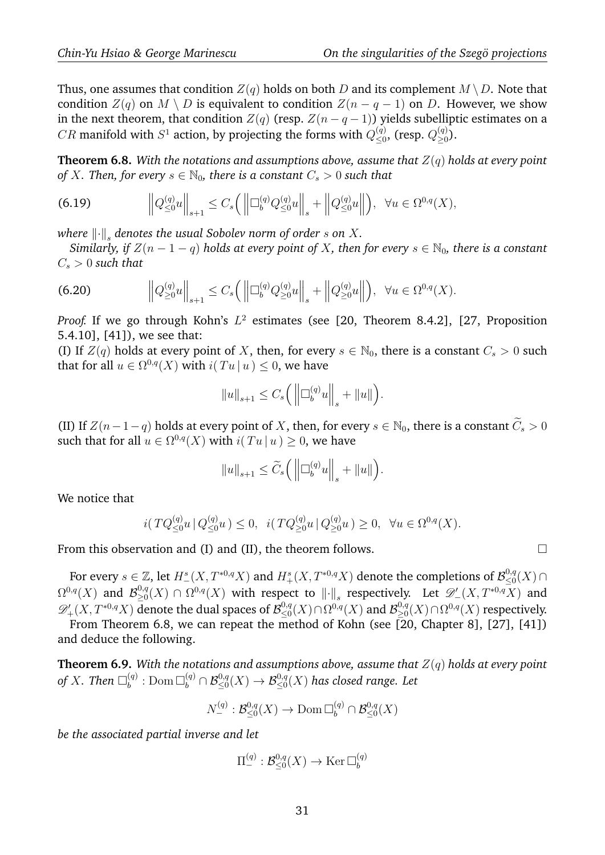Thus, one assumes that condition  $Z(q)$  holds on both D and its complement  $M \setminus D$ . Note that condition  $Z(q)$  on  $M \setminus D$  is equivalent to condition  $Z(n - q - 1)$  on D. However, we show in the next theorem, that condition  $Z(q)$  (resp.  $Z(n - q - 1)$ ) yields subelliptic estimates on a  $CR$  manifold with  $S^1$  action, by projecting the forms with  $Q_{\leq 0}^{(q)}$  $_{\leq0}^{\left( q\right) },$  (resp.  $Q_{\geq0}^{\left( q\right) }$  $\geq 0$ ).

**Theorem 6.8.** With the notations and assumptions above, assume that  $Z(q)$  holds at every point *of* X. Then, for every  $s \in \mathbb{N}_0$ , there is a constant  $C_s > 0$  such that

(6.19) 
$$
\left\|Q_{\leq 0}^{(q)}u\right\|_{s+1} \leq C_s \left(\left\|\Box_b^{(q)}Q_{\leq 0}^{(q)}u\right\|_{s} + \left\|Q_{\leq 0}^{(q)}u\right\|_{s}\right), \ \forall u \in \Omega^{0,q}(X),
$$

where  $\left\| \cdot \right\|_s$  denotes the usual Sobolev norm of order  $s$  on  $X.$ 

*Similarly, if*  $Z(n-1-q)$  *holds at every point of* X, then for every  $s \in \mathbb{N}_0$ , there is a constant  $C_s > 0$  *such that* 

(6.20) 
$$
\left\|Q_{\geq 0}^{(q)}u\right\|_{s+1} \leq C_s \left(\left\|\Box_b^{(q)}Q_{\geq 0}^{(q)}u\right\|_{s} + \left\|Q_{\geq 0}^{(q)}u\right\|_{s}\right), \ \forall u \in \Omega^{0,q}(X).
$$

*Proof.* If we go through Kohn's  $L^2$  estimates (see [20, Theorem 8.4.2], [27, Proposition 5.4.10], [41]), we see that:

(I) If  $Z(q)$  holds at every point of X, then, for every  $s \in \mathbb{N}_0$ , there is a constant  $C_s > 0$  such that for all  $u \in \Omega^{0,q}(X)$  with  $i(Tu | u) \leq 0$ , we have

$$
||u||_{s+1} \leq C_s (||\Box_b^{(q)} u||_s + ||u||).
$$

(II) If  $Z(n-1-q)$  holds at every point of X, then, for every  $s \in \mathbb{N}_0$ , there is a constant  $\widetilde{C}_s > 0$ such that for all  $u \in \Omega^{0,q}(X)$  with  $i(Tu | u) \geq 0$ , we have

$$
||u||_{s+1} \leq \widetilde{C}_s \Big( \left\| \Box_b^{(q)} u \right\|_s + ||u|| \Big).
$$

We notice that

 $i(TQ_{\leq 0}^{(q)}u \mid Q_{\leq 0}^{(q)}u) \leq 0, \ \ i(TQ_{\geq 0}^{(q)}u \mid Q_{\geq 0}^{(q)}u) \geq 0, \ \ \forall u \in \Omega^{0,q}(X).$ 

From this observation and (I) and (II), the theorem follows.  $\Box$ 

For every  $s\in\mathbb{Z}$ , let  $H^s_-(X,T^{*0,q}X)$  and  $H^s_+(X,T^{*0,q}X)$  denote the completions of  $\mathcal{B}^{0,q}_{\leq 0}$  $\mathbb{Z}_\leq^{0,q}(X)\cap$  $\Omega^{0,q}(X)$  and  $\mathcal{B}^{0,q}_{\geq 0}$  $\sum_{i\geq 0}^{0,q}(X)\cap \Omega^{0,q}(X)$  with respect to  $\left\|\cdot\right\|_s$  respectively. Let  $\mathscr{D}'_-(X,T^{*0,q}X)$  and  $\mathscr{D}'_+(X,T^{*0,q}X)$  denote the dual spaces of  $\mathcal{B}^{0,q}_{\leq 0}$  $\mathcal{B}_{\leq 0}^{0,q}(X)\cap \Omega^{0,q}(X)$  and  $\mathcal{B}_{\geq 0}^{0,q}$  $\sum\limits_{\geq 0}^{0,q}(X)\cap \Omega^{0,q}(X)$  respectively.

From Theorem 6.8, we can repeat the method of Kohn (see [20, Chapter 8], [27], [41]) and deduce the following.

**Theorem 6.9.** With the notations and assumptions above, assume that  $Z(q)$  holds at every point of X. Then  $\square_b^{(q)}$  $\mathcal{B}^{(q)}_b : {\rm Dom\,}\Box^{(q)}_b \cap \mathcal{B}^{0,q}_{\leq 0}(X) \to \mathcal{B}^{0,q}_{\leq 0}(X)$  has closed range. Let

$$
N^{(q)}_{-}: \mathcal{B}^{0,q}_{\leq 0}(X) \to \text{Dom\,} \Box^{(q)}_b \cap \mathcal{B}^{0,q}_{\leq 0}(X)
$$

*be the associated partial inverse and let*

$$
\Pi_{-}^{(q)}:\mathcal{B}_{\leq 0}^{0,q}(X)\to \operatorname{Ker} \Box_{b}^{(q)}
$$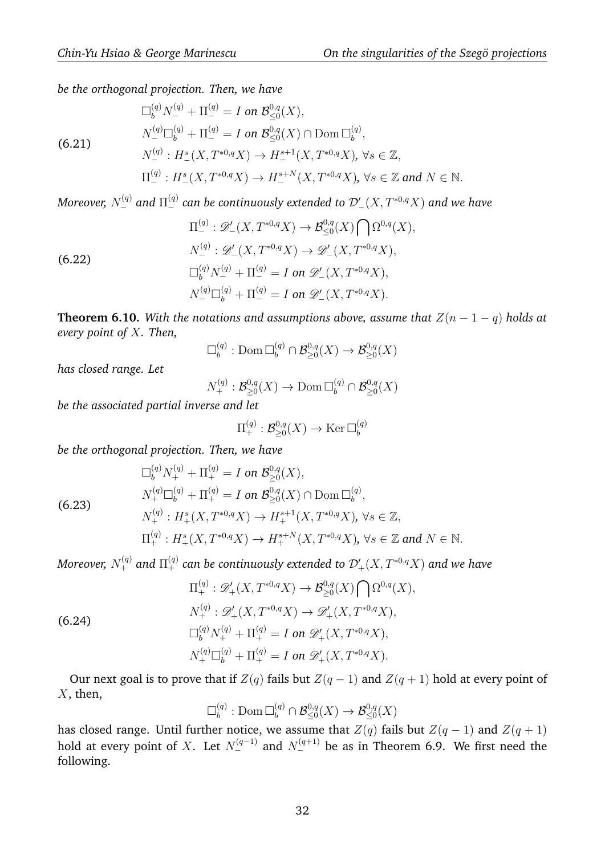*be the orthogonal projection. Then, we have*

$$
\Box_b^{(q)} N^{(q)}_- + \Pi_-^{(q)} = I \text{ on } \mathcal{B}_{\leq 0}^{0,q}(X),
$$
  
\n
$$
N^{(q)}_- \Box_b^{(q)} + \Pi_-^{(q)} = I \text{ on } \mathcal{B}_{\leq 0}^{0,q}(X) \cap \text{Dom } \Box_b^{(q)},
$$
  
\n
$$
N^{(q)}_- : H^s_-(X, T^{*0,q}X) \to H^{s+1}_-(X, T^{*0,q}X), \forall s \in \mathbb{Z},
$$
  
\n
$$
\Pi_-^{(q)} : H^s_-(X, T^{*0,q}X) \to H^{s+N}_-(X, T^{*0,q}X), \forall s \in \mathbb{Z} \text{ and } N \in \mathbb{N}.
$$

Moreover,  $N_{-}^{(q)}$  and  $\Pi_{-}^{(q)}$  can be continuously extended to  $\mathcal{D}'_{-}(X,T^{*0,q}X)$  and we have

(6.22)  
\n
$$
\Pi_{-}^{(q)} : \mathscr{D}'_{-}(X, T^{*0,q}X) \to \mathcal{B}_{\leq 0}^{0,q}(X) \bigcap \Omega^{0,q}(X),
$$
\n
$$
N_{-}^{(q)} : \mathscr{D}'_{-}(X, T^{*0,q}X) \to \mathscr{D}'_{-}(X, T^{*0,q}X),
$$
\n
$$
\Box_{b}^{(q)} N_{-}^{(q)} + \Pi_{-}^{(q)} = I \text{ on } \mathscr{D}'_{-}(X, T^{*0,q}X),
$$
\n
$$
N_{-}^{(q)} \Box_{b}^{(q)} + \Pi_{-}^{(q)} = I \text{ on } \mathscr{D}'_{-}(X, T^{*0,q}X).
$$

**Theorem 6.10.** With the notations and assumptions above, assume that  $Z(n-1-q)$  holds at *every point of* X*. Then,*

$$
\Box_b^{(q)} : \text{Dom } \Box_b^{(q)} \cap \mathcal{B}_{\geq 0}^{0,q}(X) \to \mathcal{B}_{\geq 0}^{0,q}(X)
$$

*has closed range. Let*

$$
N^{(q)}_+ : \mathcal{B}_{\geq 0}^{0,q}(X) \to \text{Dom } \square_b^{(q)} \cap \mathcal{B}_{\geq 0}^{0,q}(X)
$$

*be the associated partial inverse and let*

$$
\Pi_+^{(q)} : \mathcal{B}_{\geq 0}^{0,q}(X) \to \text{Ker } \Box_b^{(q)}
$$

*be the orthogonal projection. Then, we have*

 $\Box_b^{(q)} N^{(q)}_+ + \Pi_+^{(q)} = I$  on  ${\cal B}^{0,q}_{\geq 0}$ 

(6.23)

$$
N_{+}^{(q)}\square_{b}^{(q)} + \Pi_{+}^{(q)} = I \text{ on } \mathcal{B}_{\geq 0}^{0,q}(X) \cap \text{Dom } \square_{b}^{(q)},
$$
  
\n
$$
N_{+}^{(q)}: H_{+}^{s}(X, T^{*0,q}X) \to H_{+}^{s+1}(X, T^{*0,q}X), \forall s \in \mathbb{Z},
$$
  
\n
$$
\Pi_{+}^{(q)}: H_{+}^{s}(X, T^{*0,q}X) \to H_{+}^{s+N}(X, T^{*0,q}X), \forall s \in \mathbb{Z} \text{ and } N \in \mathbb{N}.
$$

 $\sum_{i=0}^{0,q} (X),$ 

Moreover,  $N_+^{(q)}$  and  $\Pi_+^{(q)}$  can be continuously extended to  $\mathcal{D}_+'(X,T^{*0,q}X)$  and we have

(6.24)  
\n
$$
\Pi_{+}^{(q)} : \mathscr{D}_{+}'(X, T^{*0,q}X) \to \mathcal{B}_{\geq 0}^{0,q}(X) \bigcap \Omega^{0,q}(X),
$$
\n
$$
N_{+}^{(q)} : \mathscr{D}_{+}'(X, T^{*0,q}X) \to \mathscr{D}_{+}'(X, T^{*0,q}X),
$$
\n
$$
\Box_{b}^{(q)} N_{+}^{(q)} + \Pi_{+}^{(q)} = I \text{ on } \mathscr{D}_{+}'(X, T^{*0,q}X),
$$
\n
$$
N_{+}^{(q)} \Box_{b}^{(q)} + \Pi_{+}^{(q)} = I \text{ on } \mathscr{D}_{+}'(X, T^{*0,q}X).
$$

Our next goal is to prove that if  $Z(q)$  fails but  $Z(q - 1)$  and  $Z(q + 1)$  hold at every point of  $X$ , then,

$$
\Box_b^{(q)} : \text{Dom } \Box_b^{(q)} \cap \mathcal{B}_{\leq 0}^{0,q}(X) \to \mathcal{B}_{\leq 0}^{0,q}(X)
$$

has closed range. Until further notice, we assume that  $Z(q)$  fails but  $Z(q-1)$  and  $Z(q+1)$ hold at every point of  $X.$  Let  $N_{-}^{(q-1)}$  and  $N_{-}^{(q+1)}$  be as in Theorem 6.9. We first need the following.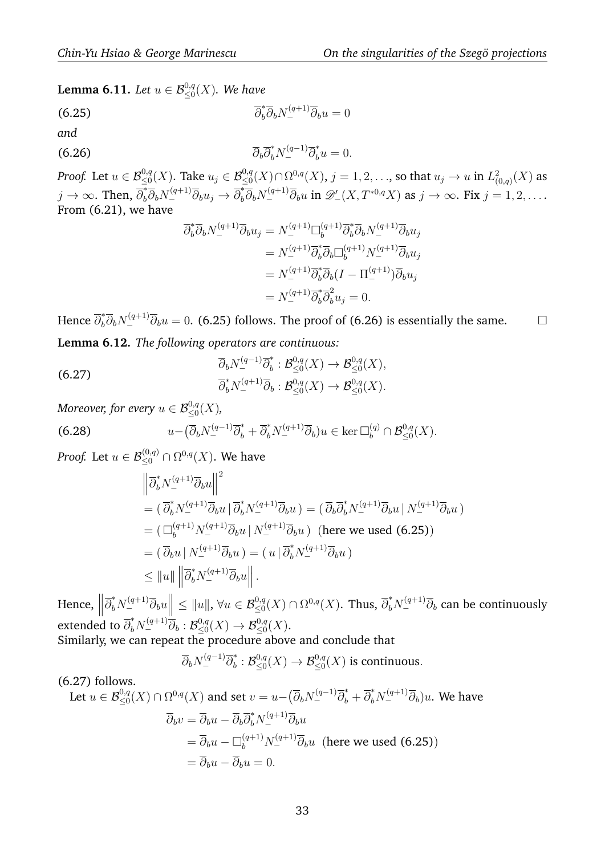**Lemma 6.11.** Let  $u \in \mathcal{B}^{0,q}_{\leq 0}(X)$ . We have

(6.25) 
$$
\overline{\partial}_b^* \overline{\partial}_b N_-^{(q+1)} \overline{\partial}_b u = 0
$$

*and*

(6.26) 
$$
\overline{\partial}_b \overline{\partial}_b^* N_-^{(q-1)} \overline{\partial}_b^* u = 0.
$$

*Proof.* Let  $u \in \mathcal{B}^{0,q}_{\leq 0}(X)$ . Take  $u_j \in \mathcal{B}^{0,q}_{\leq 0}(X) \cap \Omega^{0,q}(X),$   $j=1,2,\ldots,$  so that  $u_j \to u$  in  $L^2_{(0,q)}(X)$  as  $j \to \infty$ . Then,  $\overline{\partial}_b^* \overline{\partial}_b N_{-}^{(q+1)} \overline{\partial}_b u_j \to \overline{\partial}_b^* \overline{\partial}_b N_{-}^{(q+1)} \overline{\partial}_b u$  in  $\mathscr{D}'_-(X, T^{*0,q}X)$  as  $j \to \infty$ . Fix  $j = 1, 2, \ldots$ . From (6.21), we have

$$
\overline{\partial}_b^* \overline{\partial}_b N_-^{(q+1)} \overline{\partial}_b u_j = N_-^{(q+1)} \Box_b^{(q+1)} \overline{\partial}_b^* \overline{\partial}_b N_-^{(q+1)} \overline{\partial}_b u_j
$$
  
\n
$$
= N_-^{(q+1)} \overline{\partial}_b^* \overline{\partial}_b \Box_b^{(q+1)} N_-^{(q+1)} \overline{\partial}_b u_j
$$
  
\n
$$
= N_-^{(q+1)} \overline{\partial}_b^* \overline{\partial}_b (I - \Pi_-^{(q+1)}) \overline{\partial}_b u_j
$$
  
\n
$$
= N_-^{(q+1)} \overline{\partial}_b^* \overline{\partial}_b^2 u_j = 0.
$$

Hence  $\overline{\partial}^*_b\overline{\partial}_bN^{(q+1)}_-\overline{\partial}_b u=0$ . (6.25) follows. The proof of (6.26) is essentially the same. □ **Lemma 6.12.** *The following operators are continuous:*

(6.27) 
$$
\overline{\partial}_b N^{(q-1)}_-\overline{\partial}_b^* : \mathcal{B}^{0,q}_{\leq 0}(X) \to \mathcal{B}^{0,q}_{\leq 0}(X),
$$

$$
\overline{\partial}_b^* N^{(q+1)}_-\overline{\partial}_b : \mathcal{B}^{0,q}_{\leq 0}(X) \to \mathcal{B}^{0,q}_{\leq 0}(X).
$$

*Moreover, for every*  $u \in \mathcal{B}^{0,q}_{\leq 0}(X)$ ,

(6.28) 
$$
u - \left(\overline{\partial}_b N^{(q-1)}_- \overline{\partial}_b^* + \overline{\partial}_b^* N^{(q+1)}_- \overline{\partial}_b\right) u \in \ker \Box_b^{(q)} \cap \mathcal{B}_{\leq 0}^{0,q}(X).
$$

*Proof.* Let  $u \in \mathcal{B}^{(0,q)}_{\leq 0} \cap \Omega^{0,q}(X)$ . We have

$$
\begin{split}\n&\left\|\overline{\partial}_{b}^{*} N_{-}^{(q+1)} \overline{\partial}_{b} u\right\|^{2} \\
&= (\overline{\partial}_{b}^{*} N_{-}^{(q+1)} \overline{\partial}_{b} u \left| \overline{\partial}_{b}^{*} N_{-}^{(q+1)} \overline{\partial}_{b} u\right) = (\overline{\partial}_{b} \overline{\partial}_{b}^{*} N_{-}^{(q+1)} \overline{\partial}_{b} u \left| N_{-}^{(q+1)} \overline{\partial}_{b} u\right) \\
&= (\sum_{b}^{(q+1)} N_{-}^{(q+1)} \overline{\partial}_{b} u \left| N_{-}^{(q+1)} \overline{\partial}_{b} u\right) \text{ (here we used (6.25))} \\
&= (\overline{\partial}_{b} u \left| N_{-}^{(q+1)} \overline{\partial}_{b} u\right) = (u \left| \overline{\partial}_{b}^{*} N_{-}^{(q+1)} \overline{\partial}_{b} u\right) \\
&\leq \|u\| \left\|\overline{\partial}_{b}^{*} N_{-}^{(q+1)} \overline{\partial}_{b} u\right\|.\n\end{split}
$$

Hence,  $\Big\|$  $\overline{\partial}_b^* N_{-}^{(q+1)} \overline{\partial}_b u \leq ||u||$ ,  $\forall u \in \mathcal{B}_{\leq 0}^{0,q}(X) \cap \Omega^{0,q}(X)$ . Thus,  $\overline{\partial}_b^* N_{-}^{(q+1)} \overline{\partial}_b$  can be continuously extended to  $\overline\partial_b^*N^{(q+1)}_-\overline\partial_b:\mathcal{B}^{0,q}_{\leq 0}$  $\mathcal{B}^{0,q}_{\leq 0}(X) \to \mathcal{B}^{0,q}_{\leq 0}(X).$ 

Similarly, we can repeat the procedure above and conclude that

$$
\overline{\partial}_b N^{(q-1)}_-\overline{\partial}^*_b: \mathcal{B}^{0,q}_{\leq 0}(X)\rightarrow \mathcal{B}^{0,q}_{\leq 0}(X) \text{ is continuous.}
$$

(6.27) follows.

Let 
$$
u \in \mathcal{B}^{0,q}_{\leq 0}(X) \cap \Omega^{0,q}(X)
$$
 and set  $v = u - (\overline{\partial}_b N^{(q-1)}_- \overline{\partial}_b^* + \overline{\partial}_b^* N^{(q+1)}_- \overline{\partial}_b)u$ . We have  
\n
$$
\overline{\partial}_b v = \overline{\partial}_b u - \overline{\partial}_b \overline{\partial}_b^* N^{(q+1)}_- \overline{\partial}_b u
$$
\n
$$
= \overline{\partial}_b u - \overline{\partial}_b^* u^{(q+1)}_- \overline{\partial}_b u
$$
\n(here we used (6.25))\n
$$
= \overline{\partial}_b u - \overline{\partial}_b u = 0.
$$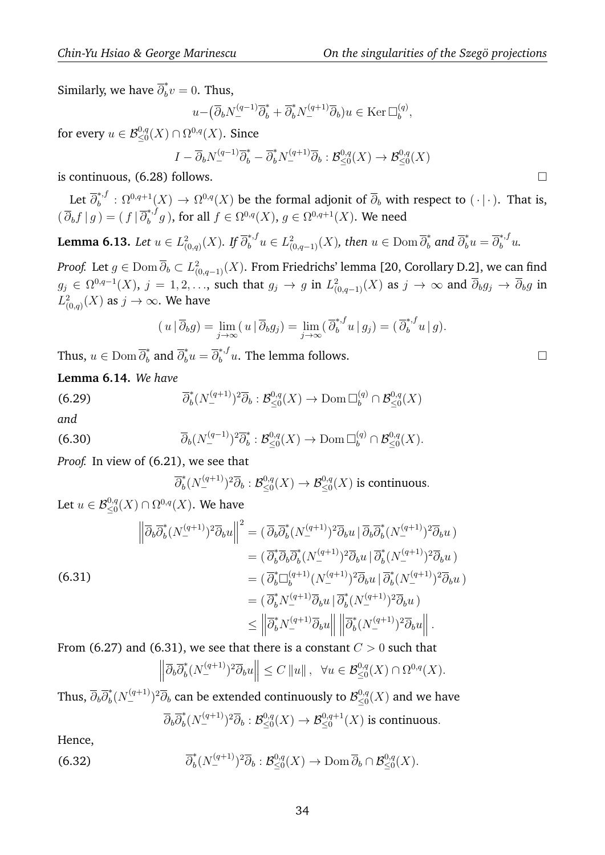Similarly, we have  $\overline{\partial}^*_b$  $\int_b^{\tilde{}} v = 0$ . Thus,

$$
u - \left(\overline{\partial}_b N_{-}^{(q-1)} \overline{\partial}_b^* + \overline{\partial}_b^* N_{-}^{(q+1)} \overline{\partial}_b\right) u \in \text{Ker} \square_b^{(q)},
$$

for every  $u\in \mathcal{B}^{0,q}_{\leq 0}(X)\cap \Omega^{0,q}(X).$  Since

$$
I - \overline{\partial}_b N_{-}^{(q-1)} \overline{\partial}_b^* - \overline{\partial}_b^* N_{-}^{(q+1)} \overline{\partial}_b : \mathcal{B}_{\leq 0}^{0,q}(X) \to \mathcal{B}_{\leq 0}^{0,q}(X)
$$

is continuous,  $(6.28)$  follows.

Let  $\overline{\partial}^{*,f}_b$  $\delta_b^{*,j} : \Omega^{0,q+1}(X) \to \Omega^{0,q}(X)$  be the formal adjonit of  $\overline\partial_b$  with respect to  $(\,\cdot\,|\,\cdot\,)$ . That is,  $\left(\left.\overline{\partial}_{b}f\,\right|g\left.\right)\right)=\left(\left.f\,\right|\overline{\partial}_{b}^{*,f}\right)$  $\delta_b^{*,f}g$  ), for all  $f\in \Omega^{0,q}(X),\,g\in \Omega^{0,q+1}(X).$  We need

Lemma 6.13. Let  $u\in L^2_{(0,q)}(X)$ . If  $\overline{\partial}_b^{*,f}u\in L^2_{(0,q-1)}(X)$ , then  $u\in {\rm Dom\,}\overline{\partial}_b^*$  and  $\overline{\partial}_b^*u=\overline{\partial}_b^{*,f}u$ .

*Proof.* Let  $g \in \mathrm{Dom}\,\overline{\partial}_b \subset L^2_{(0,q-1)}(X).$  From Friedrichs' lemma [20, Corollary D.2], we can find  $g_j\,\in\,\Omega^{0,q-1}(X),\ j=1,2,\ldots,$  such that  $g_j\,\to\,g$  in  $L^2_{(0,q-1)}(X)$  as  $j\,\to\,\infty$  and  $\overline\partial_b g_j\,\to\,\overline\partial_b g$  in  $L^2_{(0,q)}(X)$  as  $j\to\infty.$  We have

$$
(u | \overline{\partial}_b g) = \lim_{j \to \infty} (u | \overline{\partial}_b g_j) = \lim_{j \to \infty} (\overline{\partial}_b^{*,f} u | g_j) = (\overline{\partial}_b^{*,f} u | g).
$$

Thus,  $u \in \text{Dom} \, \overline{\partial}^*_b$  and  $\overline{\partial}^*_b u = \overline{\partial}^{*,f}_b u$ . The lemma follows.  $\hfill \Box$ 

**Lemma 6.14.** *We have*

(6.29) 
$$
\overline{\partial}_b^*(N^{(q+1)}_-)^2 \overline{\partial}_b : \mathcal{B}^{0,q}_{\leq 0}(X) \to \text{Dom } \Box_b^{(q)} \cap \mathcal{B}^{0,q}_{\leq 0}(X)
$$

*and*

(6.30) 
$$
\overline{\partial}_b(N^{(q-1)}_-)^2 \overline{\partial}_b^* : \mathcal{B}^{0,q}_{\leq 0}(X) \to \text{Dom } \Box_b^{(q)} \cap \mathcal{B}^{0,q}_{\leq 0}(X).
$$

*Proof.* In view of (6.21), we see that

$$
\overline{\partial}_b^*(N^{(q+1)}_-)^2 \overline{\partial}_b : \mathcal{B}^{0,q}_{\leq 0}(X) \to \mathcal{B}^{0,q}_{\leq 0}(X) \text{ is continuous.}
$$

Let  $u\in \mathcal{B}^{0,q}_{\leq 0}(X)\cap \Omega^{0,q}(X).$  We have

$$
\begin{split} \left\| \overline{\partial}_b \overline{\partial}_b^* (N_-^{(q+1)})^2 \overline{\partial}_b u \right\|^2 &= (\overline{\partial}_b \overline{\partial}_b^* (N_-^{(q+1)})^2 \overline{\partial}_b u \, |\, \overline{\partial}_b \overline{\partial}_b^* (N_-^{(q+1)})^2 \overline{\partial}_b u \, ) \\ &= (\overline{\partial}_b^* \overline{\partial}_b \overline{\partial}_b^* (N_-^{(q+1)})^2 \overline{\partial}_b u \, |\, \overline{\partial}_b^* (N_-^{(q+1)})^2 \overline{\partial}_b u \, ) \\ &= (\overline{\partial}_b^* \Box_b^{(q+1)} (N_-^{(q+1)})^2 \overline{\partial}_b u \, |\, \overline{\partial}_b^* (N_-^{(q+1)})^2 \overline{\partial}_b u \, ) \\ &= (\overline{\partial}_b^* N_-^{(q+1)} \overline{\partial}_b u \, |\, \overline{\partial}_b^* (N_-^{(q+1)})^2 \overline{\partial}_b u \, ) \\ &\leq \left\| \overline{\partial}_b^* N_-^{(q+1)} \overline{\partial}_b u \right\| \left\| \overline{\partial}_b^* (N_-^{(q+1)})^2 \overline{\partial}_b u \right\| . \end{split}
$$

From (6.27) and (6.31), we see that there is a constant  $C > 0$  such that  $\begin{array}{c} \hline \end{array}$  $\overline{\partial}_b \overline{\partial}_b^*$  $\mathbb{E}_{b}^{*}(N_{-}^{(q+1)})^{2}\overline{\partial}_{b}u\| \leq C\|u\|, \ \ \forall u \in \mathcal{B}^{0,q}_{\leq 0}(X) \cap \Omega^{0,q}(X).$ 

Thus,  $\overline{\partial}_b \overline{\partial}_b^*$  $\partial_b^*(N_{-}^{(q+1)})^2 \overline{\partial}_b$  can be extended continuously to  $\mathcal{B}_{\leq 0}^{0,q}$  $\int_{\leq 0}^{\infty} (X)$  and we have  $\overline{\partial} _{b}\overline{\partial}_{b}^{\ast }$  $\partial_b^*(N^{(q+1)}_-)^2 \overline{\partial}_b : \mathcal{B}^{0,q}_{\leq 0}$  $\mathcal{L}^{0,q}_{\leq 0}(X) \to \mathcal{B}^{0,q+1}_{\leq 0}(X)$  is continuous.

Hence,

(6.32) 
$$
\overline{\partial}_b^*(N^{(q+1)}_-)^2 \overline{\partial}_b : \mathcal{B}^{0,q}_{\leq 0}(X) \to \text{Dom } \overline{\partial}_b \cap \mathcal{B}^{0,q}_{\leq 0}(X).
$$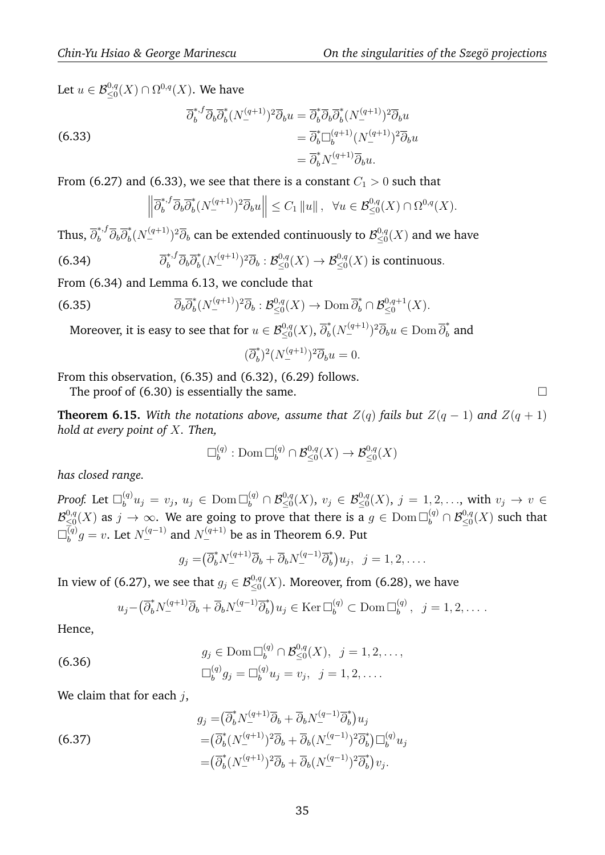Let  $u\in \mathcal{B}^{0,q}_{\leq 0}(X)\cap \Omega^{0,q}(X).$  We have

(6.33)  
\n
$$
\overline{\partial}_b^{*,f} \overline{\partial}_b \overline{\partial}_b^*(N_-^{(q+1)})^2 \overline{\partial}_b u = \overline{\partial}_b^* \overline{\partial}_b \overline{\partial}_b^*(N_-^{(q+1)})^2 \overline{\partial}_b u
$$
\n
$$
= \overline{\partial}_b^* \Box_b^{(q+1)} (N_-^{(q+1)})^2 \overline{\partial}_b u
$$
\n
$$
= \overline{\partial}_b^* N_-^{(q+1)} \overline{\partial}_b u.
$$

From (6.27) and (6.33), we see that there is a constant  $C_1 > 0$  such that

$$
\left\|\overline{\partial}_b^{*,f}\overline{\partial}_b\overline{\partial}_b^*(N^{(q+1)}_-)^2\overline{\partial}_b u\right\| \le C_1 \|u\|, \ \forall u \in \mathcal{B}^{0,q}_{\leq 0}(X) \cap \Omega^{0,q}(X).
$$

Thus,  $\overline{\partial}^{*,f}_b \overline{\partial}_b \overline{\partial}^{*}_b$  $\bar{b}^{*}(N^{(q+1)}_{-})^2\overline{\partial}_{b}$  can be extended continuously to  $\mathcal{B}^{0,q}_{\leq 0}$  $\mathcal{E}^{0,q}_{\leq 0}(X)$  and we have

(6.34) 
$$
\overline{\partial}_b^{*,f} \overline{\partial}_b \overline{\partial}_b^*(N^{(q+1)}_-)^2 \overline{\partial}_b : \mathcal{B}^{0,q}_{\leq 0}(X) \to \mathcal{B}^{0,q}_{\leq 0}(X) \text{ is continuous.}
$$

From (6.34) and Lemma 6.13, we conclude that

(6.35) 
$$
\overline{\partial}_b \overline{\partial}_b^* (N_-^{(q+1)})^2 \overline{\partial}_b : \mathcal{B}_{\leq 0}^{0,q}(X) \to \text{Dom } \overline{\partial}_b^* \cap \mathcal{B}_{\leq 0}^{0,q+1}(X).
$$

Moreover, it is easy to see that for  $u\in \mathcal{B}^{0,q}_{\leq 0}(X),\, \overline{\partial}^*_b$  $\bar{\partial}_b^*(N_{-}^{(q+1)})^2 \overline{\partial}_b u \in \operatorname{Dom} \overline{\partial}_b^*$  and

$$
(\overline{\partial}_b^*)^2 (N_-^{(q+1)})^2 \overline{\partial}_b u = 0.
$$

From this observation, (6.35) and (6.32), (6.29) follows.

The proof of  $(6.30)$  is essentially the same.

**Theorem 6.15.** *With the notations above, assume that*  $Z(q)$  *fails but*  $Z(q - 1)$  *and*  $Z(q + 1)$ *hold at every point of* X*. Then,*

$$
\Box_b^{(q)} : \text{Dom } \Box_b^{(q)} \cap \mathcal{B}_{\leq 0}^{0,q}(X) \to \mathcal{B}_{\leq 0}^{0,q}(X)
$$

*has closed range.*

*Proof.* Let  $\Box_{b}^{(q)} u_j = v_j, \ u_j \in {\rm Dom\,}\Box_{b}^{(q)} \cap {\mathcal B}^{0,q}_{\leq 0}(X), \ v_j \in {\mathcal B}^{0,q}_{\leq 0}(X), \ j=1,2,\ldots,$  with  $v_j \to v \in {\mathcal B}^{0,q}_{\leq 0}(X)$  $\mathcal{B}^{0,q}_{\leq 0}$  $\zeta_{\leq 0}^{0,q}(X)$  as  $j\to\infty.$  We are going to prove that there is a  $g\in{\rm Dom\,}\Box^{(q)}_b\cap {\cal B}^{0,q}_{\leq 0}(X)$  such that  $\square^{(q)}_i$  $b^{(q)}_b g = v$ . Let  $N_{-}^{(q-1)}$  and  $N_{-}^{(q+1)}$  be as in Theorem 6.9. Put

$$
g_j = (\overline{\partial}_b^* N_-^{(q+1)} \overline{\partial}_b + \overline{\partial}_b N_-^{(q-1)} \overline{\partial}_b^*) u_j, \ \ j = 1, 2, \dots
$$

In view of (6.27), we see that  $g_j \in \mathcal{B}^{0,q}_{\leq 0}(X).$  Moreover, from (6.28), we have

$$
u_j - \left(\overline{\partial}_b^* N_-^{(q+1)} \overline{\partial}_b + \overline{\partial}_b N_-^{(q-1)} \overline{\partial}_b^* \right) u_j \in \text{Ker}\,\Box_b^{(q)} \subset \text{Dom}\,\Box_b^{(q)}, \ \ j = 1, 2, \dots.
$$

Hence,

(6.36) 
$$
g_j \in \text{Dom } \Box_b^{(q)} \cap \mathcal{B}_{\leq 0}^{0,q}(X), \ \ j = 1, 2, \dots, \n\Box_b^{(q)} g_j = \Box_b^{(q)} u_j = v_j, \ \ j = 1, 2, \dots.
$$

We claim that for each  $j$ ,

(6.37) 
$$
g_j = (\overline{\partial}_b^* N_-^{(q+1)} \overline{\partial}_b + \overline{\partial}_b N_-^{(q-1)} \overline{\partial}_b^*) u_j
$$

$$
= (\overline{\partial}_b^* (N_-^{(q+1)})^2 \overline{\partial}_b + \overline{\partial}_b (N_-^{(q-1)})^2 \overline{\partial}_b^*) \Box_b^{(q)} u_j
$$

$$
= (\overline{\partial}_b^* (N_-^{(q+1)})^2 \overline{\partial}_b + \overline{\partial}_b (N_-^{(q-1)})^2 \overline{\partial}_b^*) v_j.
$$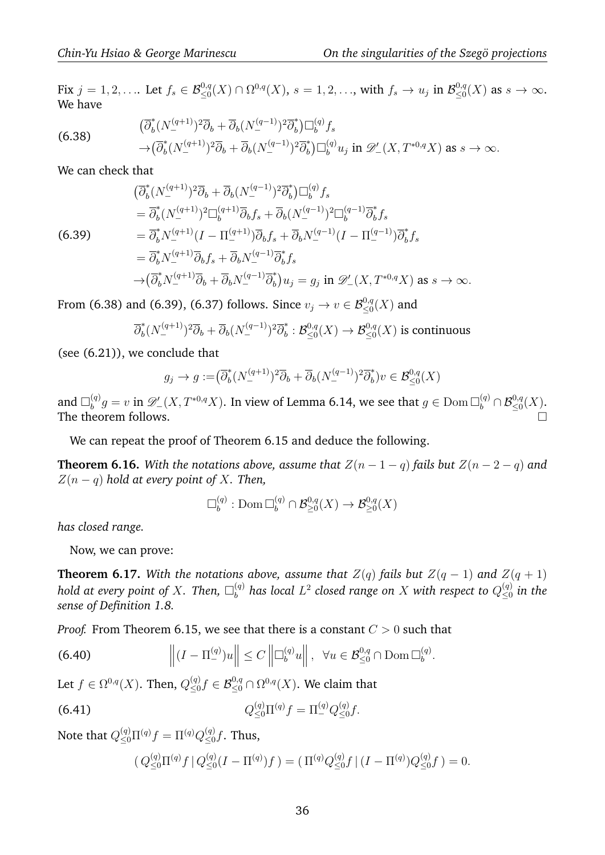$\left(\overline{\partial}_{b}^{*}\right)$ 

Fix  $j=1,2,\ldots$  Let  $f_s\in {\mathcal B}^{0,q}_{\leq 0}(X)\cap \Omega^{0,q}(X),\,s=1,2,\ldots,$  with  $f_s\to u_j$  in  ${\mathcal B}^{0,q}_{\leq 0}$  $S^{0,q}_{\leq 0}(X)$  as  $s\to\infty$ . We have

> $\binom{a}{b}\Box^{(q)}_b$  $_{b}^{\left( q\right) }f_{s}$

(6.38) 
$$
\begin{aligned} (\overline{\partial}_b^*(N_{-}^{(q+1)})^2 \overline{\partial}_b + \overline{\partial}_b (N_{-}^{(q-1)})^2 \overline{\partial}_b^*) \Box_b^{(q)} f_s \\ \rightarrow & (\overline{\partial}_b^*(N_{-}^{(q+1)})^2 \overline{\partial}_b + \overline{\partial}_b (N_{-}^{(q-1)})^2 \overline{\partial}_b^*) \Box_b^{(q)} u_j \text{ in } \mathscr{D}'_-(X, T^{*0,q}X) \text{ as } s \to \infty. \end{aligned}
$$

We can check that

(6.39)

$$
\begin{split}\n&= \overline{\partial}_b^* (N_-^{(q+1)})^2 \Box_b^{(q+1)} \overline{\partial}_b f_s + \overline{\partial}_b (N_-^{(q-1)})^2 \Box_b^{(q-1)} \overline{\partial}_b^* f_s \\
&= \overline{\partial}_b^* N_-^{(q+1)} (I - \Pi_-^{(q+1)}) \overline{\partial}_b f_s + \overline{\partial}_b N_-^{(q-1)} (I - \Pi_-^{(q-1)}) \overline{\partial}_b^* f_s \\
&= \overline{\partial}_b^* N_-^{(q+1)} \overline{\partial}_b f_s + \overline{\partial}_b N_-^{(q-1)} \overline{\partial}_b^* f_s \\
&\rightarrow (\overline{\partial}_b^* N_-^{(q+1)} \overline{\partial}_b + \overline{\partial}_b N_-^{(q-1)} \overline{\partial}_b^*) u_j = g_j \text{ in } \mathscr{D}_- (X, T^{*0,q} X) \text{ as } s \to \infty.\n\end{split}
$$

From (6.38) and (6.39), (6.37) follows. Since  $v_j \to v \in \mathcal{B}^{0,q}_{\leq 0}(X)$  and

 $\frac{1}{b}(N_{-}^{(q+1)})^2\overline{\partial}_b + \overline{\partial}_b(N_{-}^{(q-1)})^2\overline{\partial}_b^*$ 

$$
\overline{\partial}_b^*(N^{(q+1)}_-)^2\overline{\partial}_b + \overline{\partial}_b(N^{(q-1)}_-)^2\overline{\partial}_b^*: \mathcal{B}^{0,q}_{\leq 0}(X) \to \mathcal{B}^{0,q}_{\leq 0}(X) \text{ is continuous}
$$

(see (6.21)), we conclude that

$$
g_j \to g := (\overline{\partial}_b^*(N^{(q+1)}_-)^2 \overline{\partial}_b + \overline{\partial}_b(N^{(q-1)}_-)^2 \overline{\partial}_b^*) v \in \mathcal{B}_{\leq 0}^{0,q}(X)
$$

and  $\Box_b^{(q)}$  $\mathcal{B}^{(q)}_b g = v$  in  $\mathscr{D}'_-(X,T^{*0,q}X)$ . In view of Lemma 6.14, we see that  $g \in \mathrm{Dom}\,\Box^{(q)}_b \cap \mathcal{B}^{0,q}_{\leq 0}(X).$ The theorem follows.  $\Box$ 

We can repeat the proof of Theorem 6.15 and deduce the following.

**Theorem 6.16.** With the notations above, assume that  $Z(n-1-q)$  fails but  $Z(n-2-q)$  and Z(n − q) *hold at every point of* X*. Then,*

$$
\Box_b^{(q)} : \text{Dom } \Box_b^{(q)} \cap \mathcal{B}_{\geq 0}^{0,q}(X) \to \mathcal{B}_{\geq 0}^{0,q}(X)
$$

*has closed range.*

Now, we can prove:

**Theorem 6.17.** *With the notations above, assume that* Z(q) *fails but* Z(q − 1) *and* Z(q + 1) *hold at every point of X. Then,*  $\Box_b^{(q)}$  $\theta_b^{(q)}$  has local  $L^2$  closed range on  $X$  with respect to  $Q_{\leq 0}^{(q)}$ ≤0 *in the sense of Definition 1.8.*

*Proof.* From Theorem 6.15, we see that there is a constant  $C > 0$  such that

(6.40) 
$$
\left\| (I - \Pi_-^{(q)})u \right\| \leq C \left\| \Box_b^{(q)}u \right\|, \quad \forall u \in \mathcal{B}_{\leq 0}^{0,q} \cap \text{Dom } \Box_b^{(q)}.
$$

Let  $f \in \Omega^{0,q}(X)$ . Then,  $Q_{\leq 0}^{(q)}$  $\zeta^{(q)}_{\leq 0}f\in \mathcal{B}^{0,q}_{\leq 0}\cap \Omega^{0,q}(X).$  We claim that

(6.41) 
$$
Q_{\leq 0}^{(q)} \Pi^{(q)} f = \Pi_{-}^{(q)} Q_{\leq 0}^{(q)} f.
$$

Note that  $Q^{(q)}_{\leq 0} \Pi^{(q)} f = \Pi^{(q)} Q^{(q)}_{\leq 0}$  $\leq 0^{(q)}$ f. Thus,

$$
\left(Q_{\leq 0}^{(q)}\Pi^{(q)}f \mid Q_{\leq 0}^{(q)}(I - \Pi^{(q)})f\right) = \left(\Pi^{(q)}Q_{\leq 0}^{(q)}f \mid (I - \Pi^{(q)})Q_{\leq 0}^{(q)}f\right) = 0.
$$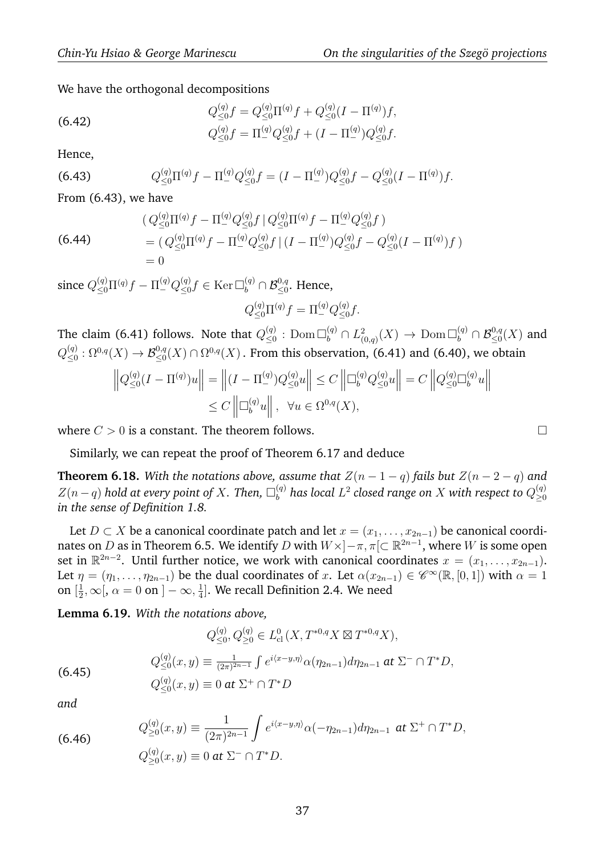We have the orthogonal decompositions

(6.42) 
$$
Q_{\leq 0}^{(q)}f = Q_{\leq 0}^{(q)}\Pi^{(q)}f + Q_{\leq 0}^{(q)}(I - \Pi^{(q)})f,
$$

$$
Q_{\leq 0}^{(q)}f = \Pi_{-}^{(q)}Q_{\leq 0}^{(q)}f + (I - \Pi_{-}^{(q)})Q_{\leq 0}^{(q)}f.
$$

Hence,

(6.43) 
$$
Q_{\leq 0}^{(q)} \Pi^{(q)} f - \Pi_{-}^{(q)} Q_{\leq 0}^{(q)} f = (I - \Pi_{-}^{(q)}) Q_{\leq 0}^{(q)} f - Q_{\leq 0}^{(q)} (I - \Pi^{(q)}) f.
$$

From (6.43), we have

(6.44) 
$$
\begin{aligned} \left(Q_{\leq 0}^{(q)} \Pi^{(q)} f - \Pi_{-}^{(q)} Q_{\leq 0}^{(q)} f \mid Q_{\leq 0}^{(q)} \Pi^{(q)} f - \Pi_{-}^{(q)} Q_{\leq 0}^{(q)} f\right) \\ &= \left(Q_{\leq 0}^{(q)} \Pi^{(q)} f - \Pi_{-}^{(q)} Q_{\leq 0}^{(q)} f \mid (I - \Pi_{-}^{(q)}) Q_{\leq 0}^{(q)} f - Q_{\leq 0}^{(q)} (I - \Pi^{(q)}) f\right) \\ &= 0 \end{aligned}
$$

since  $Q^{(q)}_{\leq 0} \Pi^{(q)} f - \Pi^{(q)}_{-} Q^{(q)}_{\leq 0}$  $_{\leq 0}^{(q)}f\in\mathrm{Ker}\,\Box_{b}^{(q)}\cap\mathcal{B}_{\leq 0}^{0,q}.$  Hence,

$$
Q_{\leq 0}^{(q)} \Pi^{(q)} f = \Pi_{-}^{(q)} Q_{\leq 0}^{(q)} f.
$$

The claim (6.41) follows. Note that  $Q_{\leq 0}^{(q)}$  $\zeta^{(q)}_0$  :  ${\rm Dom\,}\Box^{(q)}_b\cap L^2_{(0,q)}(X)\rightarrow{\rm Dom\,}\Box^{(q)}_b\cap {\mathcal B}^{0,q}_{\leq 0}(X)$  and  $Q_{\leq 0}^{(q)}$  $\zeta^{(q)}_{\leq 0}:\Omega^{0,q}(X)\to {\mathcal B}^{0,q}_{\leq 0}(X)\cap \Omega^{0,q}(X)$  . From this observation, (6.41) and (6.40), we obtain

$$
\left\| Q_{\leq 0}^{(q)} (I - \Pi^{(q)}) u \right\| = \left\| (I - \Pi_{-}^{(q)}) Q_{\leq 0}^{(q)} u \right\| \leq C \left\| \Box_{b}^{(q)} Q_{\leq 0}^{(q)} u \right\| = C \left\| Q_{\leq 0}^{(q)} \Box_{b}^{(q)} u \right\|
$$
  

$$
\leq C \left\| \Box_{b}^{(q)} u \right\|, \quad \forall u \in \Omega^{0,q}(X),
$$

where  $C > 0$  is a constant. The theorem follows.

Similarly, we can repeat the proof of Theorem 6.17 and deduce

**Theorem 6.18.** With the notations above, assume that  $Z(n-1-q)$  fails but  $Z(n-2-q)$  and  $Z(n-q)$  hold at every point of  $X.$  Then,  $\square_b^{(q)}$  $\theta_b^{(q)}$  has local  $L^2$  closed range on  $X$  with respect to  $Q_{\geq 0}^{(q)}$ ≥0 *in the sense of Definition 1.8.*

Let  $D \subset X$  be a canonical coordinate patch and let  $x = (x_1, \ldots, x_{2n-1})$  be canonical coordinates on  $D$  as in Theorem 6.5. We identify  $D$  with  $W\times ]-\pi, \pi[ \subset \mathbb{R}^{2n-1},$  where  $W$  is some open set in  $\mathbb{R}^{2n-2}$ . Until further notice, we work with canonical coordinates  $x = (x_1, \ldots, x_{2n-1})$ . Let  $\eta = (\eta_1, \dots, \eta_{2n-1})$  be the dual coordinates of x. Let  $\alpha(x_{2n-1}) \in \mathscr{C}^{\infty}(\mathbb{R}, [0,1])$  with  $\alpha = 1$ on  $[\frac{1}{2}]$  $\frac{1}{2}, \infty$  [,  $\alpha = 0$  on ]  $-\infty, \frac{1}{4}$  $\frac{1}{4}$ ]. We recall Definition 2.4. We need

**Lemma 6.19.** *With the notations above,*

$$
Q_{\leq 0}^{(q)}, Q_{\geq 0}^{(q)} \in L^0_{\text{cl}}(X, T^{*0,q}X \boxtimes T^{*0,q}X),
$$

(6.45)

$$
Q^{(q)}_{\leq 0}(x,y) \equiv \frac{1}{(2\pi)^{2n-1}} \int e^{i\langle x-y,\eta \rangle} \alpha(\eta_{2n-1}) d\eta_{2n-1} \text{ at } \Sigma^- \cap T^*D,
$$
  

$$
Q^{(q)}_{\leq 0}(x,y) \equiv 0 \text{ at } \Sigma^+ \cap T^*D
$$

*and*

(6.46) 
$$
Q_{\geq 0}^{(q)}(x,y) \equiv \frac{1}{(2\pi)^{2n-1}} \int e^{i\langle x-y,\eta \rangle} \alpha(-\eta_{2n-1}) d\eta_{2n-1} \text{ at } \Sigma^+ \cap T^*D,
$$

$$
Q_{\geq 0}^{(q)}(x,y) \equiv 0 \text{ at } \Sigma^- \cap T^*D.
$$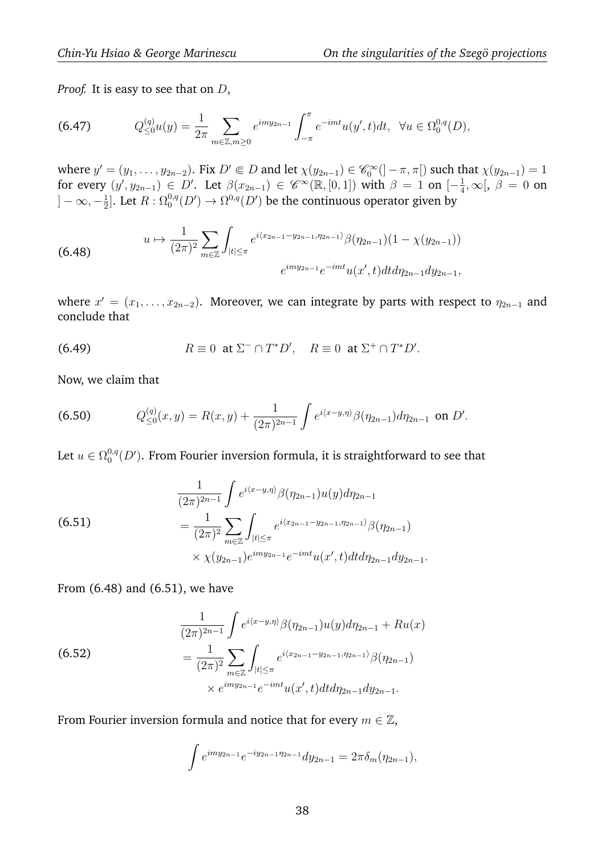*Proof.* It is easy to see that on D,

(6.47) 
$$
Q_{\leq 0}^{(q)}u(y) = \frac{1}{2\pi} \sum_{m \in \mathbb{Z}, m \geq 0} e^{imy_{2n-1}} \int_{-\pi}^{\pi} e^{-imt} u(y', t) dt, \ \forall u \in \Omega_0^{0,q}(D),
$$

where  $y' = (y_1, \ldots, y_{2n-2})$ . Fix  $D' \in D$  and let  $\chi(y_{2n-1}) \in \mathscr{C}_0^{\infty}(\mathcal{I} - \pi, \pi[)$  such that  $\chi(y_{2n-1}) = 1$ for every  $(y', y_{2n-1}) \in D'$ . Let  $\beta(x_{2n-1}) \in \mathscr{C}^{\infty}(\mathbb{R}, [0, 1])$  with  $\beta = 1$  on  $[-\frac{1}{4}]$  $\frac{1}{4}, \infty$   $\beta = 0$  on  $]-\infty,-\frac{1}{2}$  $\frac{1}{2}$ ]. Let  $R: \Omega_0^{0,q}(D') \to \Omega^{0,q}(D')$  be the continuous operator given by

(6.48) 
$$
u \mapsto \frac{1}{(2\pi)^2} \sum_{m \in \mathbb{Z}} \int_{|t| \le \pi} e^{i \langle x_{2n-1} - y_{2n-1}, \eta_{2n-1} \rangle} \beta(\eta_{2n-1})(1 - \chi(y_{2n-1}))
$$

$$
e^{imy_{2n-1}} e^{-imt} u(x', t) dt d\eta_{2n-1} dy_{2n-1},
$$

where  $x' = (x_1, \ldots, x_{2n-2})$ . Moreover, we can integrate by parts with respect to  $\eta_{2n-1}$  and conclude that

(6.49) 
$$
R \equiv 0 \text{ at } \Sigma^- \cap T^*D', \quad R \equiv 0 \text{ at } \Sigma^+ \cap T^*D'.
$$

Now, we claim that

(6.50) 
$$
Q_{\leq 0}^{(q)}(x,y) = R(x,y) + \frac{1}{(2\pi)^{2n-1}} \int e^{i\langle x-y,\eta \rangle} \beta(\eta_{2n-1}) d\eta_{2n-1} \text{ on } D'.
$$

Let  $u \in \Omega_0^{0,q}$  $^{0,q}_{0}(D^{\prime}).$  From Fourier inversion formula, it is straightforward to see that

(6.51)  
\n
$$
\frac{1}{(2\pi)^{2n-1}} \int e^{i\langle x-y,\eta \rangle} \beta(\eta_{2n-1}) u(y) d\eta_{2n-1}
$$
\n
$$
= \frac{1}{(2\pi)^2} \sum_{m \in \mathbb{Z}} \int_{|t| \le \pi} e^{i\langle x_{2n-1} - y_{2n-1}, \eta_{2n-1} \rangle} \beta(\eta_{2n-1})
$$
\n
$$
\times \chi(y_{2n-1}) e^{imy_{2n-1}} e^{-imt} u(x',t) dt d\eta_{2n-1} dy_{2n-1}.
$$

From (6.48) and (6.51), we have

(6.52)  
\n
$$
\frac{1}{(2\pi)^{2n-1}} \int e^{i\langle x-y,\eta \rangle} \beta(\eta_{2n-1}) u(y) d\eta_{2n-1} + R u(x)
$$
\n
$$
= \frac{1}{(2\pi)^2} \sum_{m \in \mathbb{Z}} \int_{|t| \le \pi} e^{i\langle x_{2n-1} - y_{2n-1}, \eta_{2n-1} \rangle} \beta(\eta_{2n-1})
$$
\n
$$
\times e^{imy_{2n-1}} e^{-imt} u(x', t) dt d\eta_{2n-1} dy_{2n-1}.
$$

From Fourier inversion formula and notice that for every  $m \in \mathbb{Z}$ ,

$$
\int e^{imy_{2n-1}}e^{-iy_{2n-1}\eta_{2n-1}}dy_{2n-1}=2\pi\delta_m(\eta_{2n-1}),
$$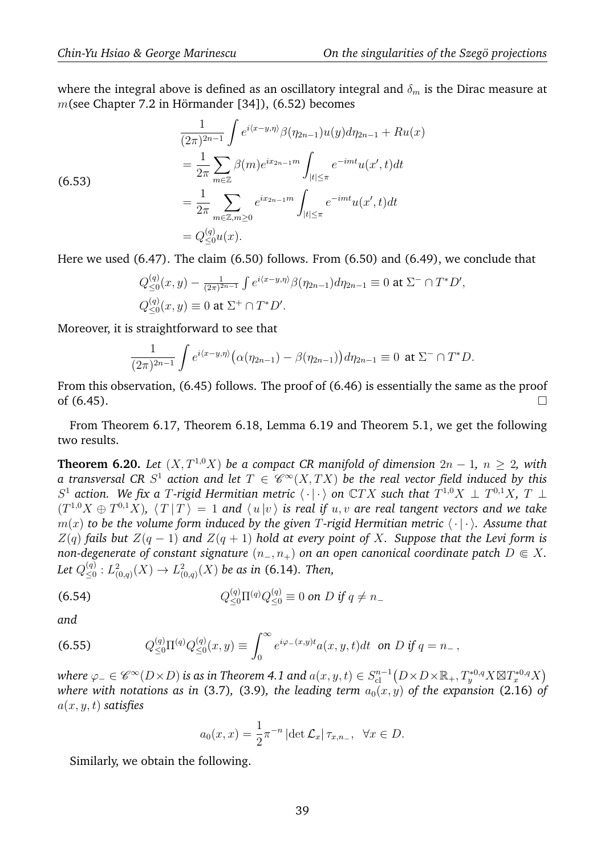where the integral above is defined as an oscillatory integral and  $\delta_m$  is the Dirac measure at  $m$ (see Chapter 7.2 in Hörmander [34]), (6.52) becomes

(6.53)  
\n
$$
\frac{1}{(2\pi)^{2n-1}} \int e^{i\langle x-y,\eta \rangle} \beta(\eta_{2n-1}) u(y) d\eta_{2n-1} + R u(x)
$$
\n
$$
= \frac{1}{2\pi} \sum_{m \in \mathbb{Z}} \beta(m) e^{ix_{2n-1}m} \int_{|t| \le \pi} e^{-imt} u(x',t) dt
$$
\n
$$
= \frac{1}{2\pi} \sum_{m \in \mathbb{Z}, m \ge 0} e^{ix_{2n-1}m} \int_{|t| \le \pi} e^{-imt} u(x',t) dt
$$
\n
$$
= Q_{\le 0}^{(q)} u(x).
$$

Here we used (6.47). The claim (6.50) follows. From (6.50) and (6.49), we conclude that

$$
Q_{\leq 0}^{(q)}(x,y) - \frac{1}{(2\pi)^{2n-1}} \int e^{i\langle x-y,\eta \rangle} \beta(\eta_{2n-1}) d\eta_{2n-1} \equiv 0 \text{ at } \Sigma^- \cap T^* D',
$$
  

$$
Q_{\leq 0}^{(q)}(x,y) \equiv 0 \text{ at } \Sigma^+ \cap T^* D'.
$$

Moreover, it is straightforward to see that

$$
\frac{1}{(2\pi)^{2n-1}}\int e^{i\langle x-y,\eta\rangle}\big(\alpha(\eta_{2n-1})-\beta(\eta_{2n-1})\big)d\eta_{2n-1}\equiv 0 \text{ at } \Sigma^-\cap T^*D.
$$

From this observation, (6.45) follows. The proof of (6.46) is essentially the same as the proof of  $(6.45)$ .

From Theorem 6.17, Theorem 6.18, Lemma 6.19 and Theorem 5.1, we get the following two results.

**Theorem 6.20.** *Let*  $(X, T^{1,0}X)$  *be a compact CR manifold of dimension*  $2n - 1$ *, n* > 2*, with* a transversal CR  $S^1$  action and let  $T\, \in\, {\mathscr C}^{\infty}(X,TX)$  be the real vector field induced by this  $S^1$  action. We fix a T-rigid Hermitian metric  $\langle \cdot | \cdot \rangle$  on  $\mathbb{C}TX$  such that  $T^{1,0}X \perp T^{0,1}X$ ,  $T \perp T^{0,1}X$  $(T^{1,0}X \oplus T^{0,1}X), \; \langle T \, | \, T \, \rangle \, = \, 1$  and  $\langle \, u \, | v \, \rangle$  is real if  $u, v$  are real tangent vectors and we take  $m(x)$  to be the volume form induced by the given T-rigid Hermitian metric  $\langle \cdot | \cdot \rangle$ . Assume that  $Z(q)$  *fails but*  $Z(q - 1)$  *and*  $Z(q + 1)$  *hold at every point of* X*. Suppose that the Levi form is non-degenerate of constant signature*  $(n_-, n_+)$  *on an open canonical coordinate patch*  $D \in X$ *.* Let  $Q_{\leq 0}^{(q)}$  $\mathcal{L}_{\leq 0}^{(q)}: L^2_{(0,q)}(X) \to L^2_{(0,q)}(X)$  be as in (6.14). Then,

(6.54) 
$$
Q_{\leq 0}^{(q)} \Pi^{(q)} Q_{\leq 0}^{(q)} \equiv 0 \text{ on } D \text{ if } q \neq n_-
$$

*and*

(6.55) 
$$
Q_{\leq 0}^{(q)} \Pi^{(q)} Q_{\leq 0}^{(q)}(x,y) \equiv \int_0^\infty e^{i\varphi_-(x,y)t} a(x,y,t) dt \text{ on } D \text{ if } q = n_-,
$$

where  $\varphi_-\in \mathscr{C}^\infty(D\times D)$  is as in Theorem 4.1 and  $a(x,y,t)\in S^{n-1}_\mathrm{cl}\big(D\times D\times \mathbb{R}_+, T^{*0,q}_y X\boxtimes T^{*0,q}_x X\big)$ *where with notations as in* (3.7), (3.9), the leading term  $a_0(x, y)$  of the expansion (2.16) of a(x, y, t) *satisfies*

$$
a_0(x,x) = \frac{1}{2}\pi^{-n} |\det \mathcal{L}_x| \tau_{x,n_-}, \quad \forall x \in D.
$$

Similarly, we obtain the following.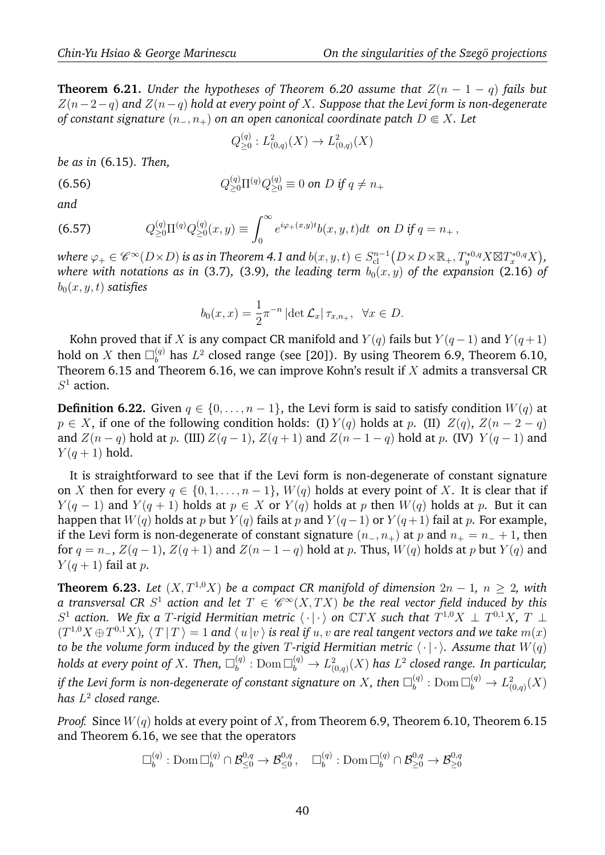**Theorem 6.21.** *Under the hypotheses of Theorem 6.20 assume that*  $Z(n-1-q)$  *fails but* Z(n−2−q) *and* Z(n−q) *hold at every point of* X*. Suppose that the Levi form is non-degenerate of constant signature*  $(n_-, n_+)$  *on an open canonical coordinate patch*  $D \in X$ *. Let* 

$$
Q_{\geq 0}^{(q)}: L^2_{(0,q)}(X) \to L^2_{(0,q)}(X)
$$

*be as in* (6.15)*. Then,*

(6.56) 
$$
Q_{\geq 0}^{(q)} \Pi^{(q)} Q_{\geq 0}^{(q)} \equiv 0 \text{ on } D \text{ if } q \neq n_+
$$

*and*

(6.57) 
$$
Q_{\geq 0}^{(q)} \Pi^{(q)} Q_{\geq 0}^{(q)}(x, y) \equiv \int_0^\infty e^{i\varphi_+(x, y)t} b(x, y, t) dt \text{ on } D \text{ if } q = n_+,
$$

where  $\varphi_+\in \mathscr{C}^\infty(D\times D)$  is as in Theorem 4.1 and  $b(x,y,t)\in S^{n-1}_\mathrm{cl}\big(D\times D\times \mathbb{R}_+, T^{*0,q}_y X\boxtimes T^{*0,q}_x X\big),$ *where with notations as in* (3.7), (3.9), the leading term  $b_0(x, y)$  of the expansion (2.16) of  $b_0(x, y, t)$  *satisfies* 

$$
b_0(x,x) = \frac{1}{2}\pi^{-n} |\det \mathcal{L}_x| \, \tau_{x,n_+}, \ \ \forall x \in D.
$$

Kohn proved that if X is any compact CR manifold and  $Y(q)$  fails but  $Y(q-1)$  and  $Y(q+1)$ hold on  $X$  then  $\Box_{b}^{(q)}$  has  $L^2$  closed range (see [20]). By using Theorem 6.9, Theorem 6.10, Theorem 6.15 and Theorem 6.16, we can improve Kohn's result if  $X$  admits a transversal CR  $S^1$  action.

**Definition 6.22.** Given  $q \in \{0, \ldots, n-1\}$ , the Levi form is said to satisfy condition  $W(q)$  at  $p \in X$ , if one of the following condition holds: (I)  $Y(q)$  holds at p. (II)  $Z(q)$ ,  $Z(n-2-q)$ and  $Z(n - q)$  hold at p. (III)  $Z(q - 1)$ ,  $Z(q + 1)$  and  $Z(n - 1 - q)$  hold at p. (IV)  $Y(q - 1)$  and  $Y(q + 1)$  hold.

It is straightforward to see that if the Levi form is non-degenerate of constant signature on X then for every  $q \in \{0, 1, \ldots, n-1\}$ ,  $W(q)$  holds at every point of X. It is clear that if  $Y(q-1)$  and  $Y(q+1)$  holds at  $p \in X$  or  $Y(q)$  holds at p then  $W(q)$  holds at p. But it can happen that  $W(q)$  holds at p but  $Y(q)$  fails at p and  $Y(q-1)$  or  $Y(q+1)$  fail at p. For example, if the Levi form is non-degenerate of constant signature  $(n_-, n_+)$  at p and  $n_+ = n_- + 1$ , then for  $q = n_{-}$ ,  $Z(q-1)$ ,  $Z(q+1)$  and  $Z(n-1-q)$  hold at p. Thus,  $W(q)$  holds at p but  $Y(q)$  and  $Y(q + 1)$  fail at p.

**Theorem 6.23.** *Let*  $(X, T^{1,0}X)$  *be a compact CR manifold of dimension*  $2n - 1$ *,*  $n > 2$ *, with* a transversal CR  $S^1$  action and let  $T \,\in\, {\mathscr C}^{\infty}(X,TX)$  be the real vector field induced by this  $S^1$  action. We fix a T-rigid Hermitian metric  $\langle\,\cdot\,|\,\cdot\,\rangle$  on  $\mathbb CTX$  *such that*  $T^{1,0}X\perp T^{0,1}X$ ,  $T\perp T^{0,1}X$  $(T^{1,0}X \oplus T^{0,1}X)$ ,  $\langle T \, | \, T \, \rangle = 1$  and  $\langle \, u \, | v \, \rangle$  is real if  $u, v$  are real tangent vectors and we take  $m(x)$ *to be the volume form induced by the given T-rigid Hermitian metric*  $\langle \cdot | \cdot \rangle$ *. Assume that*  $W(q)$ holds at every point of  $X.$  Then,  $\Box^{(q)}_b$  $\mathcal{L}^{(q)}_b: {\rm Dom\,}\Box^{(q)}_b\rightarrow L^2_{(0,q)}(X)$  has  $L^2$  closed range. In particular, if the Levi form is non-degenerate of constant signature on  $X$ , then  $\square_{b}^{(q)}$  $b^{(q)}_b: \text{Dom }\Box_b^{(q)} \to L^2_{(0,q)}(X)$ *has* L 2 *closed range.*

*Proof.* Since  $W(q)$  holds at every point of X, from Theorem 6.9, Theorem 6.10, Theorem 6.15 and Theorem 6.16, we see that the operators

$$
\square_b^{(q)}: \operatorname{Dom}\square_b^{(q)}\cap \mathcal{B}_{\leq 0}^{0,q} \to \mathcal{B}_{\leq 0}^{0,q}\,, \quad \square_b^{(q)}: \operatorname{Dom}\square_b^{(q)}\cap \mathcal{B}_{\geq 0}^{0,q} \to \mathcal{B}_{\geq 0}^{0,q}
$$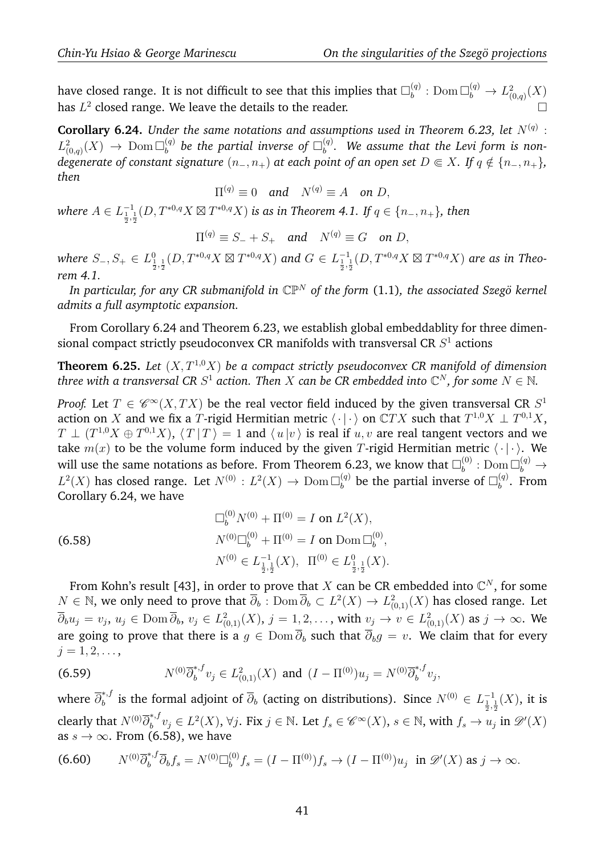have closed range. It is not difficult to see that this implies that  $\square_b^{(q)}$  $b^{(q)} : \text{Dom }\Box_b^{(q)} \to L^2_{(0,q)}(X)$ has  $L^2$  closed range. We leave the details to the reader.

**Corollary 6.24.** Under the same notations and assumptions used in Theorem 6.23, let  $N^{(q)}$  :  $L^2_{(0,q)}(X) \to \text{Dom }\Box_b^{(q)}$  $\mathcal{E}_b^{(q)}$  be the partial inverse of  $\Box_b^{(q)}$  $\delta_b^{(q)}$ . We assume that the Levi form is non*degenerate of constant signature*  $(n_-, n_+)$  *at each point of an open set*  $D \in X$ *. If*  $q \notin \{n_-, n_+\}$ *, then*

$$
\Pi^{(q)} \equiv 0 \quad \text{and} \quad N^{(q)} \equiv A \quad \text{on } D,
$$

where  $A\in L^{-1}_{\frac{1}{2},\frac{1}{2}}(D,T^{*0,q}X\boxtimes T^{*0,q}X)$  is as in Theorem 4.1. If  $q\in\{n_-,n_+\}$ , then

$$
\Pi^{(q)} \equiv S_- + S_+ \quad \text{and} \quad N^{(q)} \equiv G \quad \text{on } D,
$$

 $where~S_-,S_+ \in L^0_{\frac{1}{2},\frac{1}{2}}(D,T^{*0,q}X \boxtimes T^{*0,q}X)$  and  $G \in L^{-1}_{\frac{1}{2},\frac{1}{2}}(D,T^{*0,q}X \boxtimes T^{*0,q}X)$  are as in Theo*rem 4.1.*

*In particular, for any CR submanifold in*  $\mathbb{CP}^N$  *of the form* (1.1), the associated Szegö kernel *admits a full asymptotic expansion.*

From Corollary 6.24 and Theorem 6.23, we establish global embeddablity for three dimensional compact strictly pseudoconvex CR manifolds with transversal CR  $S^1$  actions

**Theorem 6.25.** *Let*  $(X, T^{1,0}X)$  *be a compact strictly pseudoconvex CR manifold of dimension three with a transversal CR*  $S^1$  *action. Then*  $X$  *can be CR embedded into*  $\mathbb{C}^N$ *, for some*  $N \in \mathbb{N}$ *.* 

*Proof.* Let  $T \in \mathscr{C}^\infty(X,TX)$  be the real vector field induced by the given transversal CR  $S^1$ action on  $X$  and we fix a  $T$ -rigid Hermitian metric  $\langle\,\cdot\,|\,\cdot\,\rangle$  on  $\mathbb CTX$  such that  $T^{1,0}X\perp T^{0,1}X,$  $T\perp(T^{1,0}X\oplus T^{0,1}X),\,\langle\,T\,|\,T\,\rangle=1$  and  $\langle\,u\,|v\,\rangle$  is real if  $u,v$  are real tangent vectors and we take  $m(x)$  to be the volume form induced by the given T-rigid Hermitian metric  $\langle \cdot | \cdot \rangle$ . We will use the same notations as before. From Theorem 6.23, we know that  $\square_b^{(0)}$  $b^{(0)}$ : Dom  $\square_b^{(q)} \to$  $L^2(X)$  has closed range. Let  $N^{(0)}: L^2(X) \to \text{Dom }\Box_b^{(q)}$  $\mathbf{b}_b^{(q)}$  be the partial inverse of  $\Box_b^{(q)}$  $b^{(q)}$ . From Corollary 6.24, we have

(6.58) 
$$
\Box_b^{(0)} N^{(0)} + \Pi^{(0)} = I \text{ on } L^2(X),
$$

$$
N^{(0)} \Box_b^{(0)} + \Pi^{(0)} = I \text{ on } \text{Dom } \Box_b^{(0)},
$$

$$
N^{(0)} \in L_{\frac{1}{2},\frac{1}{2}}^{-1}(X), \ \Pi^{(0)} \in L_{\frac{1}{2},\frac{1}{2}}^0(X).
$$

 $(0)$ 

From Kohn's result [43], in order to prove that X can be CR embedded into  $\mathbb{C}^N$ , for some  $N \in \mathbb{N}$ , we only need to prove that  $\overline{\partial}_b : \text{Dom }\overline{\partial}_b \subset L^2(X) \to L^2_{(0,1)}(X)$  has closed range. Let  $\overline{\partial}_b u_j = v_j,\, u_j\in {\rm Dom\,} \overline{\partial}_b,\, v_j\in L^2_{(0,1)}(X),\, j=1,2,\ldots,$  with  $v_j\to v\in L^2_{(0,1)}(X)$  as  $j\to\infty.$  We are going to prove that there is a  $g \in \text{Dom }\overline{\partial}_b$  such that  $\overline{\partial}_b g = v$ . We claim that for every  $j = 1, 2, \ldots,$ 

(6.59) 
$$
N^{(0)}\overline{\partial}_b^{*,f}v_j \in L^2_{(0,1)}(X) \text{ and } (I - \Pi^{(0)})u_j = N^{(0)}\overline{\partial}_b^{*,f}v_j,
$$

where  $\overline{\partial}^{*,f}_{b}$  $b_b^{*,f}$  is the formal adjoint of  $\overline{\partial}_b$  (acting on distributions). Since  $N^{(0)}\in L^{-1}_{\frac{1}{2},\frac{1}{2}}(X),$  it is clearly that  $N^{(0)}\overline{\partial}^{*,f}_{b}$  $b^{*,f}v_j\in L^2(X)$ ,  $\forall j$ . Fix  $j\in\mathbb{N}$ . Let  $f_s\in\mathscr{C}^\infty(X)$ ,  $s\in\mathbb{N}$ , with  $f_s\to u_j$  in  $\mathscr{D}'(X)$ as  $s \to \infty$ . From (6.58), we have

$$
(6.60) \qquad N^{(0)}\overline{\partial}_{b}^{*,f}\overline{\partial}_{b}f_{s}=N^{(0)}\Box_{b}^{(0)}f_{s}=(I-\Pi^{(0)})f_{s}\to (I-\Pi^{(0)})u_{j} \text{ in } \mathscr{D}'(X) \text{ as } j\to\infty.
$$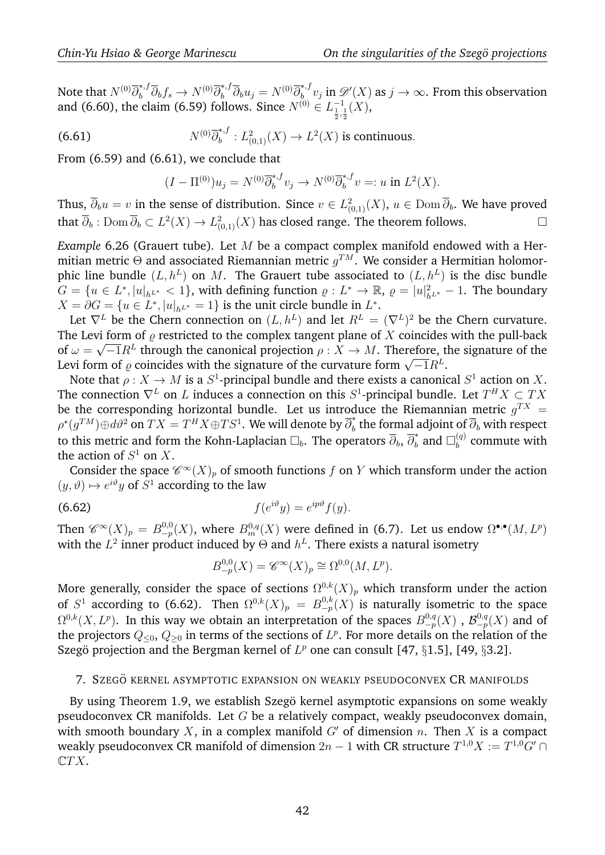Note that  $N^{(0)}\overline{\partial}_b^{*,f}\overline{\partial}_bf_s\to N^{(0)}\overline{\partial}_b^{*,f}\overline{\partial}_b u_j=N^{(0)}\overline{\partial}_b^{*,f}$  $\int_b^{*,j} v_j$  in  $\mathscr{D}'(X)$  as  $j\to\infty.$  From this observation and (6.60), the claim (6.59) follows. Since  $N^{(0)} \in L^{-1}_{\frac{1}{2},\frac{1}{2}}(X)$ ,

(6.61) 
$$
N^{(0)}\overline{\partial}_b^{*,f}: L^2_{(0,1)}(X) \to L^2(X)
$$
 is continuous.

From (6.59) and (6.61), we conclude that

$$
(I - \Pi^{(0)})u_j = N^{(0)}\overline{\partial}_b^{*,f}v_j \to N^{(0)}\overline{\partial}_b^{*,f}v =: u \text{ in } L^2(X).
$$

Thus,  $\overline{\partial}_b u = v$  in the sense of distribution. Since  $v \in L^2_{(0,1)}(X)$ ,  $u \in \text{Dom } \overline{\partial}_b$ . We have proved that  $\overline{\partial}_b$  : Dom  $\overline{\partial}_b \subset L^2(X) \to L^2_{(0,1)}(X)$  has closed range. The theorem follows. □

*Example* 6.26 (Grauert tube)*.* Let M be a compact complex manifold endowed with a Hermitian metric  $\Theta$  and associated Riemannian metric  $g^{TM}.$  We consider a Hermitian holomorphic line bundle  $(L, h^L)$  on M. The Grauert tube associated to  $(L, h^L)$  is the disc bundle  $G = \{u \in L^*, |u|_{h^{L^*}} < 1\}$ , with defining function  $\varrho: L^* \to \mathbb{R}, \varrho = |u|_{h^{L^*}}^2 - 1$ . The boundary  $X = \partial G = \{u \in L^*, |u|_{h^{L^*}} = 1\}$  is the unit circle bundle in  $L^*$ .

Let  $\nabla^L$  be the Chern connection on  $(L, h^L)$  and let  $R^L = (\nabla^L)^2$  be the Chern curvature. The Levi form of  $\varrho$  restricted to the complex tangent plane of X coincides with the pull-back of  $\omega = \sqrt{-1}R^L$  through the canonical projection  $\rho: X \to M$ . Therefore, the signature of the  $\omega = \sqrt{-1} \pi$  anough the canonical projection  $\rho : A \to M$ . Therefore, the Levi form of  $\varrho$  coincides with the signature of the curvature form  $\sqrt{-1}R^L$ .

Note that  $\rho: X \to M$  is a  $S^1$ -principal bundle and there exists a canonical  $S^1$  action on X. The connection  $\nabla^L$  on  $L$  induces a connection on this  $S^1$ -principal bundle. Let  $T^H X \subset TX$ be the corresponding horizontal bundle. Let us introduce the Riemannian metric  $g^{TX}$  =  $\rho^*(g^{TM})$  $\oplus$   $d\vartheta^2$  on  $TX = T^H X{\oplus} TS^1$ . We will denote by  $\overline{\partial}_b^*$  $\hat{b}_b$  the formal adjoint of  $\partial_b$  with respect to this metric and form the Kohn-Laplacian  $\Box_b$ . The operators  $\overline{\partial}_b$ ,  $\overline{\partial}_b^*$  and  $\Box_b^{(q)}$  $b^{(q)}$  commute with the action of  $S^1$  on X.

Consider the space  $\mathscr{C}^{\infty}(X)_p$  of smooth functions f on Y which transform under the action  $(y, \vartheta) \mapsto e^{i\vartheta} y$  of  $S^1$  according to the law

$$
(6.62) \t f(e^{i\vartheta}y) = e^{ip\vartheta}f(y).
$$

Then  $\mathscr{C}^{\infty}(X)_p = B^{0,0}_{-p}$  $\sup_{-p}^{0,0}(X)$ , where  $B^{0,q}_{m}(X)$  were defined in (6.7). Let us endow  $\Omega^{\bullet,\bullet}(M,L^p)$ with the  $L^2$  inner product induced by  $\Theta$  and  $h^L.$  There exists a natural isometry

$$
B_{-p}^{0,0}(X) = \mathscr{C}^{\infty}(X)_p \cong \Omega^{0,0}(M, L^p).
$$

More generally, consider the space of sections  $\Omega^{0,k}(X)_p$  which transform under the action of  $S^1$  according to (6.62). Then  $\Omega^{0,k}(X)_p = B^{0,k}_{-p}$  $\int_{-p}^{0,\kappa}(X)$  is naturally isometric to the space  $\Omega^{0,k}(X,L^p).$  In this way we obtain an interpretation of the spaces  $B^{0,q}_{-p}$  $\mathcal{B}_{-p}^{0,q}(X)$  ,  $\mathcal{B}_{-p}^{0,q}$  $L^{0,q}_{-p}(X)$  and of the projectors  $Q_{\leq 0},$   $Q_{\geq 0}$  in terms of the sections of  $L^p.$  For more details on the relation of the Szegö projection and the Bergman kernel of  $L^p$  one can consult [47,  $\S1.5$ ], [49,  $\S3.2$ ].

## 7. SZEGÖ KERNEL ASYMPTOTIC EXPANSION ON WEAKLY PSEUDOCONVEX CR MANIFOLDS

By using Theorem 1.9, we establish Szegö kernel asymptotic expansions on some weakly pseudoconvex CR manifolds. Let  $G$  be a relatively compact, weakly pseudoconvex domain, with smooth boundary X, in a complex manifold  $G'$  of dimension n. Then X is a compact weakly pseudoconvex CR manifold of dimension  $2n-1$  with CR structure  $T^{1,0}X:=T^{1,0}G'\cap$ CTX.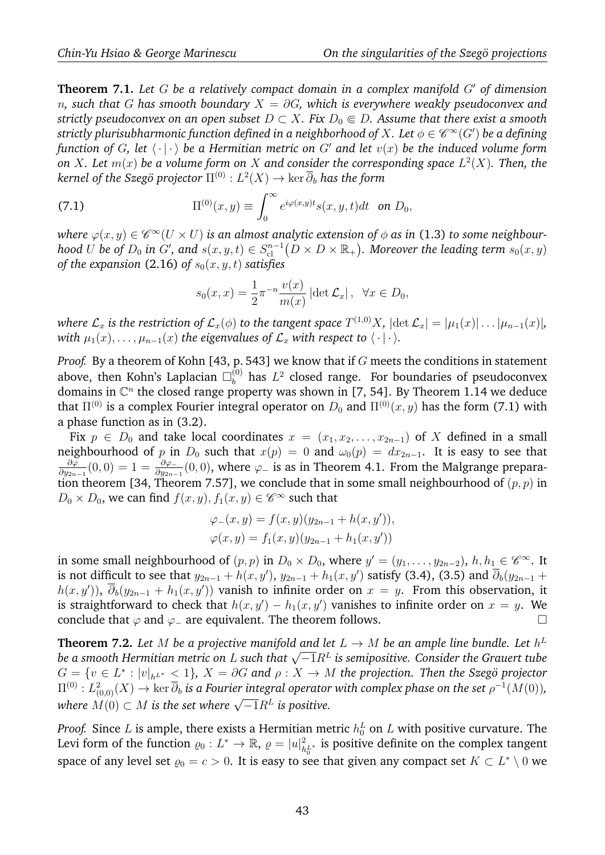**Theorem 7.1.** Let G be a relatively compact domain in a complex manifold G' of dimension n*, such that* G *has smooth boundary* X = ∂G*, which is everywhere weakly pseudoconvex and strictly pseudoconvex on an open subset*  $D \subset X$ *. Fix*  $D_0 \subseteq D$ *. Assume that there exist a smooth* strictly plurisubharmonic function defined in a neighborhood of  $X.$  Let  $\phi \in \mathscr{C}^{\infty}(G')$  be a defining *function of* G, let  $\langle \cdot | \cdot \rangle$  *be a Hermitian metric on* G' *and let*  $v(x)$  *be the induced volume form* on  $X$ *. Let*  $m(x)$  *be a volume form on*  $X$  *and consider the corresponding space*  $L^2(X)$ *<i>. Then, the* kernel of the Szegö projector  $\Pi^{(0)}: L^2(X) \rightarrow \ker \overline{\partial}_b$  has the form

(7.1) 
$$
\Pi^{(0)}(x,y) \equiv \int_0^\infty e^{i\varphi(x,y)t} s(x,y,t) dt \text{ on } D_0,
$$

where  $\varphi(x,y)\in \mathscr{C}^{\infty}(U\times U)$  is an almost analytic extension of  $\phi$  as in (1.3) to some neighbour $b$ ood  $U$   $b$ e of  $D_0$  in  $G'$ , and  $s(x,y,t)\in S^{n-1}_{\rm cl}\big(D\times D\times\mathbb{R}_+\big).$  Moreover the leading term  $s_0(x,y)$ *of the expansion* (2.16) *of*  $s_0(x, y, t)$  *satisfies* 

$$
s_0(x,x) = \frac{1}{2}\pi^{-n}\frac{v(x)}{m(x)}\left|\det \mathcal{L}_x\right|, \ \ \forall x \in D_0,
$$

where  $\mathcal{L}_x$  is the restriction of  $\mathcal{L}_x(\phi)$  to the tangent space  $T^{(1,0)}X$ ,  $|\text{det }\mathcal{L}_x|=|\mu_1(x)|\ldots |\mu_{n-1}(x)|$ , *with*  $\mu_1(x), \ldots, \mu_{n-1}(x)$  *the eigenvalues of*  $\mathcal{L}_x$  *with respect to*  $\langle \cdot | \cdot \rangle$ *.* 

*Proof.* By a theorem of Kohn [43, p. 543] we know that if G meets the conditions in statement above, then Kohn's Laplacian  $\Box_b^{(0)}$  has  $L^2$  closed range. For boundaries of pseudoconvex domains in  $\mathbb{C}^n$  the closed range property was shown in [7, 54]. By Theorem 1.14 we deduce that  $\Pi^{(0)}$  is a complex Fourier integral operator on  $D_0$  and  $\Pi^{(0)}(x, y)$  has the form (7.1) with a phase function as in (3.2).

Fix  $p \in D_0$  and take local coordinates  $x = (x_1, x_2, \ldots, x_{2n-1})$  of X defined in a small neighbourhood of  $p$  in  $D_0$  such that  $x(p) \,=\, 0$  and  $\omega_0(p) \,=\, dx_{2n-1}.$  It is easy to see that  $\partial \varphi$  $\frac{\partial \varphi}{\partial y_{2n-1}}(0,0) = 1 = \frac{\partial \varphi}{\partial y_{2n-1}}(0,0)$ , where  $\varphi_-$  is as in Theorem 4.1. From the Malgrange preparation theorem [34, Theorem 7.57], we conclude that in some small neighbourhood of  $(p, p)$  in  $D_0 \times D_0$ , we can find  $f(x, y), f_1(x, y) \in \mathscr{C}^\infty$  such that

$$
\varphi_{-}(x, y) = f(x, y)(y_{2n-1} + h(x, y')),
$$
  

$$
\varphi(x, y) = f_1(x, y)(y_{2n-1} + h_1(x, y'))
$$

in some small neighbourhood of  $(p, p)$  in  $D_0 \times D_0$ , where  $y' = (y_1, \ldots, y_{2n-2}), h, h_1 \in \mathscr{C}^{\infty}$ . It is not difficult to see that  $y_{2n-1}+h(x,y'),$   $y_{2n-1}+h_1(x,y')$  satisfy (3.4), (3.5) and  $\overline{\partial}_b(y_{2n-1}+$  $h(x,y'))$ ,  $\overline{\partial}_b(y_{2n-1}+h_1(x,y'))$  vanish to infinite order on  $x=y$ . From this observation, it is straightforward to check that  $h(x, y') - h_1(x, y')$  vanishes to infinite order on  $x = y$ . We conclude that  $\varphi$  and  $\varphi$  are equivalent. The theorem follows.  $□$ 

**Theorem 7.2.** Let M be a projective manifold and let  $L \rightarrow M$  be an ample line bundle. Let  $h^L$ *be a smooth Hermitian metric on L such that*  $\sqrt{-1}R^L$  *is semipositive. Consider the Grauert tube*<br>be a smooth Hermitian metric on L such that  $\sqrt{-1}R^L$  is semipositive. Consider the Grauert tube  $G = \{v \in L^* : |v|_{h^{L^*}} < 1\},\, X = \partial G$  and  $\rho : X \to M$  the projection. Then the Szegö projector  $\Pi^{(0)}:L^2_{(0,0)}(X)\to \ker\overline\partial_b$  is a Fourier integral operator with complex phase on the set  $\rho^{-1}(M(0)),$ where  $M(0) \subset M$  is the set where  $\sqrt{-1}R^L$  is positive.

*Proof.* Since  $L$  is ample, there exists a Hermitian metric  $h_0^L$  on  $L$  with positive curvature. The Levi form of the function  $\varrho_0: L^* \to \mathbb{R}, \varrho = |u|^2$  $\frac{2}{h_0^{L^*}}$  is positive definite on the complex tangent space of any level set  $\varrho_0=c>0.$  It is easy to see that given any compact set  $K\subset L^*\setminus 0$  we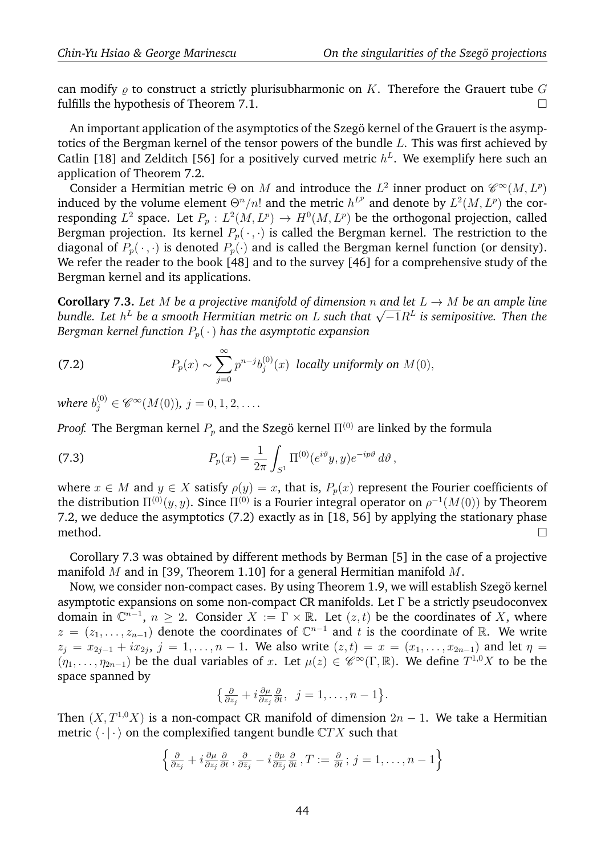can modify  $\rho$  to construct a strictly plurisubharmonic on K. Therefore the Grauert tube G fulfills the hypothesis of Theorem 7.1.

An important application of the asymptotics of the Szegö kernel of the Grauert is the asymptotics of the Bergman kernel of the tensor powers of the bundle L. This was first achieved by Catlin [18] and Zelditch [56] for a positively curved metric  $h^L$ . We exemplify here such an application of Theorem 7.2.

Consider a Hermitian metric  $\Theta$  on M and introduce the  $L^2$  inner product on  $\mathscr{C}^{\infty}(M, L^p)$ induced by the volume element  $\Theta^n/n!$  and the metric  $h^{L^p}$  and denote by  $L^2(M, L^p)$  the corresponding  $L^2$  space. Let  $P_p: L^2(M, L^p) \to H^0(M, L^p)$  be the orthogonal projection, called Bergman projection. Its kernel  $P_p(\cdot, \cdot)$  is called the Bergman kernel. The restriction to the diagonal of  $P_p(\cdot, \cdot)$  is denoted  $P_p(\cdot)$  and is called the Bergman kernel function (or density). We refer the reader to the book [48] and to the survey [46] for a comprehensive study of the Bergman kernel and its applications.

**Corollary 7.3.** Let M be a projective manifold of dimension n and let  $L \rightarrow M$  be an ample line **Coronary 7.5.** Let *M* be a projective manyola of dimension *n* and let  $L \rightarrow M$  be an ample tine<br>bundle. Let h<sup>L</sup> be a smooth Hermitian metric on L such that  $\sqrt{-1}R^L$  is semipositive. Then the *Bergman kernel function*  $P_p(\cdot)$  *has the asymptotic expansion* 

(7.2) 
$$
P_p(x) \sim \sum_{j=0}^{\infty} p^{n-j} b_j^{(0)}(x) \text{ locally uniformly on } M(0),
$$

where  $b_j^{(0)} \in \mathscr{C}^\infty(M(0)),\, j=0,1,2,\ldots.$ 

*Proof.* The Bergman kernel  $P_p$  and the Szegö kernel  $\Pi^{(0)}$  are linked by the formula

(7.3) 
$$
P_p(x) = \frac{1}{2\pi} \int_{S^1} \Pi^{(0)}(e^{i\vartheta}y, y) e^{-ip\vartheta} d\vartheta,
$$

where  $x \in M$  and  $y \in X$  satisfy  $\rho(y) = x$ , that is,  $P_p(x)$  represent the Fourier coefficients of the distribution  $\Pi^{(0)}(y,y).$  Since  $\Pi^{(0)}$  is a Fourier integral operator on  $\rho^{-1}(M(0))$  by Theorem 7.2, we deduce the asymptotics (7.2) exactly as in [18, 56] by applying the stationary phase method.  $\Box$ 

Corollary 7.3 was obtained by different methods by Berman [5] in the case of a projective manifold M and in [39, Theorem 1.10] for a general Hermitian manifold M.

Now, we consider non-compact cases. By using Theorem 1.9, we will establish Szegö kernel asymptotic expansions on some non-compact CR manifolds. Let  $\Gamma$  be a strictly pseudoconvex domain in  $\mathbb{C}^{n-1}$ ,  $n \geq 2$ . Consider  $X := \Gamma \times \mathbb{R}$ . Let  $(z, t)$  be the coordinates of X, where  $z = (z_1, \ldots, z_{n-1})$  denote the coordinates of  $\mathbb{C}^{n-1}$  and t is the coordinate of R. We write  $z_j = x_{2j-1} + ix_{2j}, j = 1, ..., n-1$ . We also write  $(z, t) = x = (x_1, ..., x_{2n-1})$  and let  $\eta =$  $(\eta_1,\ldots,\eta_{2n-1})$  be the dual variables of x. Let  $\mu(z) \in \mathscr{C}^{\infty}(\Gamma,\mathbb{R})$ . We define  $T^{1,0}X$  to be the space spanned by

$$
\left\{\frac{\partial}{\partial z_j} + i \frac{\partial \mu}{\partial z_j} \frac{\partial}{\partial t}, \ j = 1, \ldots, n-1\right\}.
$$

Then  $(X, T^{1,0}X)$  is a non-compact CR manifold of dimension  $2n - 1$ . We take a Hermitian metric  $\langle \cdot | \cdot \rangle$  on the complexified tangent bundle  $\mathbb{C}TX$  such that

$$
\left\{\frac{\partial}{\partial z_j} + i \frac{\partial \mu}{\partial z_j} \frac{\partial}{\partial t}, \frac{\partial}{\partial \overline{z}_j} - i \frac{\partial \mu}{\partial \overline{z}_j} \frac{\partial}{\partial t}, T := \frac{\partial}{\partial t}; j = 1, \ldots, n-1\right\}
$$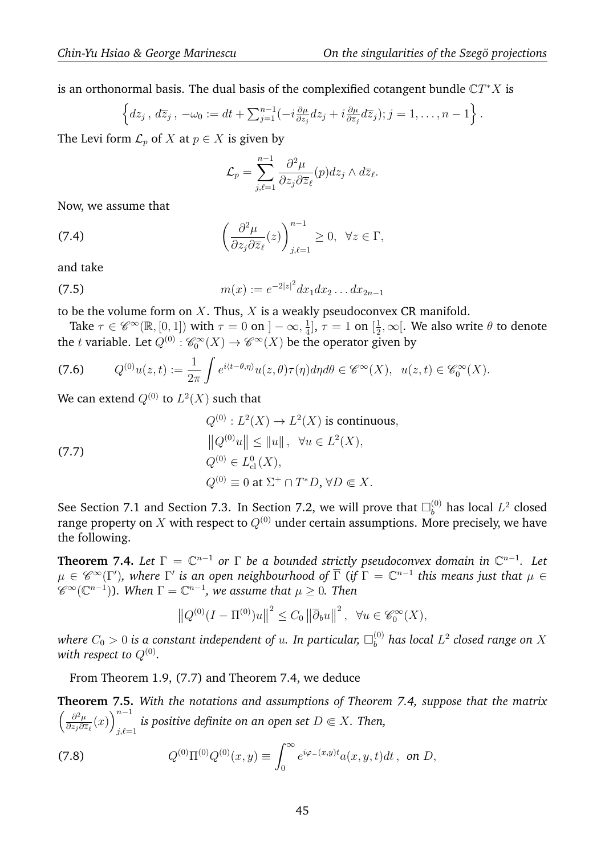is an orthonormal basis. The dual basis of the complexified cotangent bundle  $\mathbb{C}T^*X$  is

$$
\left\{dz_j,\,d\overline{z}_j,\,-\omega_0:=dt+\sum_{j=1}^{n-1}(-i\frac{\partial\mu}{\partial z_j}dz_j+i\frac{\partial\mu}{\partial\overline{z}_j}d\overline{z}_j);j=1,\ldots,n-1\right\}.
$$

The Levi form  $\mathcal{L}_p$  of X at  $p \in X$  is given by

$$
\mathcal{L}_p = \sum_{j,\ell=1}^{n-1} \frac{\partial^2 \mu}{\partial z_j \partial \overline{z}_\ell}(p) dz_j \wedge d\overline{z}_\ell.
$$

Now, we assume that

(7.4) 
$$
\left(\frac{\partial^2 \mu}{\partial z_j \partial \overline{z}_\ell}(z)\right)_{j,\ell=1}^{n-1} \geq 0, \ \forall z \in \Gamma,
$$

and take

(7.5) 
$$
m(x) := e^{-2|z|^2} dx_1 dx_2 \dots dx_{2n-1}
$$

to be the volume form on  $X$ . Thus,  $X$  is a weakly pseudoconvex CR manifold.

Take  $\tau \in \mathscr{C}^{\infty}(\mathbb{R}, [0, 1])$  with  $\tau = 0$  on  $]-\infty, \frac{1}{4}$  $\frac{1}{4}], \tau = 1$  on  $[\frac{1}{2}]$  $\frac{1}{2}, \infty$ [. We also write  $\theta$  to denote the t variable. Let  $Q^{(0)}$  :  $\mathscr{C}_0^{\infty}(X) \to \mathscr{C}^{\infty}(X)$  be the operator given by

(7.6) 
$$
Q^{(0)}u(z,t) := \frac{1}{2\pi} \int e^{i\langle t-\theta,\eta \rangle} u(z,\theta) \tau(\eta) d\eta d\theta \in \mathscr{C}^{\infty}(X), \ \ u(z,t) \in \mathscr{C}_0^{\infty}(X).
$$

We can extend  $Q^{(0)}$  to  $L^2(X)$  such that

(7.7)  
\n
$$
Q^{(0)} : L^2(X) \to L^2(X)
$$
 is continuous,  
\n $||Q^{(0)}u|| \le ||u||, \quad \forall u \in L^2(X),$   
\n $Q^{(0)} \in L^0_{\text{cl}}(X),$   
\n $Q^{(0)} \equiv 0 \text{ at } \Sigma^+ \cap T^*D, \forall D \in X.$ 

See Section 7.1 and Section 7.3. In Section 7.2, we will prove that  $\square_b^{(0)}$  has local  $L^2$  closed range property on X with respect to  $Q^{(0)}$  under certain assumptions. More precisely, we have the following.

**Theorem 7.4.** Let  $\Gamma = \mathbb{C}^{n-1}$  or  $\Gamma$  be a bounded strictly pseudoconvex domain in  $\mathbb{C}^{n-1}$ . Let  $\mu\in\mathscr{C}^\infty(\Gamma'),$  where  $\Gamma'$  is an open neighbourhood of  $\overline{\Gamma}$  (if  $\Gamma=\mathbb{C}^{n-1}$  this means just that  $\mu\in$  $\mathscr{C}^{\infty}(\mathbb{C}^{n-1})$ ). When  $\Gamma=\mathbb{C}^{n-1}$ , we assume that  $\mu\geq 0$ . Then

$$
\left\|Q^{(0)}(I - \Pi^{(0)})u\right\|^2 \le C_0 \left\|\overline{\partial}_b u\right\|^2, \ \forall u \in \mathscr{C}_0^{\infty}(X),
$$

where  $C_0>0$  is a constant independent of  $u.$  In particular,  $\square_b^{(0)}$  $\mathfrak{b}^{(0)}_b$  has local  $L^2$  closed range on  $X$ with respect to  $Q^{(0)}.$ 

From Theorem 1.9, (7.7) and Theorem 7.4, we deduce

**Theorem 7.5.** *With the notations and assumptions of Theorem 7.4, suppose that the matrix*  $\int \frac{\partial^2 \mu}{\partial x^2}$  $\frac{\partial^2 \mu}{\partial z_j \partial \overline{z}_\ell}(x) \bigg)^{n-1}_{i \ell-1}$  $\int_{j,\ell=1}^n$  is positive definite on an open set  $D\Subset X$ *. Then,* 

(7.8) 
$$
Q^{(0)}\Pi^{(0)}Q^{(0)}(x,y) \equiv \int_0^\infty e^{i\varphi_-(x,y)t} a(x,y,t)dt \, , \text{ on } D,
$$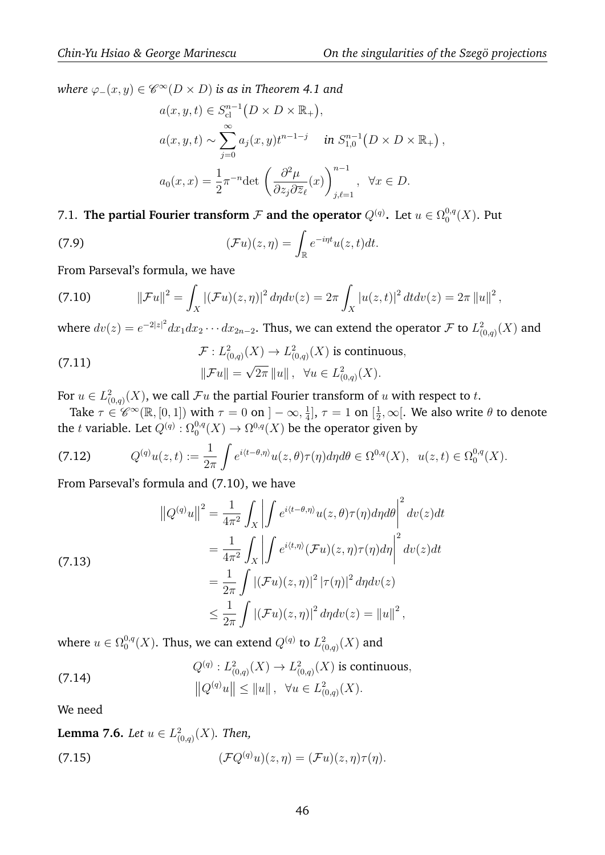$where \varphi_-(x,y) \in \mathscr{C}^\infty(D \times D)$  is as in Theorem 4.1 and

$$
a(x, y, t) \in S_{\text{cl}}^{n-1} (D \times D \times \mathbb{R}_{+}),
$$
  
\n
$$
a(x, y, t) \sim \sum_{j=0}^{\infty} a_j(x, y) t^{n-1-j} \quad \text{in } S_{1,0}^{n-1} (D \times D \times \mathbb{R}_{+}),
$$
  
\n
$$
a_0(x, x) = \frac{1}{2} \pi^{-n} \det \left( \frac{\partial^2 \mu}{\partial z_j \partial \overline{z}_{\ell}}(x) \right)_{j,\ell=1}^{n-1}, \quad \forall x \in D.
$$

7.1. The partial Fourier transform  $\mathcal F$  and the operator  $Q^{(q)}$ . Let  $u \in \Omega_0^{0,q}$  $_0^{0,q}(X)$ . Put

(7.9) 
$$
(\mathcal{F}u)(z,\eta) = \int_{\mathbb{R}} e^{-i\eta t} u(z,t) dt.
$$

From Parseval's formula, we have

(7.10) 
$$
\|\mathcal{F}u\|^2 = \int_X |(\mathcal{F}u)(z,\eta)|^2 d\eta dv(z) = 2\pi \int_X |u(z,t)|^2 dt dv(z) = 2\pi ||u||^2,
$$

where  $dv(z)=e^{-2|z|^2}dx_1dx_2\cdots dx_{2n-2}$ . Thus, we can extend the operator  ${\cal F}$  to  $L^2_{(0,q)}(X)$  and

(7.11) 
$$
\mathcal{F}: L^2_{(0,q)}(X) \to L^2_{(0,q)}(X) \text{ is continuous,}
$$

$$
\|\mathcal{F}u\| = \sqrt{2\pi} \|u\|, \quad \forall u \in L^2_{(0,q)}(X).
$$

For  $u\in L^2_{(0,q)}(X),$  we call  $\mathcal F u$  the partial Fourier transform of  $u$  with respect to  $t.$ 

Take  $\tau \in \mathscr{C}^{\infty}(\mathbb{R}, [0, 1])$  with  $\tau = 0$  on  $]-\infty, \frac{1}{4}$  $\frac{1}{4}], \tau = 1$  on  $[\frac{1}{2}]$  $\frac{1}{2}, \infty$ [. We also write  $\theta$  to denote the t variable. Let  $Q^{(q)}: \Omega_0^{0,q}(X) \to \Omega^{0,q}(X)$  be the operator given by

(7.12) 
$$
Q^{(q)}u(z,t) := \frac{1}{2\pi} \int e^{i\langle t-\theta,\eta \rangle} u(z,\theta) \tau(\eta) d\eta d\theta \in \Omega^{0,q}(X), \ \ u(z,t) \in \Omega_0^{0,q}(X).
$$

From Parseval's formula and (7.10), we have

(7.13)  
\n
$$
\left\|Q^{(q)}u\right\|^2 = \frac{1}{4\pi^2} \int_X \left| \int e^{i\langle t - \theta, \eta \rangle} u(z, \theta) \tau(\eta) d\eta d\theta \right|^2 dv(z) dt
$$
\n
$$
= \frac{1}{4\pi^2} \int_X \left| \int e^{i\langle t, \eta \rangle} (\mathcal{F}u)(z, \eta) \tau(\eta) d\eta \right|^2 dv(z) dt
$$
\n
$$
= \frac{1}{2\pi} \int |(\mathcal{F}u)(z, \eta)|^2 |\tau(\eta)|^2 d\eta dv(z)
$$
\n
$$
\leq \frac{1}{2\pi} \int |(\mathcal{F}u)(z, \eta)|^2 d\eta dv(z) = \|u\|^2,
$$

where  $u \in \Omega_0^{0,q}$  $\mathcal{O}_0^{0,q}(X).$  Thus, we can extend  $Q^{(q)}$  to  $L^2_{(0,q)}(X)$  and

(7.14) 
$$
Q^{(q)}: L^2_{(0,q)}(X) \to L^2_{(0,q)}(X) \text{ is continuous,}
$$

$$
||Q^{(q)}u|| \le ||u||, \quad \forall u \in L^2_{(0,q)}(X).
$$

We need

**Lemma 7.6.** Let 
$$
u \in L^2_{(0,q)}(X)
$$
. Then,  
(7.15)  $(\mathcal{F}Q^{(q)}u)(z,\eta) = (\mathcal{F}u)(z,\eta)\tau(\eta)$ .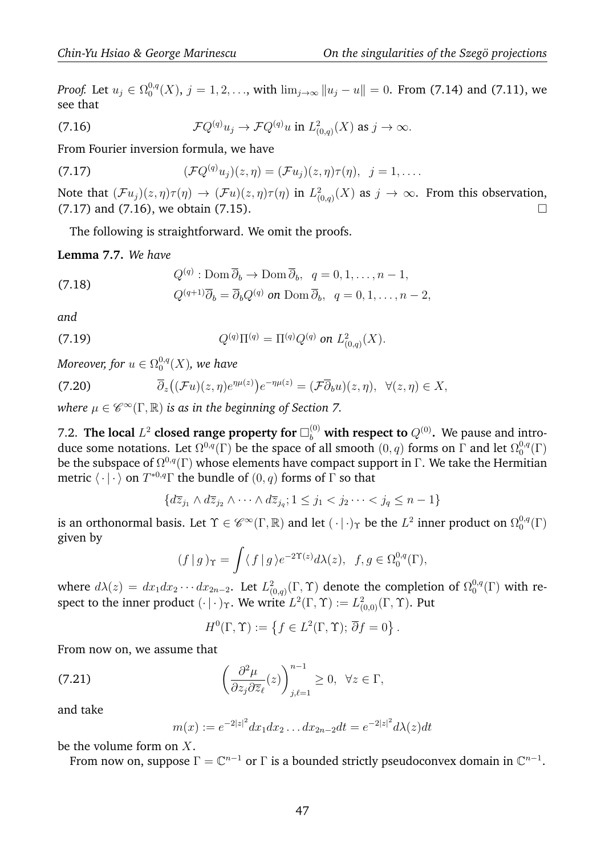*Proof.* Let  $u_j \in \Omega_0^{0,q}$  $\int_0^{0,q}(X)$ ,  $j = 1, 2, \ldots$ , with  $\lim_{j \to \infty} ||u_j - u|| = 0$ . From (7.14) and (7.11), we see that

(7.16) 
$$
\mathcal{F}Q^{(q)}u_j \to \mathcal{F}Q^{(q)}u \text{ in } L^2_{(0,q)}(X) \text{ as } j \to \infty.
$$

From Fourier inversion formula, we have

(7.17) 
$$
(\mathcal{F}Q^{(q)}u_j)(z,\eta)=(\mathcal{F}u_j)(z,\eta)\tau(\eta), \ \ j=1,\ldots.
$$

Note that  $(\mathcal{F}u_j)(z,\eta)\tau(\eta) \to (\mathcal{F}u)(z,\eta)\tau(\eta)$  in  $L^2_{(0,q)}(X)$  as  $j \to \infty$ . From this observation,  $(7.17)$  and  $(7.16)$ , we obtain  $(7.15)$ .

The following is straightforward. We omit the proofs.

**Lemma 7.7.** *We have*

(7.18) 
$$
Q^{(q)}: \text{Dom }\overline{\partial}_b \to \text{Dom }\overline{\partial}_b, \ \ q = 0, 1, \dots, n-1,
$$

$$
Q^{(q+1)}\overline{\partial}_b = \overline{\partial}_b Q^{(q)} \text{ on } \text{Dom }\overline{\partial}_b, \ \ q = 0, 1, \dots, n-2,
$$

*and*

(7.19) 
$$
Q^{(q)}\Pi^{(q)} = \Pi^{(q)}Q^{(q)} \text{ on } L^2_{(0,q)}(X).
$$

*Moreover, for*  $u \in \Omega_0^{0,q}$  $_0^{\mathrm{o},q}(X)$ , we have

(7.20) 
$$
\overline{\partial}_z ((\mathcal{F}u)(z,\eta)e^{\eta\mu(z)})e^{-\eta\mu(z)} = (\mathcal{F}\overline{\partial}_b u)(z,\eta), \quad \forall (z,\eta) \in X,
$$

*where*  $\mu \in \mathscr{C}^{\infty}(\Gamma,\mathbb{R})$  *is as in the beginning of Section 7.* 

7.2. The local  $L^2$  closed range property for  $\square_b^{(0)}$  with respect to  $Q^{(0)}$ . We pause and introduce some notations. Let  $\Omega^{0,q}(\Gamma)$  be the space of all smooth  $(0,q)$  forms on  $\Gamma$  and let  $\Omega^{0,q}_0$  $_0^{0,q}(\Gamma)$ be the subspace of  $\Omega^{0,q}(\Gamma)$  whose elements have compact support in  $\Gamma.$  We take the Hermitian metric  $\langle \cdot | \cdot \rangle$  on  $T^{*0,q}\Gamma$  the bundle of  $(0,q)$  forms of  $\Gamma$  so that

$$
\{d\overline{z}_{j_1} \wedge d\overline{z}_{j_2} \wedge \cdots \wedge d\overline{z}_{j_q}; 1 \le j_1 < j_2 \cdots < j_q \le n-1\}
$$

is an orthonormal basis. Let  $\Upsilon\in\mathscr{C}^\infty(\Gamma,\mathbb{R})$  and let  $(\,\cdot\,|\,\cdot)_\Upsilon$  be the  $L^2$  inner product on  $\Omega_0^{0,q}$  $_0^{0,q}(\Gamma)$ given by

$$
(f | g)_{\Upsilon} = \int \langle f | g \rangle e^{-2\Upsilon(z)} d\lambda(z), \ f, g \in \Omega_0^{0,q}(\Gamma),
$$

where  $d\lambda(z)=dx_1dx_2\cdots dx_{2n-2}.$  Let  $L^2_{(0,q)}(\Gamma,\Upsilon)$  denote the completion of  $\Omega^{0,q}_0$  $_0^{0,q}(\Gamma)$  with respect to the inner product  $(\cdot\,|\,\cdot\,)_{\Upsilon}$ . We write  $L^2(\Gamma, \Upsilon) := L^2_{(0,0)}(\Gamma, \Upsilon)$ . Put

$$
H^{0}(\Gamma, \Upsilon) := \{ f \in L^{2}(\Gamma, \Upsilon); \overline{\partial} f = 0 \}.
$$

From now on, we assume that

(7.21) 
$$
\left(\frac{\partial^2 \mu}{\partial z_j \partial \overline{z}_\ell}(z)\right)_{j,\ell=1}^{n-1} \geq 0, \ \forall z \in \Gamma,
$$

and take

$$
m(x) := e^{-2|z|^2} dx_1 dx_2 \dots dx_{2n-2} dt = e^{-2|z|^2} d\lambda(z) dt
$$

be the volume form on  $X$ .

From now on, suppose  $\Gamma = \mathbb{C}^{n-1}$  or  $\Gamma$  is a bounded strictly pseudoconvex domain in  $\mathbb{C}^{n-1}$ .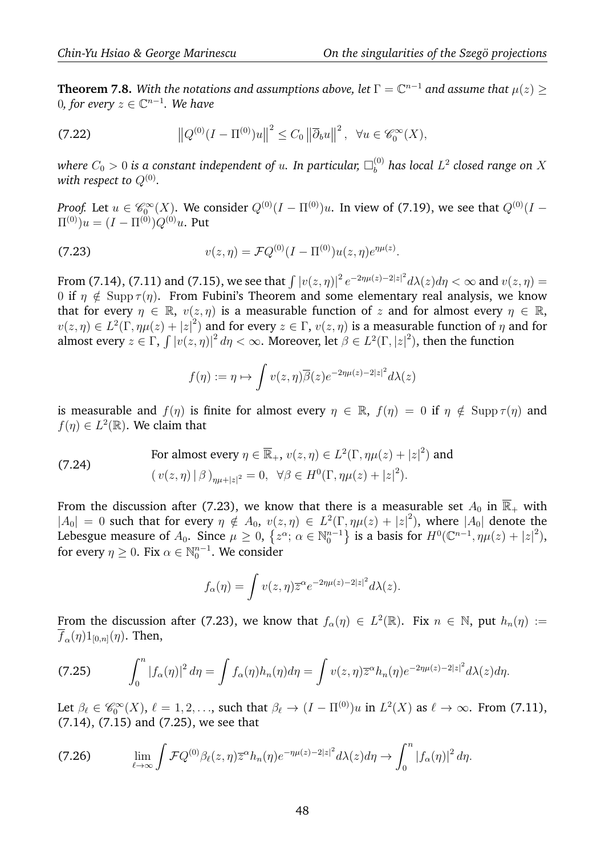**Theorem 7.8.** With the notations and assumptions above, let  $\Gamma = \mathbb{C}^{n-1}$  and assume that  $\mu(z) \geq 0$ 0, for every  $z \in \mathbb{C}^{n-1}$ *. We have* 

(7.22) 
$$
\left\|Q^{(0)}(I - \Pi^{(0)})u\right\|^2 \le C_0 \left\|\overline{\partial}_b u\right\|^2, \ \forall u \in \mathscr{C}_0^{\infty}(X),
$$

where  $C_0>0$  is a constant independent of  $u.$  In particular,  $\Box_b^{(0)}$  $\delta_b^{(0)}$  has local  $L^2$  closed range on  $X$ with respect to  $Q^{(0)}.$ 

*Proof.* Let  $u \in \mathscr{C}_0^\infty(X)$ . We consider  $Q^{(0)}(I - \Pi^{(0)})u$ . In view of (7.19), we see that  $Q^{(0)}(I \Pi^{(0)})u=(I-\Pi^{(0)})Q^{(0)}u.$  Put

(7.23) 
$$
v(z,\eta) = \mathcal{F}Q^{(0)}(I - \Pi^{(0)})u(z,\eta)e^{\eta\mu(z)}.
$$

From (7.14), (7.11) and (7.15), we see that  $\int |v(z,\eta)|^2 e^{-2\eta\mu(z)-2|z|^2} d\lambda(z) d\eta < \infty$  and  $v(z,\eta) =$ 0 if  $\eta \notin \text{Supp } \tau(\eta)$ . From Fubini's Theorem and some elementary real analysis, we know that for every  $\eta \in \mathbb{R}$ ,  $v(z, \eta)$  is a measurable function of z and for almost every  $\eta \in \mathbb{R}$ ,  $v(z,\eta)\in L^2(\Gamma,\eta\mu(z)+|z|^2)$  and for every  $z\in\Gamma, v(z,\eta)$  is a measurable function of  $\eta$  and for almost every  $z \in \Gamma$ ,  $\int |v(z, \eta)|^2 d\eta < \infty$ . Moreover, let  $\beta \in L^2(\Gamma, |z|^2)$ , then the function

$$
f(\eta) := \eta \mapsto \int v(z,\eta) \overline{\beta}(z) e^{-2\eta \mu(z) - 2|z|^2} d\lambda(z)
$$

is measurable and  $f(\eta)$  is finite for almost every  $\eta \in \mathbb{R}$ ,  $f(\eta) = 0$  if  $\eta \notin \text{Supp } \tau(\eta)$  and  $f(\eta) \in L^2(\mathbb{R})$ . We claim that

(7.24) For almost every 
$$
\eta \in \overline{\mathbb{R}}_+
$$
,  $v(z, \eta) \in L^2(\Gamma, \eta \mu(z) + |z|^2)$  and  
\n
$$
(v(z, \eta) | \beta)_{\eta \mu + |z|^2} = 0, \ \forall \beta \in H^0(\Gamma, \eta \mu(z) + |z|^2).
$$

From the discussion after (7.23), we know that there is a measurable set  $A_0$  in  $\overline{\mathbb{R}}_+$  with  $|A_0| = 0$  such that for every  $\eta \notin A_0$ ,  $v(z, \eta) \in L^2(\Gamma, \eta \mu(z) + |z|^2)$ , where  $|A_0|$  denote the Lebesgue measure of  $A_0$ . Since  $\mu \geq 0$ ,  $\left\{z^{\alpha}; \, \alpha \in \mathbb{N}_0^{n-1}\right\}$  is a basis for  $H^0(\mathbb{C}^{n-1}, \eta \mu(z) + |z|^2)$ , for every  $\eta \geq 0$ . Fix  $\alpha \in \mathbb{N}_{0}^{n-1}$ . We consider

$$
f_{\alpha}(\eta) = \int v(z, \eta) \overline{z}^{\alpha} e^{-2\eta \mu(z) - 2|z|^2} d\lambda(z).
$$

From the discussion after (7.23), we know that  $f_{\alpha}(\eta) \in L^2(\mathbb{R})$ . Fix  $n \in \mathbb{N}$ , put  $h_n(\eta) :=$  ${f}_{\alpha}(\eta)1_{[0,n]}(\eta).$  Then,

(7.25) 
$$
\int_0^n |f_\alpha(\eta)|^2 d\eta = \int f_\alpha(\eta) h_n(\eta) d\eta = \int v(z,\eta) \overline{z}^\alpha h_n(\eta) e^{-2\eta\mu(z)-2|z|^2} d\lambda(z) d\eta.
$$

Let  $\beta_\ell \in \mathscr{C}_0^\infty(X)$ ,  $\ell = 1, 2, \ldots$ , such that  $\beta_\ell \to (I - \Pi^{(0)})u$  in  $L^2(X)$  as  $\ell \to \infty$ . From (7.11), (7.14), (7.15) and (7.25), we see that

(7.26) 
$$
\lim_{\ell \to \infty} \int \mathcal{F} Q^{(0)} \beta_{\ell}(z,\eta) \overline{z}^{\alpha} h_n(\eta) e^{-\eta \mu(z) - 2|z|^2} d\lambda(z) d\eta \to \int_0^n |f_{\alpha}(\eta)|^2 d\eta.
$$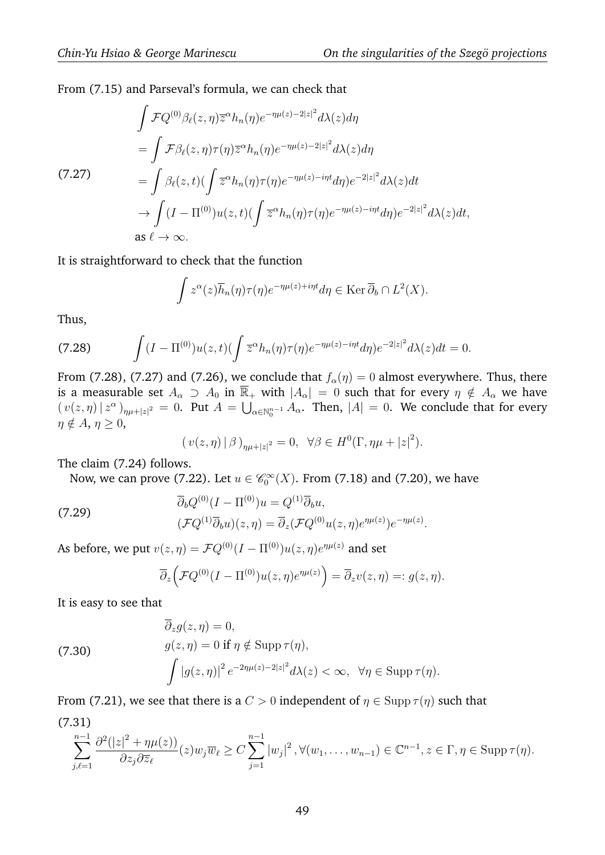From (7.15) and Parseval's formula, we can check that

$$
\int \mathcal{F}Q^{(0)}\beta_{\ell}(z,\eta)\overline{z}^{\alpha}h_{n}(\eta)e^{-\eta\mu(z)-2|z|^{2}}d\lambda(z)d\eta
$$
\n
$$
=\int \mathcal{F}\beta_{\ell}(z,\eta)\tau(\eta)\overline{z}^{\alpha}h_{n}(\eta)e^{-\eta\mu(z)-2|z|^{2}}d\lambda(z)d\eta
$$
\n(7.27)\n
$$
=\int \beta_{\ell}(z,t)\left(\int \overline{z}^{\alpha}h_{n}(\eta)\tau(\eta)e^{-\eta\mu(z)-i\eta t}d\eta\right)e^{-2|z|^{2}}d\lambda(z)dt
$$
\n
$$
\rightarrow \int (I-\Pi^{(0)})u(z,t)\left(\int \overline{z}^{\alpha}h_{n}(\eta)\tau(\eta)e^{-\eta\mu(z)-i\eta t}d\eta\right)e^{-2|z|^{2}}d\lambda(z)dt,
$$
\nas  $\ell \rightarrow \infty$ .

It is straightforward to check that the function

$$
\int z^{\alpha}(z)\overline{h}_n(\eta)\tau(\eta)e^{-\eta\mu(z)+i\eta t}d\eta \in \text{Ker}\,\overline{\partial}_b \cap L^2(X).
$$

Thus,

(7.28) 
$$
\int (I - \Pi^{(0)}) u(z, t) (\int \overline{z}^{\alpha} h_n(\eta) \tau(\eta) e^{-\eta \mu(z) - i\eta t} d\eta) e^{-2|z|^2} d\lambda(z) dt = 0.
$$

From (7.28), (7.27) and (7.26), we conclude that  $f_{\alpha}(\eta) = 0$  almost everywhere. Thus, there is a measurable set  $A_\alpha \supseteq A_0$  in  $\overline{\mathbb{R}}_+$  with  $|A_\alpha| = 0$  such that for every  $\eta \notin A_\alpha$  we have  $(v(z,\eta) | z^{\alpha})_{\eta\mu+|z|^2} = 0$ . Put  $A = \bigcup_{\alpha \in \mathbb{N}_0^{n-1}} A_{\alpha}$ . Then,  $|A| = 0$ . We conclude that for every  $\eta \notin A, \eta \geq 0,$ 

 $(v(z, \eta) | \beta)_{\eta \mu + |z|^2} = 0, \ \forall \beta \in H^0(\Gamma, \eta \mu + |z|^2).$ 

The claim (7.24) follows.

Now, we can prove (7.22). Let  $u \in \mathscr{C}_0^{\infty}(X)$ . From (7.18) and (7.20), we have

(7.29) 
$$
\overline{\partial}_b Q^{(0)} (I - \Pi^{(0)}) u = Q^{(1)} \overline{\partial}_b u,
$$

$$
(\mathcal{F} Q^{(1)} \overline{\partial}_b u)(z, \eta) = \overline{\partial}_z (\mathcal{F} Q^{(0)} u(z, \eta) e^{\eta \mu(z)}) e^{-\eta \mu(z)}.
$$

As before, we put  $v(z,\eta)=\mathcal{F} Q^{(0)}(I-\Pi^{(0)})u(z,\eta)e^{\eta\mu(z)}$  and set

$$
\overline{\partial}_z \Big( \mathcal{F} Q^{(0)}(I - \Pi^{(0)}) u(z, \eta) e^{\eta \mu(z)} \Big) = \overline{\partial}_z v(z, \eta) =: g(z, \eta).
$$

It is easy to see that

(7.30)  
\n
$$
\overline{\partial}_z g(z, \eta) = 0,
$$
\n
$$
g(z, \eta) = 0 \text{ if } \eta \notin \text{Supp } \tau(\eta),
$$
\n
$$
\int |g(z, \eta)|^2 e^{-2\eta \mu(z) - 2|z|^2} d\lambda(z) < \infty, \ \forall \eta \in \text{Supp } \tau(\eta).
$$

From (7.21), we see that there is a  $C > 0$  independent of  $\eta \in \text{Supp } \tau(\eta)$  such that

$$
\sum_{j,\ell=1}^{n-1} \frac{\partial^2 (|z|^2 + \eta \mu(z))}{\partial z_j \partial \overline{z}_\ell}(z) w_j \overline{w}_\ell \ge C \sum_{j=1}^{n-1} |w_j|^2, \forall (w_1, \dots, w_{n-1}) \in \mathbb{C}^{n-1}, z \in \Gamma, \eta \in \text{Supp } \tau(\eta).
$$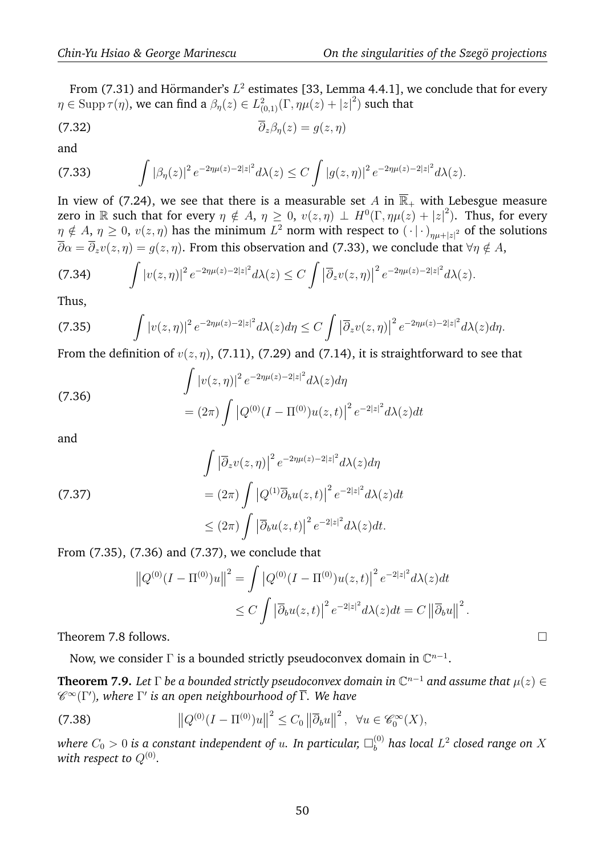From (7.31) and Hörmander's  $L^2$  estimates [33, Lemma 4.4.1], we conclude that for every  $\eta\in \mathrm{Supp\,} \tau(\eta),$  we can find a  $\beta_\eta(z)\in L^2_{(0,1)}(\Gamma,\eta\mu(z)+|z|^2)$  such that

(7.32) 
$$
\overline{\partial}_z \beta_\eta(z) = g(z, \eta)
$$

and

(7.33) 
$$
\int |\beta_{\eta}(z)|^2 e^{-2\eta\mu(z)-2|z|^2} d\lambda(z) \leq C \int |g(z,\eta)|^2 e^{-2\eta\mu(z)-2|z|^2} d\lambda(z).
$$

In view of (7.24), we see that there is a measurable set A in  $\overline{\mathbb{R}}_+$  with Lebesgue measure zero in  $\R$  such that for every  $\eta \notin A$ ,  $\eta \geq 0$ ,  $v(z, \eta) \perp H^0(\Gamma, \eta \mu(z) + |z|^2)$ . Thus, for every  $\eta \notin A$ ,  $\eta \ge 0$ ,  $v(z, \eta)$  has the minimum  $L^2$  norm with respect to  $(\cdot | \cdot)_{\eta\mu+|z|^2}$  of the solutions  $\overline{\partial}\alpha = \overline{\partial}_z v(z,\eta) = g(z,\eta)$ . From this observation and (7.33), we conclude that  $\forall \eta \notin A$ ,

$$
(7.34) \qquad \int |v(z,\eta)|^2 e^{-2\eta\mu(z)-2|z|^2} d\lambda(z) \leq C \int \left|\overline{\partial}_z v(z,\eta)\right|^2 e^{-2\eta\mu(z)-2|z|^2} d\lambda(z).
$$

Thus,

$$
\text{(7.35)} \qquad \int |v(z,\eta)|^2 \, e^{-2\eta\mu(z)-2|z|^2} d\lambda(z) d\eta \leq C \int \left|\overline{\partial}_z v(z,\eta)\right|^2 e^{-2\eta\mu(z)-2|z|^2} d\lambda(z) d\eta.
$$

From the definition of  $v(z, \eta)$ , (7.11), (7.29) and (7.14), it is straightforward to see that

(7.36)  

$$
\int |v(z,\eta)|^2 e^{-2\eta\mu(z)-2|z|^2} d\lambda(z) d\eta
$$

$$
= (2\pi) \int |Q^{(0)}(I - \Pi^{(0)})u(z,t)|^2 e^{-2|z|^2} d\lambda(z) dt
$$

and

(7.37)  
\n
$$
\int \left| \overline{\partial}_z v(z,\eta) \right|^2 e^{-2\eta \mu(z) - 2|z|^2} d\lambda(z) d\eta
$$
\n
$$
= (2\pi) \int \left| Q^{(1)} \overline{\partial}_b u(z,t) \right|^2 e^{-2|z|^2} d\lambda(z) dt
$$
\n
$$
\leq (2\pi) \int \left| \overline{\partial}_b u(z,t) \right|^2 e^{-2|z|^2} d\lambda(z) dt.
$$

From (7.35), (7.36) and (7.37), we conclude that

$$
\|Q^{(0)}(I - \Pi^{(0)})u\|^2 = \int |Q^{(0)}(I - \Pi^{(0)})u(z,t)|^2 e^{-2|z|^2} d\lambda(z)dt
$$
  

$$
\leq C \int |\overline{\partial}_b u(z,t)|^2 e^{-2|z|^2} d\lambda(z)dt = C ||\overline{\partial}_b u||^2.
$$

Theorem 7.8 follows.

Now, we consider  $\Gamma$  is a bounded strictly pseudoconvex domain in  $\mathbb{C}^{n-1}$ .

**Theorem 7.9.** Let  $\Gamma$  be a bounded strictly pseudoconvex domain in  $\mathbb{C}^{n-1}$  and assume that  $\mu(z) \in$ C <sup>∞</sup>(Γ<sup>0</sup> )*, where* Γ 0 *is an open neighbourhood of* Γ*. We have*

(7.38) 
$$
\|Q^{(0)}(I - \Pi^{(0)})u\|^2 \le C_0 \|\overline{\partial}_b u\|^2, \ \forall u \in \mathscr{C}_0^{\infty}(X),
$$

where  $C_0>0$  is a constant independent of  $u.$  In particular,  $\Box_b^{(0)}$  $\delta_b^{(0)}$  has local  $L^2$  closed range on  $X$ with respect to  $Q^{(0)}.$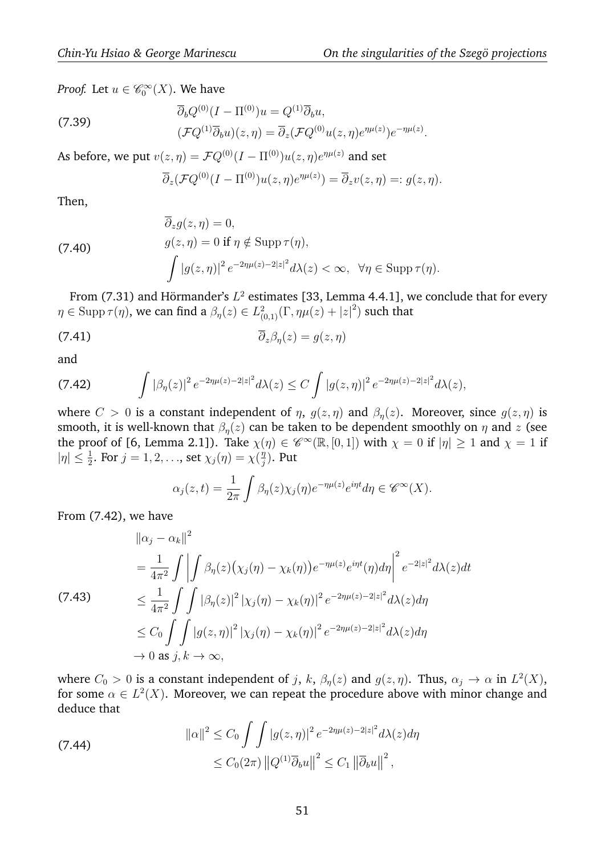*Proof.* Let  $u \in \mathscr{C}_0^{\infty}(X)$ . We have

(7.39) 
$$
\overline{\partial}_b Q^{(0)} (I - \Pi^{(0)}) u = Q^{(1)} \overline{\partial}_b u,
$$

$$
(\mathcal{F} Q^{(1)} \overline{\partial}_b u)(z, \eta) = \overline{\partial}_z (\mathcal{F} Q^{(0)} u(z, \eta) e^{\eta \mu(z)}) e^{-\eta \mu(z)}.
$$

As before, we put  $v(z, \eta) = \mathcal{F} Q^{(0)} (I - \Pi^{(0)}) u(z, \eta) e^{\eta \mu(z)}$  and set  $\overline{\partial}_z (\mathcal{F} Q^{(0)}(I - \Pi^{(0)}) u(z,\eta) e^{\eta\mu(z)}) = \overline{\partial}_z v(z,\eta) =: g(z,\eta).$ 

Then,

(7.40)  
\n
$$
\overline{\partial}_z g(z, \eta) = 0,
$$
\n
$$
g(z, \eta) = 0 \text{ if } \eta \notin \text{Supp } \tau(\eta),
$$
\n
$$
\int |g(z, \eta)|^2 e^{-2\eta \mu(z) - 2|z|^2} d\lambda(z) < \infty, \ \forall \eta \in \text{Supp } \tau(\eta).
$$

From (7.31) and Hörmander's  $L^2$  estimates [33, Lemma 4.4.1], we conclude that for every  $\eta\in \mathrm{Supp\,} \tau(\eta),$  we can find a  $\beta_\eta(z)\in L^2_{(0,1)}(\Gamma,\eta\mu(z)+|z|^2)$  such that

(7.41) 
$$
\overline{\partial}_z \beta_\eta(z) = g(z, \eta)
$$

 $\alpha$ 

and

(7.42) 
$$
\int |\beta_{\eta}(z)|^2 e^{-2\eta\mu(z)-2|z|^2} d\lambda(z) \leq C \int |g(z,\eta)|^2 e^{-2\eta\mu(z)-2|z|^2} d\lambda(z),
$$

where  $C > 0$  is a constant independent of  $\eta$ ,  $g(z, \eta)$  and  $\beta_{\eta}(z)$ . Moreover, since  $g(z, \eta)$  is smooth, it is well-known that  $\beta_n(z)$  can be taken to be dependent smoothly on  $\eta$  and  $z$  (see the proof of [6, Lemma 2.1]). Take  $\chi(\eta) \in \mathscr{C}^{\infty}(\mathbb{R}, [0,1])$  with  $\chi = 0$  if  $|\eta| \ge 1$  and  $\chi = 1$  if  $|\eta| \leq \frac{1}{2}$ . For  $j = 1, 2, \ldots$ , set  $\chi_j(\eta) = \chi(\frac{\eta}{j})$  $\frac{\eta}{j}).$  Put

$$
\alpha_j(z,t) = \frac{1}{2\pi} \int \beta_\eta(z) \chi_j(\eta) e^{-\eta \mu(z)} e^{i\eta t} d\eta \in \mathscr{C}^\infty(X).
$$

From (7.42), we have

$$
\begin{split}\n\|\alpha_{j} - \alpha_{k}\|^{2} \\
&= \frac{1}{4\pi^{2}} \int \left| \int \beta_{\eta}(z) (\chi_{j}(\eta) - \chi_{k}(\eta)) e^{-\eta \mu(z)} e^{i\eta t}(\eta) d\eta \right|^{2} e^{-2|z|^{2}} d\lambda(z) dt \\
&\leq \frac{1}{4\pi^{2}} \int \int |\beta_{\eta}(z)|^{2} |\chi_{j}(\eta) - \chi_{k}(\eta)|^{2} e^{-2\eta \mu(z) - 2|z|^{2}} d\lambda(z) d\eta \\
&\leq C_{0} \int \int |g(z, \eta)|^{2} |\chi_{j}(\eta) - \chi_{k}(\eta)|^{2} e^{-2\eta \mu(z) - 2|z|^{2}} d\lambda(z) d\eta \\
&\to 0 \text{ as } j, k \to \infty,\n\end{split}
$$

where  $C_0 > 0$  is a constant independent of j, k,  $\beta_{\eta}(z)$  and  $g(z, \eta)$ . Thus,  $\alpha_j \to \alpha$  in  $L^2(X)$ , for some  $\alpha \in L^2(X)$ . Moreover, we can repeat the procedure above with minor change and deduce that

(7.44)  
\n
$$
\| \alpha \|^2 \le C_0 \int \int |g(z, \eta)|^2 e^{-2\eta \mu(z) - 2|z|^2} d\lambda(z) d\eta
$$
\n
$$
\le C_0 (2\pi) \| Q^{(1)} \overline{\partial}_b u \|^2 \le C_1 \| \overline{\partial}_b u \|^2,
$$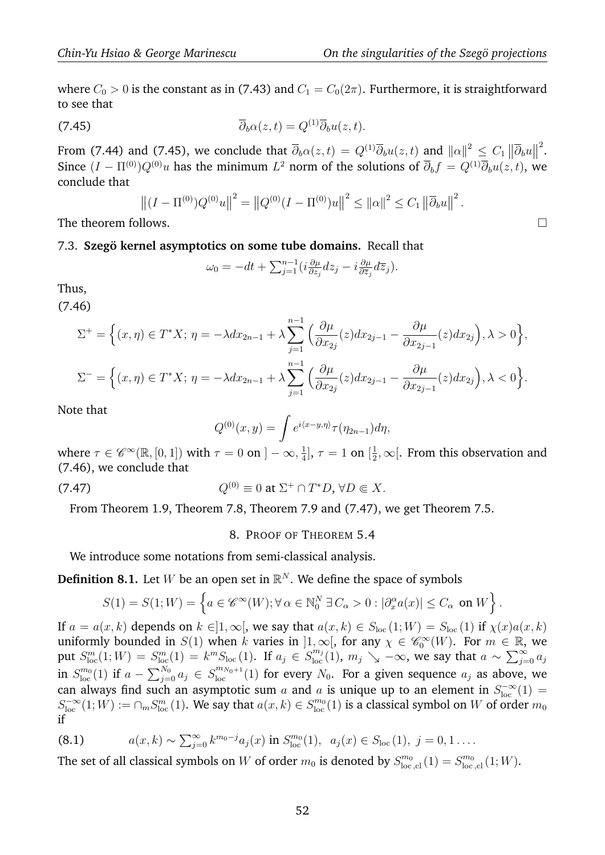where  $C_0 > 0$  is the constant as in (7.43) and  $C_1 = C_0(2\pi)$ . Furthermore, it is straightforward to see that

(7.45) 
$$
\overline{\partial}_b \alpha(z,t) = Q^{(1)} \overline{\partial}_b u(z,t).
$$

From (7.44) and (7.45), we conclude that  $\overline{\partial}_b \alpha(z,t) = Q^{(1)} \overline{\partial}_b u(z,t)$  and  $||\alpha||^2 \le C_1 ||\overline{\partial}_b u||$ 2 . Since  $(I - \Pi^{(0)})Q^{(0)}u$  has the minimum  $L^2$  norm of the solutions of  $\overline{\partial}_b f = Q^{(1)}\overline{\partial}_b u(z,t)$ , we conclude that

$$
\left\|(I-\Pi^{(0)})Q^{(0)}u\right\|^2 = \left\|Q^{(0)}(I-\Pi^{(0)})u\right\|^2 \le \|\alpha\|^2 \le C_1 \left\|\overline{\partial}_b u\right\|^2.
$$

The theorem follows.

### 7.3. **Szego kernel asymptotics on some tube domains. ¨** Recall that

$$
\omega_0 = -dt + \sum_{j=1}^{n-1} \left( i \frac{\partial \mu}{\partial z_j} dz_j - i \frac{\partial \mu}{\partial \overline{z}_j} d\overline{z}_j \right).
$$

Thus,

(7.46)

$$
\Sigma^{+} = \Big\{ (x, \eta) \in T^*X; \, \eta = -\lambda dx_{2n-1} + \lambda \sum_{j=1}^{n-1} \Big( \frac{\partial \mu}{\partial x_{2j}} (z) dx_{2j-1} - \frac{\partial \mu}{\partial x_{2j-1}} (z) dx_{2j} \Big), \lambda > 0 \Big\},
$$
  

$$
\Sigma^{-} = \Big\{ (x, \eta) \in T^*X; \, \eta = -\lambda dx_{2n-1} + \lambda \sum_{j=1}^{n-1} \Big( \frac{\partial \mu}{\partial x_{2j}} (z) dx_{2j-1} - \frac{\partial \mu}{\partial x_{2j-1}} (z) dx_{2j} \Big), \lambda < 0 \Big\}.
$$

Note that

$$
Q^{(0)}(x,y) = \int e^{i\langle x-y,\eta \rangle} \tau(\eta_{2n-1}) d\eta,
$$

where  $\tau \in \mathscr{C}^{\infty}(\mathbb{R}, [0, 1])$  with  $\tau = 0$  on  $]-\infty, \frac{1}{4}$  $\frac{1}{4}$ ],  $\tau=1$  on  $[\frac{1}{2}$  $\frac{1}{2}, \infty$ [. From this observation and (7.46), we conclude that

(7.47) 
$$
Q^{(0)} \equiv 0 \text{ at } \Sigma^+ \cap T^*D, \forall D \in X.
$$

From Theorem 1.9, Theorem 7.8, Theorem 7.9 and (7.47), we get Theorem 7.5.

### 8. PROOF OF THEOREM 5.4

We introduce some notations from semi-classical analysis.

**Definition 8.1.** Let W be an open set in  $\mathbb{R}^N$ . We define the space of symbols

$$
S(1) = S(1;W) = \left\{ a \in \mathscr{C}^{\infty}(W); \forall \alpha \in \mathbb{N}_0^N \, \exists C_{\alpha} > 0 : |\partial_x^{\alpha} a(x)| \le C_{\alpha} \text{ on } W \right\}.
$$

If  $a = a(x, k)$  depends on  $k \in ]1, \infty[$ , we say that  $a(x, k) \in S<sub>loc</sub>(1; W) = S<sub>loc</sub>(1)$  if  $\chi(x)a(x, k)$ uniformly bounded in  $S(1)$  when k varies in  $]1,\infty[$ , for any  $\chi \in \mathscr{C}_0^{\infty}(W)$ . For  $m \in \mathbb{R}$ , we put  $S^m_{loc}(1;W) = S^m_{loc}(1) = k^m S_{loc}(1)$ . If  $a_j \in S^{m_j}_{loc}(1)$ ,  $m_j \searrow -\infty$ , we say that  $a \sim \sum_{j=0}^{\infty} a_j$ in  $S_{\text{loc}}^{m_0}(1)$  if  $a - \sum_{j=0}^{N_0} a_j \in S_{\text{loc}}^{m_{N_0+1}}(1)$  for every  $N_0$ . For a given sequence  $a_j$  as above, we can always find such an asymptotic sum a and a is unique up to an element in  $S_{\text{loc}}^{-\infty}(1)$  $S^{-\infty}_{loc}(1;W):=\cap_m S^{m}_{loc}(1)$ . We say that  $a(x,k)\in S^{m_0}_{loc}(1)$  is a classical symbol on W of order  $m_0$ if

(8.1) 
$$
a(x,k) \sim \sum_{j=0}^{\infty} k^{m_0-j} a_j(x) \text{ in } S_{\text{loc}}^{m_0}(1), a_j(x) \in S_{\text{loc}}(1), j = 0, 1 \ldots
$$

The set of all classical symbols on W of order  $m_0$  is denoted by  $S^{m_0}_{\text{loc,cl}}(1) = S^{m_0}_{\text{loc,cl}}(1;W)$ .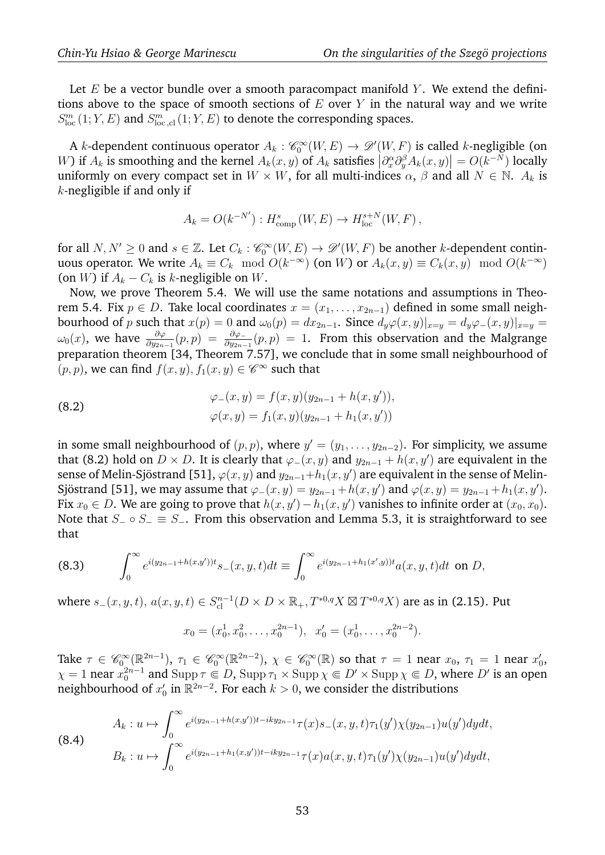Let  $E$  be a vector bundle over a smooth paracompact manifold  $Y$ . We extend the definitions above to the space of smooth sections of  $E$  over  $Y$  in the natural way and we write  $S^m_{\text{loc}}(1;Y, E)$  and  $S^m_{\text{loc,cl}}(1;Y, E)$  to denote the corresponding spaces.

A *k*-dependent continuous operator  $A_k : \mathscr{C}_0^{\infty}(W, E) \to \mathscr{D}'(W, F)$  is called *k*-negligible (on W) if  $A_k$  is smoothing and the kernel  $A_k(x, y)$  of  $A_k$  satisfies  $\left|\frac{\partial^\alpha x}{\partial y} \partial^{\beta} A_k(x, y)\right| = O(k^{-N})$  locally uniformly on every compact set in  $W \times W$ , for all multi-indices  $\alpha$ ,  $\beta$  and all  $N \in \mathbb{N}$ .  $A_k$  is  $k$ -negligible if and only if

$$
A_k = O(k^{-N'}) : H^s_{\text{comp}}(W, E) \to H^{s+N}_{\text{loc}}(W, F) ,
$$

for all  $N, N' \geq 0$  and  $s \in \mathbb{Z}$ . Let  $C_k : \mathscr{C}_0^{\infty}(W, E) \to \mathscr{D}'(W, F)$  be another k-dependent continuous operator. We write  $A_k \equiv C_k \mod O(k^{-\infty})$  (on W) or  $A_k(x, y) \equiv C_k(x, y) \mod O(k^{-\infty})$ (on W) if  $A_k - C_k$  is k-negligible on W.

Now, we prove Theorem 5.4. We will use the same notations and assumptions in Theorem 5.4. Fix  $p \in D$ . Take local coordinates  $x = (x_1, \ldots, x_{2n-1})$  defined in some small neighbourhood of p such that  $x(p) = 0$  and  $\omega_0(p) = dx_{2n-1}$ . Since  $d_y\varphi(x, y)|_{x=y} = d_y\varphi_-(x, y)|_{x=y}$  $\omega_0(x)$ , we have  $\frac{\partial \varphi}{\partial y_{2n-1}}(p,p) = \frac{\partial \varphi}{\partial y_{2n-1}}(p,p) = 1$ . From this observation and the Malgrange preparation theorem [34, Theorem 7.57], we conclude that in some small neighbourhood of  $(p, p)$ , we can find  $f(x, y), f_1(x, y) \in \mathscr{C}^\infty$  such that

(8.2) 
$$
\varphi_{-}(x, y) = f(x, y)(y_{2n-1} + h(x, y')),
$$

$$
\varphi(x, y) = f_1(x, y)(y_{2n-1} + h_1(x, y'))
$$

in some small neighbourhood of  $(p, p)$ , where  $y' = (y_1, \ldots, y_{2n-2})$ . For simplicity, we assume that (8.2) hold on  $D \times D$ . It is clearly that  $\varphi_-(x, y)$  and  $y_{2n-1} + h(x, y')$  are equivalent in the sense of Melin-Sjöstrand [51],  $\varphi(x,y)$  and  $y_{2n-1}+h_1(x,y')$  are equivalent in the sense of Melin-Sjöstrand [51], we may assume that  $\varphi_-(x,y) = y_{2n-1} + h(x,y')$  and  $\varphi(x,y) = y_{2n-1} + h_1(x,y')$ . Fix  $x_0 \in D$ . We are going to prove that  $h(x, y') - h_1(x, y')$  vanishes to infinite order at  $(x_0, x_0)$ . Note that  $S_ \circ S_ = S_$ . From this observation and Lemma 5.3, it is straightforward to see that

(8.3) 
$$
\int_0^\infty e^{i(y_{2n-1}+h(x,y'))t} s_-(x,y,t)dt \equiv \int_0^\infty e^{i(y_{2n-1}+h_1(x',y))t} a(x,y,t)dt \text{ on } D,
$$

where  $s_-(x, y, t)$ ,  $a(x, y, t) \in S_{\text{cl}}^{n-1}(D \times D \times \mathbb{R}_+, T^{*0,q}X \boxtimes T^{*0,q}X)$  are as in (2.15). Put

$$
x_0 = (x_0^1, x_0^2, \dots, x_0^{2n-1}), \quad x'_0 = (x_0^1, \dots, x_0^{2n-2}).
$$

Take  $\tau \in \mathscr{C}_0^{\infty}(\mathbb{R}^{2n-1})$ ,  $\tau_1 \in \mathscr{C}_0^{\infty}(\mathbb{R}^{2n-2})$ ,  $\chi \in \mathscr{C}_0^{\infty}(\mathbb{R})$  so that  $\tau = 1$  near  $x_0$ ,  $\tau_1 = 1$  near  $x'_0$ ,  $\chi = 1$  near  $x_0^{2n-1}$  and  $\text{Supp } \tau \subseteq D$ ,  $\text{Supp } \tau_1 \times \text{Supp } \chi \subseteq D' \times \text{Supp } \chi \subseteq D$ , where  $D'$  is an open neighbourhood of  $x_0'$  in  $\mathbb{R}^{2n-2}.$  For each  $k>0,$  we consider the distributions

$$
(8.4) \qquad A_k: u \mapsto \int_0^\infty e^{i(y_{2n-1} + h(x,y'))t - iky_{2n-1}} \tau(x) s_-(x,y,t) \tau_1(y') \chi(y_{2n-1}) u(y') dy dt,
$$
  

$$
B_k: u \mapsto \int_0^\infty e^{i(y_{2n-1} + h_1(x,y'))t - iky_{2n-1}} \tau(x) a(x,y,t) \tau_1(y') \chi(y_{2n-1}) u(y') dy dt,
$$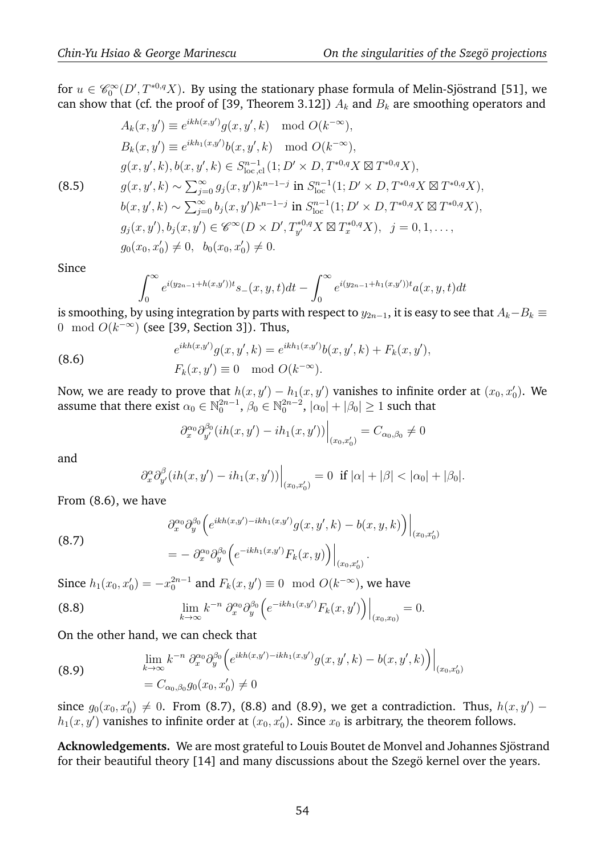for  $u\in \mathscr{C}_0^\infty(D',T^{*0,q}X).$  By using the stationary phase formula of Melin-Sjöstrand [51], we can show that (cf. the proof of [39, Theorem 3.12])  $A_k$  and  $B_k$  are smoothing operators and

$$
A_k(x, y') \equiv e^{ikh(x, y')}g(x, y', k) \mod O(k^{-\infty}),
$$
  
\n
$$
B_k(x, y') \equiv e^{ikh_1(x, y')}b(x, y', k) \mod O(k^{-\infty}),
$$
  
\n
$$
g(x, y', k), b(x, y', k) \in S_{\text{loc, cl}}^{n-1} (1; D' \times D, T^{*0, q} X \boxtimes T^{*0, q} X),
$$
  
\n(8.5) 
$$
g(x, y', k) \sim \sum_{j=0}^{\infty} g_j(x, y')k^{n-1-j} \text{ in } S_{\text{loc}}^{n-1} (1; D' \times D, T^{*0, q} X \boxtimes T^{*0, q} X),
$$
  
\n
$$
b(x, y', k) \sim \sum_{j=0}^{\infty} b_j(x, y')k^{n-1-j} \text{ in } S_{\text{loc}}^{n-1} (1; D' \times D, T^{*0, q} X \boxtimes T^{*0, q} X),
$$
  
\n
$$
g_j(x, y'), b_j(x, y') \in \mathscr{C}^{\infty}(D \times D', T_{y'}^{*0, q} X \boxtimes T_x^{*0, q} X), \quad j = 0, 1, ...,
$$
  
\n
$$
g_0(x_0, x'_0) \neq 0, \quad b_0(x_0, x'_0) \neq 0.
$$

Since

$$
\int_0^\infty e^{i(y_{2n-1} + h(x,y'))t} s_-(x,y,t) dt - \int_0^\infty e^{i(y_{2n-1} + h_1(x,y'))t} a(x,y,t) dt
$$

is smoothing, by using integration by parts with respect to  $y_{2n-1}$ , it is easy to see that  $A_k{-}B_k\equiv$ 0 mod  $O(k^{-\infty})$  (see [39, Section 3]). Thus,

(8.6) 
$$
e^{ikh(x,y')}g(x,y',k) = e^{ikh_1(x,y')}b(x,y',k) + F_k(x,y'),
$$

$$
F_k(x,y') \equiv 0 \mod O(k^{-\infty}).
$$

Now, we are ready to prove that  $h(x, y') - h_1(x, y')$  vanishes to infinite order at  $(x_0, x'_0)$ . We assume that there exist  $\alpha_0\in\mathbb{N}_0^{2n-1}$ ,  $\beta_0\in\mathbb{N}_0^{2n-2}$ ,  $|\alpha_0|+|\beta_0|\geq 1$  such that

$$
\partial_x^{\alpha_0} \partial_{y'}^{\beta_0} (ih(x, y') - ih_1(x, y')) \Big|_{(x_0, x'_0)} = C_{\alpha_0, \beta_0} \neq 0
$$

and

$$
\left. \partial_x^{\alpha} \partial_{y'}^{\beta} (ih(x, y') - ih_1(x, y')) \right|_{(x_0, x'_0)} = 0 \text{ if } |\alpha| + |\beta| < |\alpha_0| + |\beta_0|.
$$

From (8.6), we have

(8.7)  

$$
\left. \begin{aligned}\n &\partial_x^{\alpha_0} \partial_y^{\beta_0} \Big( e^{ikh(x,y')-ikh_1(x,y')} g(x,y',k) - b(x,y,k) \Big) \right|_{(x_0,x'_0)} \\
 &= -\left. \partial_x^{\alpha_0} \partial_y^{\beta_0} \Big( e^{-ikh_1(x,y')} F_k(x,y) \Big) \right|_{(x_0,x'_0)}.\n \end{aligned}
$$

Since  $h_1(x_0, x_0') = -x_0^{2n-1}$  and  $F_k(x, y') \equiv 0 \mod O(k^{-\infty})$ , we have

(8.8) 
$$
\lim_{k \to \infty} k^{-n} \partial_x^{\alpha_0} \partial_y^{\beta_0} \Big( e^{-ikh_1(x,y')} F_k(x,y') \Big) \Big|_{(x_0,x_0)} = 0.
$$

On the other hand, we can check that

(8.9) 
$$
\lim_{k \to \infty} k^{-n} \partial_x^{\alpha_0} \partial_y^{\beta_0} \Big( e^{ikh(x,y')-ikh_1(x,y')} g(x,y',k) - b(x,y',k) \Big) \Big|_{(x_0,x'_0)}
$$

$$
= C_{\alpha_0,\beta_0} g_0(x_0,x'_0) \neq 0
$$

since  $g_0(x_0, x'_0) \neq 0$ . From (8.7), (8.8) and (8.9), we get a contradiction. Thus,  $h(x, y')$  –  $h_1(x, y')$  vanishes to infinite order at  $(x_0, x'_0)$ . Since  $x_0$  is arbitrary, the theorem follows.

Acknowledgements. We are most grateful to Louis Boutet de Monvel and Johannes Sjöstrand for their beautiful theory [14] and many discussions about the Szegö kernel over the years.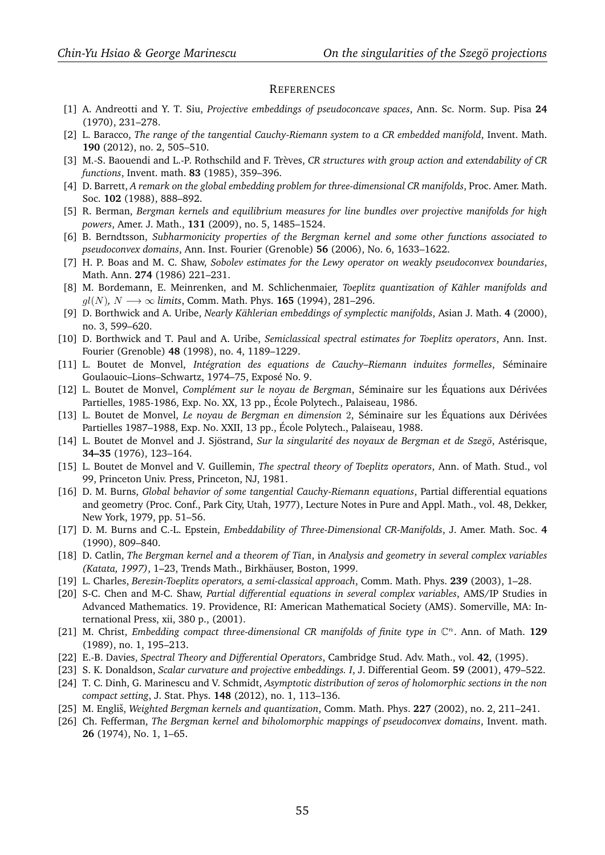#### **REFERENCES**

- [1] A. Andreotti and Y. T. Siu, *Projective embeddings of pseudoconcave spaces*, Ann. Sc. Norm. Sup. Pisa **24** (1970), 231–278.
- [2] L. Baracco, *The range of the tangential Cauchy-Riemann system to a CR embedded manifold*, Invent. Math. **190** (2012), no. 2, 505–510.
- [3] M.-S. Baouendi and L.-P. Rothschild and F. Trèves, *CR structures with group action and extendability of CR functions*, Invent. math. **83** (1985), 359–396.
- [4] D. Barrett, *A remark on the global embedding problem for three-dimensional CR manifolds*, Proc. Amer. Math. Soc. **102** (1988), 888–892.
- [5] R. Berman, *Bergman kernels and equilibrium measures for line bundles over projective manifolds for high powers*, Amer. J. Math., **131** (2009), no. 5, 1485–1524.
- [6] B. Berndtsson, *Subharmonicity properties of the Bergman kernel and some other functions associated to pseudoconvex domains*, Ann. Inst. Fourier (Grenoble) **56** (2006), No. 6, 1633–1622.
- [7] H. P. Boas and M. C. Shaw, *Sobolev estimates for the Lewy operator on weakly pseudoconvex boundaries*, Math. Ann. **274** (1986) 221–231.
- [8] M. Bordemann, E. Meinrenken, and M. Schlichenmaier, *Toeplitz quantization of Kahler manifolds and ¨*  $gl(N)$ ,  $N \longrightarrow \infty$  *limits*, Comm. Math. Phys. **165** (1994), 281–296.
- [9] D. Borthwick and A. Uribe, *Nearly Kählerian embeddings of symplectic manifolds*, Asian J. Math. 4 (2000), no. 3, 599–620.
- [10] D. Borthwick and T. Paul and A. Uribe, *Semiclassical spectral estimates for Toeplitz operators*, Ann. Inst. Fourier (Grenoble) **48** (1998), no. 4, 1189–1229.
- [11] L. Boutet de Monvel, *Int´egration des equations de Cauchy–Riemann induites formelles*, S´eminaire Goulaouic–Lions–Schwartz, 1974–75, Exposé No. 9.
- [12] L. Boutet de Monvel, *Complément sur le noyau de Bergman*, Séminaire sur les Équations aux Dérivées Partielles, 1985-1986, Exp. No. XX, 13 pp., Ecole Polytech., Palaiseau, 1986. ´
- [13] L. Boutet de Monvel, *Le noyau de Bergman en dimension* 2, Séminaire sur les Équations aux Dérivées Partielles 1987–1988, Exp. No. XXII, 13 pp., École Polytech., Palaiseau, 1988.
- [14] L. Boutet de Monvel and J. Sjöstrand, Sur la singularité des noyaux de Bergman et de Szegö, Astérisque, **34–35** (1976), 123–164.
- [15] L. Boutet de Monvel and V. Guillemin, *The spectral theory of Toeplitz operators*, Ann. of Math. Stud., vol 99, Princeton Univ. Press, Princeton, NJ, 1981.
- [16] D. M. Burns, *Global behavior of some tangential Cauchy-Riemann equations*, Partial differential equations and geometry (Proc. Conf., Park City, Utah, 1977), Lecture Notes in Pure and Appl. Math., vol. 48, Dekker, New York, 1979, pp. 51–56.
- [17] D. M. Burns and C.-L. Epstein, *Embeddability of Three-Dimensional CR-Manifolds*, J. Amer. Math. Soc. **4** (1990), 809–840.
- [18] D. Catlin, *The Bergman kernel and a theorem of Tian*, in *Analysis and geometry in several complex variables (Katata, 1997)*, 1–23, Trends Math., Birkhauser, Boston, 1999. ¨
- [19] L. Charles, *Berezin-Toeplitz operators, a semi-classical approach*, Comm. Math. Phys. **239** (2003), 1–28.
- [20] S-C. Chen and M-C. Shaw, *Partial differential equations in several complex variables*, AMS/IP Studies in Advanced Mathematics. 19. Providence, RI: American Mathematical Society (AMS). Somerville, MA: International Press, xii, 380 p., (2001).
- [21] M. Christ, *Embedding compact three-dimensional CR manifolds of finite type in*  $\mathbb{C}^n$ . Ann. of Math. 129 (1989), no. 1, 195–213.
- [22] E.-B. Davies, *Spectral Theory and Differential Operators*, Cambridge Stud. Adv. Math., vol. **42**, (1995).
- [23] S. K. Donaldson, *Scalar curvature and projective embeddings. I*, J. Differential Geom. **59** (2001), 479–522.
- [24] T. C. Dinh, G. Marinescu and V. Schmidt, *Asymptotic distribution of zeros of holomorphic sections in the non compact setting*, J. Stat. Phys. **148** (2012), no. 1, 113–136.
- [25] M. Engliˇs, *Weighted Bergman kernels and quantization*, Comm. Math. Phys. **227** (2002), no. 2, 211–241.
- [26] Ch. Fefferman, *The Bergman kernel and biholomorphic mappings of pseudoconvex domains*, Invent. math. **26** (1974), No. 1, 1–65.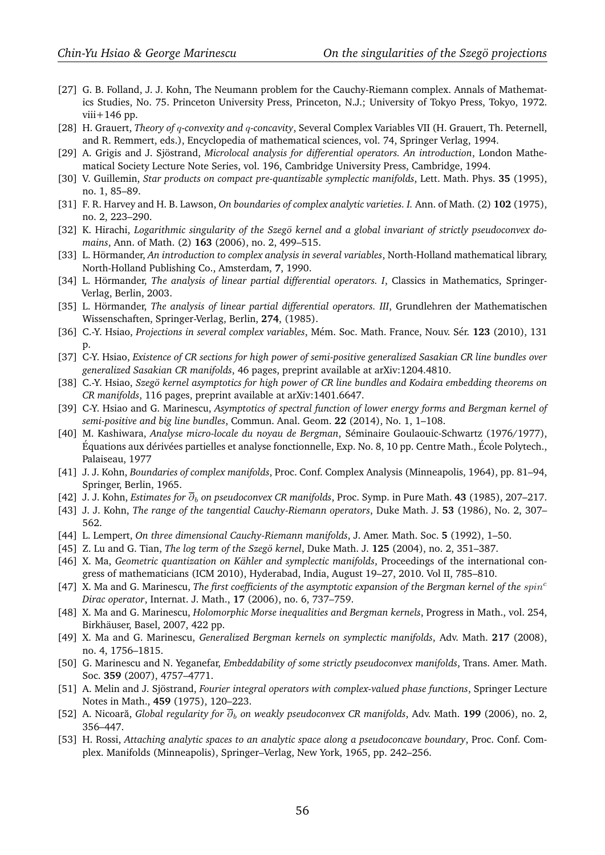- [27] G. B. Folland, J. J. Kohn, The Neumann problem for the Cauchy-Riemann complex. Annals of Mathematics Studies, No. 75. Princeton University Press, Princeton, N.J.; University of Tokyo Press, Tokyo, 1972.  $viii+146$  pp.
- [28] H. Grauert, *Theory of* q*-convexity and* q*-concavity*, Several Complex Variables VII (H. Grauert, Th. Peternell, and R. Remmert, eds.), Encyclopedia of mathematical sciences, vol. 74, Springer Verlag, 1994.
- [29] A. Grigis and J. Sjöstrand, *Microlocal analysis for differential operators. An introduction*, London Mathematical Society Lecture Note Series, vol. 196, Cambridge University Press, Cambridge, 1994.
- [30] V. Guillemin, *Star products on compact pre-quantizable symplectic manifolds*, Lett. Math. Phys. **35** (1995), no. 1, 85–89.
- [31] F. R. Harvey and H. B. Lawson, *On boundaries of complex analytic varieties. I.* Ann. of Math. (2) **102** (1975), no. 2, 223–290.
- [32] K. Hirachi, *Logarithmic singularity of the Szego kernel and a global invariant of strictly pseudoconvex do- ¨ mains*, Ann. of Math. (2) **163** (2006), no. 2, 499–515.
- [33] L. Hörmander, An introduction to complex analysis in several variables, North-Holland mathematical library, North-Holland Publishing Co., Amsterdam, **7**, 1990.
- [34] L. Hörmander, *The analysis of linear partial differential operators. I*, Classics in Mathematics, Springer-Verlag, Berlin, 2003.
- [35] L. Hörmander, *The analysis of linear partial differential operators. III*, Grundlehren der Mathematischen Wissenschaften, Springer-Verlag, Berlin, **274**, (1985).
- [36] C.-Y. Hsiao, *Projections in several complex variables*, M´em. Soc. Math. France, Nouv. S´er. **123** (2010), 131  $D<sub>r</sub>$
- [37] C-Y. Hsiao, *Existence of CR sections for high power of semi-positive generalized Sasakian CR line bundles over generalized Sasakian CR manifolds*, 46 pages, preprint available at arXiv:1204.4810.
- [38] C.-Y. Hsiao, *Szego kernel asymptotics for high power of CR line bundles and Kodaira embedding theorems on ¨ CR manifolds*, 116 pages, preprint available at arXiv:1401.6647.
- [39] C-Y. Hsiao and G. Marinescu, *Asymptotics of spectral function of lower energy forms and Bergman kernel of semi-positive and big line bundles*, Commun. Anal. Geom. **22** (2014), No. 1, 1–108.
- [40] M. Kashiwara, *Analyse micro-locale du noyau de Bergman*, Séminaire Goulaouic-Schwartz (1976/1977), Équations aux dérivées partielles et analyse fonctionnelle, Exp. No. 8, 10 pp. Centre Math., École Polytech., Palaiseau, 1977
- [41] J. J. Kohn, *Boundaries of complex manifolds*, Proc. Conf. Complex Analysis (Minneapolis, 1964), pp. 81–94, Springer, Berlin, 1965.
- [42] J. J. Kohn, *Estimates for* ∂<sup>b</sup> *on pseudoconvex CR manifolds*, Proc. Symp. in Pure Math. **43** (1985), 207–217.
- [43] J. J. Kohn, *The range of the tangential Cauchy-Riemann operators*, Duke Math. J. **53** (1986), No. 2, 307– 562.
- [44] L. Lempert, *On three dimensional Cauchy-Riemann manifolds*, J. Amer. Math. Soc. **5** (1992), 1–50.
- [45] Z. Lu and G. Tian, *The log term of the Szego kernel ¨* , Duke Math. J. **125** (2004), no. 2, 351–387.
- [46] X. Ma, *Geometric quantization on Kähler and symplectic manifolds*, Proceedings of the international congress of mathematicians (ICM 2010), Hyderabad, India, August 19–27, 2010. Vol II, 785–810.
- [47] X. Ma and G. Marinescu, *The first coefficients of the asymptotic expansion of the Bergman kernel of the spin<sup>c</sup> Dirac operator*, Internat. J. Math., **17** (2006), no. 6, 737–759.
- [48] X. Ma and G. Marinescu, *Holomorphic Morse inequalities and Bergman kernels*, Progress in Math., vol. 254, Birkhäuser, Basel, 2007, 422 pp.
- [49] X. Ma and G. Marinescu, *Generalized Bergman kernels on symplectic manifolds*, Adv. Math. **217** (2008), no. 4, 1756–1815.
- [50] G. Marinescu and N. Yeganefar, *Embeddability of some strictly pseudoconvex manifolds*, Trans. Amer. Math. Soc. **359** (2007), 4757–4771.
- [51] A. Melin and J. Sjöstrand, *Fourier integral operators with complex-valued phase functions*, Springer Lecture Notes in Math., **459** (1975), 120–223.
- [52] A. Nicoara, ˘ *Global regularity for* ∂<sup>b</sup> *on weakly pseudoconvex CR manifolds*, Adv. Math. **199** (2006), no. 2, 356–447.
- [53] H. Rossi, *Attaching analytic spaces to an analytic space along a pseudoconcave boundary*, Proc. Conf. Complex. Manifolds (Minneapolis), Springer–Verlag, New York, 1965, pp. 242–256.